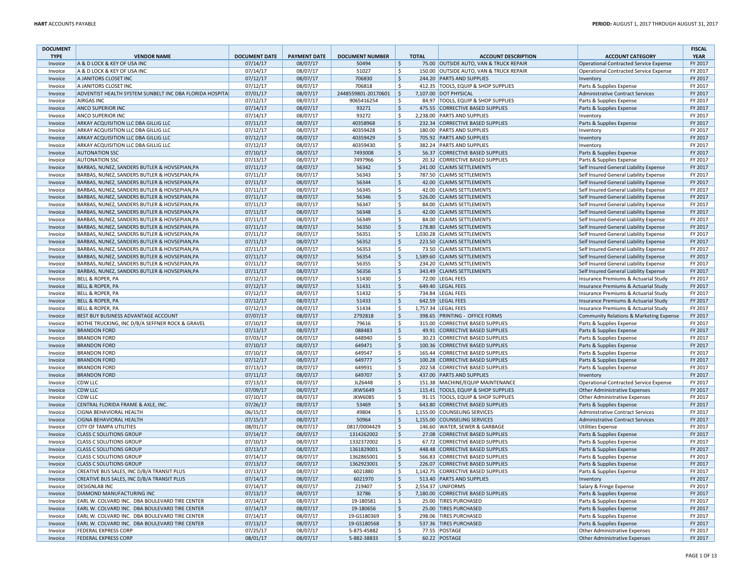| <b>DOCUMENT</b> |                                                          |                      |                     |                        |                    |              |                                         |                                               | <b>FISCAL</b> |
|-----------------|----------------------------------------------------------|----------------------|---------------------|------------------------|--------------------|--------------|-----------------------------------------|-----------------------------------------------|---------------|
| <b>TYPE</b>     | <b>VENDOR NAME</b>                                       | <b>DOCUMENT DATE</b> | <b>PAYMENT DATE</b> | <b>DOCUMENT NUMBER</b> |                    | <b>TOTAL</b> | <b>ACCOUNT DESCRIPTION</b>              | <b>ACCOUNT CATEGORY</b>                       | <b>YEAR</b>   |
| Invoice         | A & D LOCK & KEY OF USA INC                              | 07/14/17             | 08/07/17            | 50494                  | \$                 |              | 75.00 OUTSIDE AUTO, VAN & TRUCK REPAIR  | Operational Contracted Service Expense        | FY 2017       |
| Invoice         | A & D LOCK & KEY OF USA INC                              | 07/14/17             | 08/07/17            | 51027                  | \$                 |              | 150.00 OUTSIDE AUTO, VAN & TRUCK REPAIR | Operational Contracted Service Expense        | FY 2017       |
| Invoice         | A JANITORS CLOSET INC                                    | 07/12/17             | 08/07/17            | 706830                 | \$                 |              | 244.20 PARTS AND SUPPLIES               | Inventory                                     | FY 2017       |
| Invoice         | A JANITORS CLOSET INC                                    | 07/12/17             | 08/07/17            | 706818                 | $\mathsf{S}$       |              | 412.35 TOOLS, EQUIP & SHOP SUPPLIES     | Parts & Supplies Expense                      | FY 2017       |
| Invoice         | ADVENTIST HEALTH SYSTEM SUNBELT INC DBA FLORIDA HOSPITAL | 07/01/17             | 08/07/17            | 2448559801-20170601    | $\zeta$            |              | 7.107.00 DOT PHYSICAL                   | <b>Administrative Contract Services</b>       | FY 2017       |
| Invoice         | <b>AIRGAS INC</b>                                        | 07/12/17             | 08/07/17            | 9065416254             | \$                 |              | 84.97 TOOLS, EQUIP & SHOP SUPPLIES      | Parts & Supplies Expense                      | FY 2017       |
| Invoice         | <b>ANCO SUPERIOR INC</b>                                 | 07/14/17             | 08/07/17            | 93271                  | \$                 |              | 475.55 CORRECTIVE BASED SUPPLIES        | Parts & Supplies Expense                      | FY 2017       |
| Invoice         | ANCO SUPERIOR INC                                        | 07/14/17             | 08/07/17            | 93272                  | Ś                  |              | 2,238.00 PARTS AND SUPPLIES             | Inventory                                     | FY 2017       |
| Invoice         | ARKAY ACQUISITION LLC DBA GILLIG LLC                     | 07/11/17             | 08/07/17            | 40358968               | \$                 |              | 232.34 CORRECTIVE BASED SUPPLIES        | Parts & Supplies Expense                      | FY 2017       |
| Invoice         | ARKAY ACQUISITION LLC DBA GILLIG LLC                     | 07/12/17             | 08/07/17            | 40359428               | \$                 |              | 180.00 PARTS AND SUPPLIES               | Inventory                                     | FY 2017       |
| Invoice         | ARKAY ACQUISITION LLC DBA GILLIG LLC                     | 07/12/17             | 08/07/17            | 40359429               | \$                 |              | 705.92 PARTS AND SUPPLIES               | Inventory                                     | FY 2017       |
| Invoice         | ARKAY ACQUISITION LLC DBA GILLIG LLC                     | 07/12/17             | 08/07/17            | 40359430               | \$                 |              | 382.24 PARTS AND SUPPLIES               | Inventory                                     | FY 2017       |
| Invoice         | <b>AUTONATION SSC</b>                                    | 07/10/17             | 08/07/17            | 7493008                | $\zeta$            |              | 56.37 CORRECTIVE BASED SUPPLIES         | Parts & Supplies Expense                      | FY 2017       |
| Invoice         | <b>AUTONATION SSC</b>                                    | 07/13/17             | 08/07/17            | 7497966                | \$                 |              | 20.32 CORRECTIVE BASED SUPPLIES         | Parts & Supplies Expense                      | FY 2017       |
| Invoice         | BARBAS, NUNEZ, SANDERS BUTLER & HOVSEPIAN, PA            | 07/11/17             | 08/07/17            | 56342                  | $\zeta$            |              | 241.00 CLAIMS SETTLEMENTS               | Self Insured General Liability Expense        | FY 2017       |
| Invoice         | BARBAS, NUNEZ, SANDERS BUTLER & HOVSEPIAN, PA            | 07/11/17             | 08/07/17            | 56343                  | \$                 |              | 787.50 CLAIMS SETTLEMENTS               | Self Insured General Liability Expense        | FY 2017       |
| Invoice         | BARBAS, NUNEZ, SANDERS BUTLER & HOVSEPIAN, PA            | 07/11/17             | 08/07/17            | 56344                  | $\zeta$            |              | 42.00 CLAIMS SETTLEMENTS                | Self Insured General Liability Expense        | FY 2017       |
| Invoice         | BARBAS, NUNEZ, SANDERS BUTLER & HOVSEPIAN, PA            | 07/11/17             | 08/07/17            | 56345                  | \$                 |              | 42.00 CLAIMS SETTLEMENTS                | Self Insured General Liability Expense        | FY 2017       |
| Invoice         | BARBAS, NUNEZ, SANDERS BUTLER & HOVSEPIAN, PA            | 07/11/17             | 08/07/17            | 56346                  | $\ddot{\varsigma}$ |              | 526.00 CLAIMS SETTLEMENTS               | Self Insured General Liability Expense        | FY 2017       |
| Invoice         | BARBAS, NUNEZ, SANDERS BUTLER & HOVSEPIAN, PA            | 07/11/17             | 08/07/17            | 56347                  | \$                 |              | 84.00 CLAIMS SETTLEMENTS                | Self Insured General Liability Expense        | FY 2017       |
| Invoice         | BARBAS, NUNEZ, SANDERS BUTLER & HOVSEPIAN, PA            | 07/11/17             | 08/07/17            | 56348                  | \$                 |              | 42.00 CLAIMS SETTLEMENTS                | Self Insured General Liability Expense        | FY 2017       |
| Invoice         | BARBAS, NUNEZ, SANDERS BUTLER & HOVSEPIAN, PA            | 07/11/17             | 08/07/17            | 56349                  | \$                 |              | 84.00 CLAIMS SETTLEMENTS                | Self Insured General Liability Expense        | FY 2017       |
| Invoice         | BARBAS, NUNEZ, SANDERS BUTLER & HOVSEPIAN, PA            | 07/11/17             | 08/07/17            | 56350                  | \$                 |              | 178.80 CLAIMS SETTLEMENTS               | Self Insured General Liability Expense        | FY 2017       |
| Invoice         | BARBAS, NUNEZ, SANDERS BUTLER & HOVSEPIAN, PA            | 07/11/17             | 08/07/17            | 56351                  | \$                 |              | 1,030.28 CLAIMS SETTLEMENTS             | Self Insured General Liability Expense        | FY 2017       |
| Invoice         | BARBAS, NUNEZ, SANDERS BUTLER & HOVSEPIAN, PA            | 07/11/17             | 08/07/17            | 56352                  | $\mathsf{\$}$      |              | 223.50 CLAIMS SETTLEMENTS               | Self Insured General Liability Expense        | FY 2017       |
| Invoice         | BARBAS, NUNEZ, SANDERS BUTLER & HOVSEPIAN, PA            | 07/11/17             | 08/07/17            | 56353                  | \$                 |              | 73.50 CLAIMS SETTLEMENTS                | Self Insured General Liability Expense        | FY 2017       |
| Invoice         | BARBAS, NUNEZ, SANDERS BUTLER & HOVSEPIAN, PA            | 07/11/17             | 08/07/17            | 56354                  | \$                 |              | 1,589.60 CLAIMS SETTLEMENTS             | Self Insured General Liability Expense        | FY 2017       |
| Invoice         | BARBAS, NUNEZ, SANDERS BUTLER & HOVSEPIAN, PA            |                      | 08/07/17            | 56355                  | \$                 |              | 234.20 CLAIMS SETTLEMENTS               |                                               | FY 2017       |
|                 |                                                          | 07/11/17             |                     |                        |                    |              |                                         | Self Insured General Liability Expense        | FY 2017       |
| Invoice         | BARBAS, NUNEZ, SANDERS BUTLER & HOVSEPIAN, PA            | 07/11/17             | 08/07/17            | 56356                  | \$                 |              | 343.49 CLAIMS SETTLEMENTS               | Self Insured General Liability Expense        |               |
| Invoice         | <b>BELL &amp; ROPER, PA</b>                              | 07/12/17             | 08/07/17            | 51430                  | \$                 |              | 72.00 LEGAL FEES                        | Insurance Premiums & Actuarial Study          | FY 2017       |
| Invoice         | <b>BELL &amp; ROPER, PA</b>                              | 07/12/17             | 08/07/17            | 51431                  | \$                 |              | 649.40 LEGAL FEES                       | Insurance Premiums & Actuarial Study          | FY 2017       |
| Invoice         | <b>BELL &amp; ROPER, PA</b>                              | 07/12/17             | 08/07/17            | 51432                  | \$                 |              | 734.84 LEGAL FEES                       | Insurance Premiums & Actuarial Study          | FY 2017       |
| Invoice         | <b>BELL &amp; ROPER, PA</b>                              | 07/12/17             | 08/07/17            | 51433                  | \$                 |              | 642.59 LEGAL FEES                       | Insurance Premiums & Actuarial Study          | FY 2017       |
| Invoice         | <b>BELL &amp; ROPER, PA</b>                              | 07/12/17             | 08/07/17            | 51434                  | \$                 |              | 1,757.34   LEGAL FEES                   | Insurance Premiums & Actuarial Study          | FY 2017       |
| Invoice         | BEST BUY BUSINESS ADVANTAGE ACCOUNT                      | 07/07/17             | 08/07/17            | 2792818                | $\zeta$            |              | 398.65 PRINTING - OFFICE FORMS          | Community Relations & Marketing Expense       | FY 2017       |
| Invoice         | BOTHE TRUCKING, INC D/B/A SEFFNER ROCK & GRAVEL          | 07/10/17             | 08/07/17            | 79616                  | \$                 |              | 315.00 CORRECTIVE BASED SUPPLIES        | Parts & Supplies Expense                      | FY 2017       |
| Invoice         | <b>BRANDON FORD</b>                                      | 07/13/17             | 08/07/17            | 088483                 | \$                 |              | 49.91 CORRECTIVE BASED SUPPLIES         | Parts & Supplies Expense                      | FY 2017       |
| Invoice         | <b>BRANDON FORD</b>                                      | 07/03/17             | 08/07/17            | 648940                 | \$                 |              | 30.23 CORRECTIVE BASED SUPPLIES         | Parts & Supplies Expense                      | FY 2017       |
| Invoice         | <b>BRANDON FORD</b>                                      | 07/10/17             | 08/07/17            | 649471                 | $\zeta$            |              | 100.36 CORRECTIVE BASED SUPPLIES        | Parts & Supplies Expense                      | FY 2017       |
| Invoice         | <b>BRANDON FORD</b>                                      | 07/10/17             | 08/07/17            | 649547                 | \$                 |              | 165.44 CORRECTIVE BASED SUPPLIES        | Parts & Supplies Expense                      | FY 2017       |
| Invoice         | <b>BRANDON FORD</b>                                      | 07/12/17             | 08/07/17            | 649777                 | \$                 |              | 100.28 CORRECTIVE BASED SUPPLIES        | Parts & Supplies Expense                      | FY 2017       |
| Invoice         | <b>BRANDON FORD</b>                                      | 07/13/17             | 08/07/17            | 649931                 | \$                 |              | 202.58 CORRECTIVE BASED SUPPLIES        | Parts & Supplies Expense                      | FY 2017       |
| Invoice         | <b>BRANDON FORD</b>                                      | 07/11/17             | 08/07/17            | 649707                 | $\mathsf{\$}$      |              | 437.00 PARTS AND SUPPLIES               | Inventory                                     | FY 2017       |
| Invoice         | CDW LLC                                                  | 07/13/17             | 08/07/17            | JLZ6448                | \$                 |              | 151.38 MACHINE/EQUIP MAINTENANCE        | <b>Operational Contracted Service Expense</b> | FY 2017       |
| Invoice         | <b>CDW LLC</b>                                           | 07/09/17             | 08/07/17            | <b>JKW5649</b>         | $\mathsf{S}$       |              | 115.41 TOOLS, EQUIP & SHOP SUPPLIES     | Other Administrative Expenses                 | FY 2017       |
| Invoice         | CDW LLC                                                  | 07/10/17             | 08/07/17            | <b>JKW6085</b>         | \$                 |              | 91.15 TOOLS, EQUIP & SHOP SUPPLIES      | Other Administrative Expenses                 | FY 2017       |
| Invoice         | CENTRAL FLORIDA FRAME & AXLE, INC.                       | 07/26/17             | 08/07/17            | 53469                  | $\zeta$            |              | 643.80 CORRECTIVE BASED SUPPLIES        | Parts & Supplies Expense                      | FY 2017       |
| Invoice         | CIGNA BEHAVIORAL HEALTH                                  | 06/15/17             | 08/07/17            | 49804                  | \$                 |              | 1,155.00 COUNSELING SERVICES            | <b>Administrative Contract Services</b>       | FY 2017       |
|                 |                                                          |                      |                     |                        |                    |              |                                         |                                               |               |
| Invoice         | CIGNA BEHAVIORAL HEALTH                                  | 07/15/17             | 08/07/17            | 50964                  | $\ddot{\varsigma}$ |              | 1,155.00 COUNSELING SERVICES            | <b>Administrative Contract Services</b>       | FY 2017       |
| Invoice         | CITY OF TAMPA UTILITIES                                  | 08/01/17             | 08/07/17            | 0817/0004429           | \$                 |              | 146.60 WATER, SEWER & GARBAGE           | <b>Utilities Expense</b>                      | FY 2017       |
| Invoice         | <b>CLASS C SOLUTIONS GROUP</b>                           | 07/14/17             | 08/07/17            | 1314262002             | $\mathsf{\$}$      |              | 27.08 CORRECTIVE BASED SUPPLIES         | Parts & Supplies Expense                      | FY 2017       |
| Invoice         | <b>CLASS C SOLUTIONS GROUP</b>                           | 07/10/17             | 08/07/17            | 1332372002             | \$                 |              | 67.72 CORRECTIVE BASED SUPPLIES         | Parts & Supplies Expense                      | FY 2017       |
| Invoice         | <b>CLASS C SOLUTIONS GROUP</b>                           | 07/13/17             | 08/07/17            | 1361829001             | $\zeta$            |              | 448.48 CORRECTIVE BASED SUPPLIES        | Parts & Supplies Expense                      | FY 2017       |
| Invoice         | <b>CLASS C SOLUTIONS GROUP</b>                           | 07/14/17             | 08/07/17            | 1362865001             | $\zeta$            |              | 566.83 CORRECTIVE BASED SUPPLIES        | Parts & Supplies Expense                      | FY 2017       |
| Invoice         | <b>CLASS C SOLUTIONS GROUP</b>                           | 07/13/17             | 08/07/17            | 1362923001             | \$                 |              | 226.07 CORRECTIVE BASED SUPPLIES        | Parts & Supplies Expense                      | FY 2017       |
| Invoice         | CREATIVE BUS SALES, INC D/B/A TRANSIT PLUS               | 07/13/17             | 08/07/17            | 6021880                | \$                 |              | 1,142.75 CORRECTIVE BASED SUPPLIES      | Parts & Supplies Expense                      | FY 2017       |
| Invoice         | CREATIVE BUS SALES, INC D/B/A TRANSIT PLUS               | 07/14/17             | 08/07/17            | 6021970                | \$                 |              | 513.40 PARTS AND SUPPLIES               | Inventory                                     | FY 2017       |
| Invoice         | <b>DESIGNLAB INC</b>                                     | 07/14/17             | 08/07/17            | 219407                 | \$                 |              | 2,554.37 UNIFORMS                       | Salary & Fringe Expense                       | FY 2017       |
| Invoice         | DIAMOND MANUFACTURING INC                                | 07/13/17             | 08/07/17            | 32786                  | \$                 |              | 7,180.00 CORRECTIVE BASED SUPPLIES      | Parts & Supplies Expense                      | FY 2017       |
| Invoice         | EARL W. COLVARD INC. DBA BOULEVARD TIRE CENTER           | 07/14/17             | 08/07/17            | 19-180581              | Ś                  |              | 25.00 TIRES PURCHASED                   | Parts & Supplies Expense                      | FY 2017       |
| Invoice         | EARL W. COLVARD INC. DBA BOULEVARD TIRE CENTER           | 07/14/17             | 08/07/17            | 19-180656              | \$                 |              | 25.00 TIRES PURCHASED                   | Parts & Supplies Expense                      | FY 2017       |
| Invoice         | EARL W. COLVARD INC. DBA BOULEVARD TIRE CENTER           | 07/14/17             | 08/07/17            | 19-GS180369            | \$                 |              | 298.06 TIRES PURCHASED                  | Parts & Supplies Expense                      | FY 2017       |
| Invoice         | EARL W. COLVARD INC. DBA BOULEVARD TIRE CENTER           | 07/13/17             | 08/07/17            | 19-GS180568            | \$                 |              | 537.36 TIRES PURCHASED                  | Parts & Supplies Expense                      | FY 2017       |
| Invoice         | <b>FEDERAL EXPRESS CORP</b>                              | 07/25/17             | 08/07/17            | 5-875-45882            | \$                 |              | 77.55 POSTAGE                           | Other Administrative Expenses                 | FY 2017       |
| Invoice         | <b>FEDERAL EXPRESS CORP</b>                              | 08/01/17             | 08/07/17            | 5-882-38833            | \$                 |              | 60.22 POSTAGE                           | <b>Other Administrative Expenses</b>          | FY 2017       |
|                 |                                                          |                      |                     |                        |                    |              |                                         |                                               |               |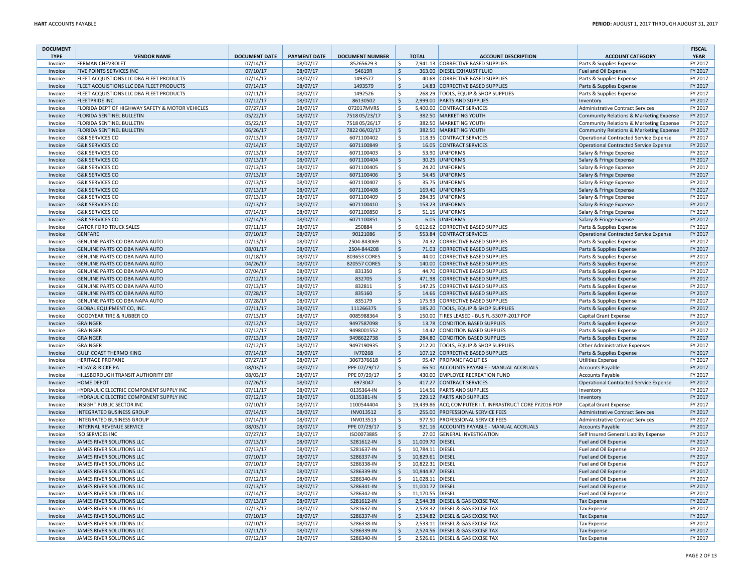| <b>DOCUMENT</b>        |                                                        |                                  |                                 |                                     |                    |                                      |                                                                  |                                                     | <b>FISCAL</b>          |
|------------------------|--------------------------------------------------------|----------------------------------|---------------------------------|-------------------------------------|--------------------|--------------------------------------|------------------------------------------------------------------|-----------------------------------------------------|------------------------|
| <b>TYPE</b><br>Invoice | <b>VENDOR NAME</b><br><b>FERMAN CHEVROLET</b>          | <b>DOCUMENT DATE</b><br>07/14/17 | <b>PAYMENT DATE</b><br>08/07/17 | <b>DOCUMENT NUMBER</b><br>852656293 | Ŝ.                 | <b>TOTAL</b>                         | <b>ACCOUNT DESCRIPTION</b><br>7.941.13 CORRECTIVE BASED SUPPLIES | <b>ACCOUNT CATEGORY</b><br>Parts & Supplies Expense | <b>YEAR</b><br>FY 2017 |
| Invoice                | FIVE POINTS SERVICES INC                               | 07/10/17                         | 08/07/17                        | 54619R                              | \$                 |                                      | 363.00 DIESEL EXHAUST FLUID                                      | Fuel and Oil Expense                                | FY 2017                |
| Invoice                | FLEET ACQUISTIONS LLC DBA FLEET PRODUCTS               | 07/14/17                         | 08/07/17                        | 1493577                             | \$                 |                                      | 40.68 CORRECTIVE BASED SUPPLIES                                  | Parts & Supplies Expense                            | FY 2017                |
| Invoice                | FLEET ACQUISTIONS LLC DBA FLEET PRODUCTS               | 07/14/17                         | 08/07/17                        | 1493579                             | $\mathsf{S}$       |                                      | 14.83 CORRECTIVE BASED SUPPLIES                                  | Parts & Supplies Expense                            | FY 2017                |
| Invoice                | FLEET ACQUISTIONS LLC DBA FLEET PRODUCTS               | 07/11/17                         | 08/07/17                        | 1492526                             | \$                 |                                      | 268.29 TOOLS. EQUIP & SHOP SUPPLIES                              | Parts & Supplies Expense                            | FY 2017                |
| Invoice                | <b>FLEETPRIDE INC</b>                                  | 07/12/17                         | 08/07/17                        | 86130502                            | \$                 |                                      | 2,999.00 PARTS AND SUPPLIES                                      | Inventory                                           | FY 2017                |
| Invoice                | FLORIDA DEPT OF HIGHWAY SAFETY & MOTOR VEHICLES        | 07/27/17                         | 08/07/17                        | 072017MVRS                          | \$                 |                                      | 5,400.00 CONTRACT SERVICES                                       | <b>Administrative Contract Services</b>             | FY 2017                |
| Invoice                | FLORIDA SENTINEL BULLETIN                              | 05/22/17                         | 08/07/17                        | 7518 05/23/17                       | $\dot{\mathsf{S}}$ |                                      | 382.50 MARKETING YOUTH                                           | Community Relations & Marketing Expense             | FY 2017                |
| Invoice                | FLORIDA SENTINEL BULLETIN                              | 05/22/17                         | 08/07/17                        | 7518 05/26/17                       | Ś                  |                                      | 382.50 MARKETING YOUTH                                           | <b>Community Relations &amp; Marketing Expense</b>  | FY 2017                |
| Invoice                | FLORIDA SENTINEL BULLETIN                              | 06/26/17                         | 08/07/17                        | 7822 06/02/17                       | $\frac{1}{2}$      |                                      | 382.50 MARKETING YOUTH                                           | Community Relations & Marketing Expense             | FY 2017                |
| Invoice                | <b>G&amp;K SERVICES CO</b>                             | 07/13/17                         | 08/07/17                        | 6071100402                          | \$                 |                                      | 118.35 CONTRACT SERVICES                                         | <b>Operational Contracted Service Expense</b>       | FY 2017                |
| Invoice                | <b>G&amp;K SERVICES CO</b>                             | 07/14/17                         | 08/07/17                        | 6071100849                          | \$                 |                                      | 16.05 CONTRACT SERVICES                                          | <b>Operational Contracted Service Expense</b>       | FY 2017                |
| Invoice                | <b>G&amp;K SERVICES CO</b>                             | 07/13/17                         | 08/07/17                        | 6071100403                          | \$                 |                                      | 53.90 UNIFORMS                                                   | Salary & Fringe Expense                             | FY 2017                |
| Invoice                | <b>G&amp;K SERVICES CO</b>                             | 07/13/17                         | 08/07/17                        | 6071100404                          | $\zeta$            |                                      | 30.25 UNIFORMS                                                   | Salary & Fringe Expense                             | FY 2017                |
| Invoice                | <b>G&amp;K SERVICES CO</b>                             | 07/13/17                         | 08/07/17                        | 6071100405                          | \$                 |                                      | 24.20 UNIFORMS                                                   | Salary & Fringe Expense                             | FY 2017                |
| Invoice                | <b>G&amp;K SERVICES CO</b>                             | 07/13/17                         | 08/07/17                        | 6071100406                          | \$                 |                                      | 54.45 UNIFORMS                                                   | Salary & Fringe Expense                             | FY 2017                |
| Invoice                | <b>G&amp;K SERVICES CO</b>                             | 07/13/17                         | 08/07/17                        | 6071100407                          | \$                 |                                      | 35.75 UNIFORMS                                                   | Salary & Fringe Expense                             | FY 2017                |
| Invoice                | <b>G&amp;K SERVICES CO</b>                             | 07/13/17                         | 08/07/17                        | 6071100408                          | \$                 |                                      | 169.40 UNIFORMS                                                  | Salary & Fringe Expense                             | FY 2017                |
| Invoice                | <b>G&amp;K SERVICES CO</b>                             | 07/13/17                         | 08/07/17                        | 6071100409                          | \$                 |                                      | 284.35 UNIFORMS                                                  | Salary & Fringe Expense                             | FY 2017                |
| Invoice                | <b>G&amp;K SERVICES CO</b>                             | 07/13/17                         | 08/07/17                        | 6071100410                          | $\zeta$            |                                      | 153.23 UNIFORMS                                                  | Salary & Fringe Expense                             | FY 2017                |
| Invoice                | <b>G&amp;K SERVICES CO</b>                             | 07/14/17                         | 08/07/17                        | 6071100850                          | \$                 |                                      | 51.15 UNIFORMS                                                   | Salary & Fringe Expense                             | FY 2017                |
| Invoice                | <b>G&amp;K SERVICES CO</b>                             | 07/14/17                         | 08/07/17                        | 6071100851                          | \$                 |                                      | 6.05 UNIFORMS                                                    | Salary & Fringe Expense                             | FY 2017                |
| Invoice                | <b>GATOR FORD TRUCK SALES</b>                          | 07/11/17                         | 08/07/17                        | 250884                              | Ś                  |                                      | 6,012.62 CORRECTIVE BASED SUPPLIES                               | Parts & Supplies Expense                            | FY 2017                |
| Invoice                | <b>GENFARE</b>                                         | 07/10/17                         | 08/07/17                        | 90121086                            | $\mathsf{S}$       |                                      | 553.84 CONTRACT SERVICES                                         | <b>Operational Contracted Service Expense</b>       | FY 2017                |
| Invoice                | GENUINE PARTS CO DBA NAPA AUTO                         | 07/13/17                         | 08/07/17                        | 2504-843069                         | \$                 |                                      | 74.32 CORRECTIVE BASED SUPPLIES                                  | Parts & Supplies Expense                            | FY 2017                |
| Invoice                | GENUINE PARTS CO DBA NAPA AUTO                         | 08/01/17                         | 08/07/17                        | 2504-844208                         | \$                 |                                      | 71.03 CORRECTIVE BASED SUPPLIES                                  | Parts & Supplies Expense                            | FY 2017                |
| Invoice                | GENUINE PARTS CO DBA NAPA AUTO                         | 01/18/17                         | 08/07/17                        | 803653 CORES                        | \$                 |                                      | 44.00 CORRECTIVE BASED SUPPLIES                                  | Parts & Supplies Expense                            | FY 2017                |
| Invoice                | GENUINE PARTS CO DBA NAPA AUTO                         | 04/26/17                         | 08/07/17                        | 820557 CORES                        | $\zeta$            |                                      | 140.00 CORRECTIVE BASED SUPPLIES                                 | Parts & Supplies Expense                            | FY 2017                |
| Invoice                | GENUINE PARTS CO DBA NAPA AUTO                         | 07/04/17                         | 08/07/17                        | 831350                              | \$                 |                                      | 44.70 CORRECTIVE BASED SUPPLIES                                  | Parts & Supplies Expense                            | FY 2017                |
| Invoice                | GENUINE PARTS CO DBA NAPA AUTO                         | 07/12/17                         | 08/07/17                        | 832705                              | \$                 |                                      | 471.98 CORRECTIVE BASED SUPPLIES                                 | Parts & Supplies Expense                            | FY 2017                |
| Invoice                | GENUINE PARTS CO DBA NAPA AUTO                         | 07/13/17                         | 08/07/17                        | 832811                              | \$                 |                                      | 147.25 CORRECTIVE BASED SUPPLIES                                 | Parts & Supplies Expense                            | FY 2017                |
| Invoice                | GENUINE PARTS CO DBA NAPA AUTO                         | 07/28/17                         | 08/07/17                        | 835160                              | $\zeta$            |                                      | 14.66 CORRECTIVE BASED SUPPLIES                                  | Parts & Supplies Expense                            | FY 2017                |
| Invoice                | GENUINE PARTS CO DBA NAPA AUTO                         | 07/28/17                         | 08/07/17                        | 835179                              | \$                 |                                      | 175.93 CORRECTIVE BASED SUPPLIES                                 | Parts & Supplies Expense                            | FY 2017                |
| Invoice                | GLOBAL EQUIPMENT CO, INC.                              | 07/11/17                         | 08/07/17                        | 111266375                           | $\zeta$            |                                      | 185.20 TOOLS, EQUIP & SHOP SUPPLIES                              | Parts & Supplies Expense                            | FY 2017                |
| Invoice                | GOODYEAR TIRE & RUBBER CO                              | 07/13/17                         | 08/07/17                        | 0085988364                          | \$                 |                                      | 150.00 TIRES LEASED - BUS FL-5307P-2017 POP                      | <b>Capital Grant Expense</b>                        | FY 2017                |
| Invoice                | <b>GRAINGER</b>                                        | 07/12/17                         | 08/07/17                        | 9497587098                          | $\zeta$            |                                      | 13.78 CONDITION BASED SUPPLIES                                   | Parts & Supplies Expense                            | FY 2017                |
| Invoice                | GRAINGER                                               | 07/12/17                         | 08/07/17                        | 9498001552                          | \$                 |                                      | 14.42 CONDITION BASED SUPPLIES                                   | Parts & Supplies Expense                            | FY 2017                |
| Invoice                | <b>GRAINGER</b>                                        | 07/13/17                         | 08/07/17                        | 9498622738                          | \$                 |                                      | 284.80 CONDITION BASED SUPPLIES                                  | Parts & Supplies Expense                            | FY 2017                |
| Invoice                | GRAINGER                                               | 07/12/17                         | 08/07/17                        | 9497190935                          | \$                 |                                      | 212.20 TOOLS, EQUIP & SHOP SUPPLIES                              | Other Administrative Expenses                       | FY 2017                |
| Invoice                | <b>GULF COAST THERMO KING</b>                          | 07/14/17                         | 08/07/17                        | IV70268                             | $\mathsf{S}$       |                                      | 107.12 CORRECTIVE BASED SUPPLIES                                 | Parts & Supplies Expense                            | FY 2017                |
| Invoice                | <b>HERITAGE PROPANE</b>                                | 07/27/17                         | 08/07/17                        | 3067376618                          | Ŝ.                 |                                      | 95.47 PROPANE FACILITIES                                         | <b>Utilities Expense</b>                            | FY 2017                |
| Invoice                | <b>HIDAY &amp; RICKE PA</b>                            | 08/03/17                         | 08/07/17                        | PPE 07/29/17                        | $\mathsf{S}$       |                                      | 66.50 ACCOUNTS PAYABLE - MANUAL ACCRUALS                         | <b>Accounts Payable</b>                             | FY 2017                |
| Invoice                | HILLSBOROUGH TRANSIT AUTHORITY ERF                     | 08/03/17                         | 08/07/17                        | PPE 07/29/17                        | Ś                  |                                      | 430.00 EMPLOYEE RECREATION FUND                                  | <b>Accounts Payable</b>                             | FY 2017                |
| Invoice                | <b>HOME DEPOT</b>                                      | 07/26/17                         | 08/07/17                        | 6973047                             | \$                 |                                      | 417.27 CONTRACT SERVICES                                         | <b>Operational Contracted Service Expense</b>       | FY 2017                |
| Invoice                | HYDRAULIC ELECTRIC COMPONENT SUPPLY INC                | 07/11/17                         | 08/07/17                        | 0135364-IN                          | \$                 |                                      | 114.56 PARTS AND SUPPLIES                                        | Inventory                                           | FY 2017                |
| Invoice                | <b>HYDRAULIC ELECTRIC COMPONENT SUPPLY INC</b>         | 07/12/17                         | 08/07/17                        | 0135381-IN                          | \$                 |                                      | 229.12 PARTS AND SUPPLIES                                        | Inventory                                           | FY 2017                |
| Invoice                | INSIGHT PUBLIC SECTOR INC                              | 07/10/17                         | 08/07/17                        | 1100544404                          | \$                 |                                      | 19,439.86 ACQ COMPUTER I.T. INFRASTRUCT CORE FY2016 POP          | <b>Capital Grant Expense</b>                        | FY 2017                |
| Invoice                | <b>INTEGRATED BUSINESS GROUP</b>                       | 07/14/17                         | 08/07/17                        | INV013512                           | \$                 |                                      | 255.00 PROFESSIONAL SERVICE FEES                                 | <b>Administrative Contract Services</b>             | FY 2017                |
| Invoice                | INTEGRATED BUSINESS GROUP                              | 07/14/17                         | 08/07/17                        | INV013513                           | Ś                  |                                      | 977.50 PROFESSIONAL SERVICE FEES                                 | <b>Administrative Contract Services</b>             | FY 2017                |
| Invoice                | <b>INTERNAL REVENUE SERVICE</b>                        | 08/03/17                         | 08/07/17                        | PPE 07/29/17                        | \$                 |                                      | 921.16 ACCOUNTS PAYABLE - MANUAL ACCRUALS                        | <b>Accounts Payable</b>                             | FY 2017                |
| Invoice                | <b>ISO SERVICES INC</b>                                | 07/27/17                         | 08/07/17                        | ISO0073885                          | Ś                  |                                      | 27.00 GENERAL INVESTIGATION                                      | Self Insured General Liability Expense              | FY 2017                |
| Invoice                | JAMES RIVER SOLUTIONS LLC                              | 07/13/17                         | 08/07/17                        | S281612-IN                          | \$                 | 11,009.70 DIESEL                     |                                                                  | Fuel and Oil Expense                                | FY 2017                |
| Invoice                | JAMES RIVER SOLUTIONS LLC                              | 07/13/17                         | 08/07/17                        | S281637-IN                          | \$                 | 10,784.11 DIESEL                     |                                                                  | Fuel and Oil Expense                                | FY 2017                |
| Invoice                | JAMES RIVER SOLUTIONS LLC                              | 07/10/17                         | 08/07/17                        | S286337-IN                          | \$<br>\$           | 10,829.61 DIESEL                     |                                                                  | Fuel and Oil Expense                                | FY 2017                |
| Invoice                | JAMES RIVER SOLUTIONS LLC                              | 07/10/17                         | 08/07/17                        | S286338-IN                          | \$                 | 10,822.31 DIESEL                     |                                                                  | Fuel and Oil Expense                                | FY 2017<br>FY 2017     |
| Invoice<br>Invoice     | JAMES RIVER SOLUTIONS LLC<br>JAMES RIVER SOLUTIONS LLC | 07/11/17<br>07/12/17             | 08/07/17<br>08/07/17            | S286339-IN<br>S286340-IN            | Ŝ.                 | 10,844.87 DIESEL<br>11.028.11 DIESEL |                                                                  | Fuel and Oil Expense<br>Fuel and Oil Expense        | FY 2017                |
| Invoice                | JAMES RIVER SOLUTIONS LLC                              | 07/13/17                         | 08/07/17                        | S286341-IN                          | $\zeta$            | 11,000.72 DIESEL                     |                                                                  | <b>Fuel and Oil Expense</b>                         | FY 2017                |
| Invoice                | <b>JAMES RIVER SOLUTIONS LLC</b>                       | 07/14/17                         | 08/07/17                        | S286342-IN                          | Ŝ.                 | 11,170.55 DIESEL                     |                                                                  | Fuel and Oil Expense                                | FY 2017                |
| Invoice                | JAMES RIVER SOLUTIONS LLC                              | 07/13/17                         | 08/07/17                        | S281612-IN                          | Ŝ.                 |                                      | 2,544.38 DIESEL & GAS EXCISE TAX                                 | <b>Tax Expense</b>                                  | FY 2017                |
| Invoice                | JAMES RIVER SOLUTIONS LLC                              | 07/13/17                         | 08/07/17                        | S281637-IN                          | <b>S</b>           |                                      | 2.528.32 DIESEL & GAS EXCISE TAX                                 | <b>Tax Expense</b>                                  | FY 2017                |
| Invoice                | JAMES RIVER SOLUTIONS LLC                              | 07/10/17                         | 08/07/17                        | S286337-IN                          | $\zeta$            |                                      | 2,534.82 DIESEL & GAS EXCISE TAX                                 | <b>Tax Expense</b>                                  | FY 2017                |
| Invoice                | JAMES RIVER SOLUTIONS LLC                              | 07/10/17                         | 08/07/17                        | S286338-IN                          | Ŝ.                 |                                      | 2,533.11 DIESEL & GAS EXCISE TAX                                 | <b>Tax Expense</b>                                  | FY 2017                |
| Invoice                | JAMES RIVER SOLUTIONS LLC                              | 07/11/17                         | 08/07/17                        | S286339-IN                          | Ś                  |                                      | 2,524.56 DIESEL & GAS EXCISE TAX                                 | <b>Tax Expense</b>                                  | FY 2017                |
| Invoice                | JAMES RIVER SOLUTIONS LLC                              | 07/12/17                         | 08/07/17                        | S286340-IN                          | Ś                  |                                      | 2,526.61 DIESEL & GAS EXCISE TAX                                 | <b>Tax Expense</b>                                  | FY 2017                |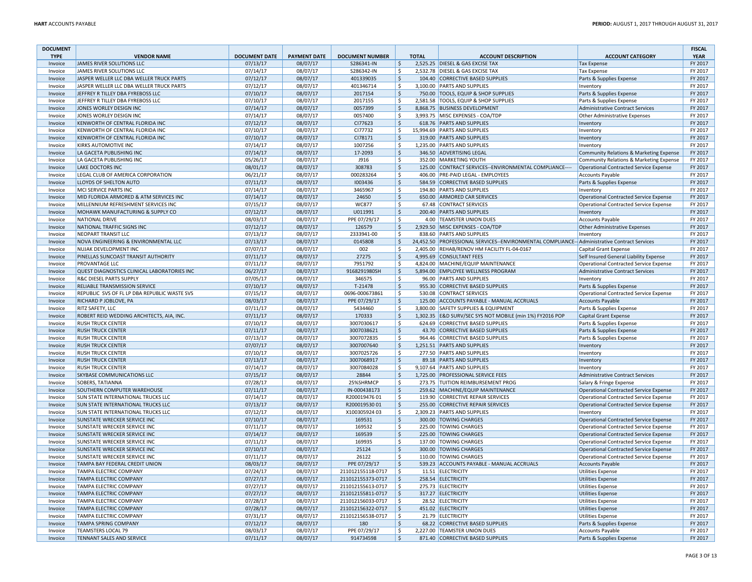| <b>DOCUMENT</b> |                                                                     |                      |                     |                        |                     |              |                                                                                              |                                                    | <b>FISCAL</b> |
|-----------------|---------------------------------------------------------------------|----------------------|---------------------|------------------------|---------------------|--------------|----------------------------------------------------------------------------------------------|----------------------------------------------------|---------------|
| <b>TYPE</b>     | <b>VENDOR NAME</b>                                                  | <b>DOCUMENT DATE</b> | <b>PAYMENT DATE</b> | <b>DOCUMENT NUMBER</b> |                     | <b>TOTAL</b> | <b>ACCOUNT DESCRIPTION</b>                                                                   | <b>ACCOUNT CATEGORY</b>                            | <b>YEAR</b>   |
| Invoice         | JAMES RIVER SOLUTIONS LLC                                           | 07/13/17             | 08/07/17            | S286341-IN             | \$                  |              | 2,525.25 DIESEL & GAS EXCISE TAX                                                             | <b>Tax Expense</b>                                 | FY 2017       |
| Invoice         | JAMES RIVER SOLUTIONS LLC                                           | 07/14/17             | 08/07/17            | S286342-IN             | \$                  |              | 2,532.78 DIESEL & GAS EXCISE TAX                                                             | <b>Tax Expense</b>                                 | FY 2017       |
| Invoice         | JASPER WELLER LLC DBA WELLER TRUCK PARTS                            | 07/12/17             | 08/07/17            | 401339035              | \$                  |              | 104.40 CORRECTIVE BASED SUPPLIES                                                             | Parts & Supplies Expense                           | FY 2017       |
| Invoice         | JASPER WELLER LLC DBA WELLER TRUCK PARTS                            | 07/12/17             | 08/07/17            | 401346714              | \$                  |              | 3,100.00 PARTS AND SUPPLIES                                                                  | Inventory                                          | FY 2017       |
| Invoice         | JEFFREY R TILLEY DBA FYREBOSS LLC                                   | 07/10/17             | 08/07/17            | 2017154                | \$                  |              | 750.00 TOOLS, EQUIP & SHOP SUPPLIES                                                          | Parts & Supplies Expense                           | FY 2017       |
| Invoice         | JEFFREY R TILLEY DBA FYREBOSS LLC                                   | 07/10/17             | 08/07/17            | 2017155                | \$                  |              | 2,581.58   TOOLS, EQUIP & SHOP SUPPLIES                                                      | Parts & Supplies Expense                           | FY 2017       |
| Invoice         | JONES WORLEY DESIGN INC                                             | 07/14/17             | 08/07/17            | 0057399                | $\zeta$             |              | 8,868.75 BUSINESS DEVELOPMENT                                                                | Administrative Contract Services                   | FY 2017       |
| Invoice         | JONES WORLEY DESIGN INC                                             | 07/14/17             | 08/07/17            | 0057400                | \$                  |              | 3,993.75 MISC EXPENSES - COA/TDP                                                             | Other Administrative Expenses                      | FY 2017       |
| Invoice         | KENWORTH OF CENTRAL FLORIDA INC                                     | 07/12/17             | 08/07/17            | CI77623                | \$                  |              | 618.76 PARTS AND SUPPLIES                                                                    | Inventory                                          | FY 2017       |
| Invoice         | KENWORTH OF CENTRAL FLORIDA INC                                     | 07/10/17             | 08/07/17            | CI77732                | \$                  |              | 15,994.69 PARTS AND SUPPLIES                                                                 | Inventory                                          | FY 2017       |
| Invoice         | KENWORTH OF CENTRAL FLORIDA INC                                     | 07/10/17             | 08/07/17            | CI78171                | \$                  |              | 319.00 PARTS AND SUPPLIES                                                                    | Inventory                                          | FY 2017       |
| Invoice         | KIRKS AUTOMOTIVE INC                                                | 07/14/17             | 08/07/17            | 1007256                | \$                  |              | 1,235.00 PARTS AND SUPPLIES                                                                  | Inventory                                          | FY 2017       |
| Invoice         | LA GACETA PUBLISHING INC                                            | 07/14/17             | 08/07/17            | 17-2093                | \$                  |              | 346.50 ADVERTISING LEGAL                                                                     | <b>Community Relations &amp; Marketing Expense</b> | FY 2017       |
| Invoice         | LA GACETA PUBLISHING INC                                            | 05/26/17             | 08/07/17            | J916                   | \$                  |              | 352.00 MARKETING YOUTH                                                                       | Community Relations & Marketing Expense            | FY 2017       |
| Invoice         | <b>LAKE DOCTORS INC</b>                                             | 08/01/17             | 08/07/17            | 308783                 | \$                  |              | 125.00 CONTRACT SERVICES--ENVIRONMENTAL COMPLIANCE---                                        | Operational Contracted Service Expense             | FY 2017       |
| Invoice         | LEGAL CLUB OF AMERICA CORPORATION                                   | 06/21/17             | 08/07/17            | 000283264              | \$                  |              | 406.00 PRE-PAID LEGAL - EMPLOYEES                                                            | <b>Accounts Payable</b>                            | FY 2017       |
| Invoice         | LLOYDS OF SHELTON AUTO                                              | 07/11/17             | 08/07/17            | 1003436                | \$                  |              | 584.59 CORRECTIVE BASED SUPPLIES                                                             | Parts & Supplies Expense                           | FY 2017       |
| Invoice         | MCI SERVICE PARTS INC                                               | 07/14/17             | 08/07/17            | 3465967                | \$                  |              | 194.80 PARTS AND SUPPLIES                                                                    | Inventory                                          | FY 2017       |
| Invoice         | MID FLORIDA ARMORED & ATM SERVICES INC                              | 07/14/17             | 08/07/17            | 24650                  | $\zeta$             |              | 650.00 ARMORED CAR SERVICES                                                                  | <b>Operational Contracted Service Expense</b>      | FY 2017       |
| Invoice         | MILLENNIUM REFRESHMENT SERVICES INC                                 | 07/15/17             | 08/07/17            | <b>WC877</b>           | \$                  |              | 67.48 CONTRACT SERVICES                                                                      | <b>Operational Contracted Service Expense</b>      | FY 2017       |
| Invoice         | MOHAWK MANUFACTURING & SUPPLY CO                                    | 07/12/17             | 08/07/17            | U011991                | \$                  |              | 200.40 PARTS AND SUPPLIES                                                                    | Inventory                                          | FY 2017       |
| Invoice         | NATIONAL DRIVE                                                      | 08/03/17             | 08/07/17            | PPE 07/29/17           | \$                  |              | 4.00 TEAMSTER UNION DUES                                                                     | <b>Accounts Payable</b>                            | FY 2017       |
| Invoice         | NATIONAL TRAFFIC SIGNS INC                                          | 07/12/17             | 08/07/17            | 126579                 | \$                  |              | 2,929.50 MISC EXPENSES - COA/TDP                                                             | Other Administrative Expenses                      | FY 2017       |
| Invoice         | NEOPART TRANSIT LLC                                                 | 07/13/17             | 08/07/17            | 2333941-00             | \$                  |              | 838.60 PARTS AND SUPPLIES                                                                    | Inventory                                          | FY 2017       |
| Invoice         | NOVA ENGINEERING & ENVIRONMENTAL LLC                                | 07/13/17             | 08/07/17            | 0145808                | Ś                   |              | 24,452.50 PROFESSIONAL SERVICES--ENVIRONMENTAL COMPLIANCE-- Administrative Contract Services |                                                    | FY 2017       |
| Invoice         | NUJAK DEVELOPMENT INC                                               | 07/07/17             | 08/07/17            | 002                    | \$                  |              | 2,405.00 REHAB/RENOV HM FACILITY FL-04-0167                                                  | Capital Grant Expense                              | FY 2017       |
| Invoice         | PINELLAS SUNCOAST TRANSIT AUTHORITY                                 | 07/11/17             | 08/07/17            | 27275                  | \$                  |              | 4,995.69 CONSULTANT FEES                                                                     | Self Insured General Liability Expense             | FY 2017       |
| Invoice         | <b>PROVANTAGE LLC</b>                                               | 07/11/17             | 08/07/17            | 7951792                | \$                  |              | 4,824.00 MACHINE/EQUIP MAINTENANCE                                                           | <b>Operational Contracted Service Expense</b>      | FY 2017       |
| Invoice         | QUEST DIAGNOSTICS CLINICAL LABORATORIES INC                         | 06/27/17             | 08/07/17            | 9168291980SH           | \$                  |              | 5,894.00 EMPLOYEE WELLNESS PROGRAM                                                           | <b>Administrative Contract Services</b>            | FY 2017       |
| Invoice         | <b>R&amp;C DIESEL PARTS SUPPLY</b>                                  | 07/05/17             | 08/07/17            | 346575                 | \$                  |              | 96.00 PARTS AND SUPPLIES                                                                     | Inventory                                          | FY 2017       |
| Invoice         | RELIABLE TRANSMISSION SERVICE                                       | 07/10/17             | 08/07/17            | T-21478                | \$                  |              | 955.30 CORRECTIVE BASED SUPPLIES                                                             | Parts & Supplies Expense                           | FY 2017       |
| Invoice         | REPUBLIC SVS OF FL LP DBA REPUBLIC WASTE SVS                        | 07/15/17             | 08/07/17            | 0696-000673861         | \$                  |              | 530.08 CONTRACT SERVICES                                                                     | Operational Contracted Service Expense             | FY 2017       |
| Invoice         | RICHARD P JOBLOVE, PA                                               | 08/03/17             | 08/07/17            | PPE 07/29/17           | $\zeta$             |              | 125.00 ACCOUNTS PAYABLE - MANUAL ACCRUALS                                                    | Accounts Payable                                   | FY 2017       |
| Invoice         | <b>RITZ SAFETY, LLC</b>                                             | 07/11/17             | 08/07/17            | 5434460                | Ś                   |              | 3,800.00 SAFETY SUPPLIES & EQUIPMENT                                                         | Parts & Supplies Expense                           | FY 2017       |
| Invoice         | ROBERT REID WEDDING ARCHITECTS, AIA, INC.                           | 07/11/17             | 08/07/17            | 170333                 | \$                  |              | 1,302.35 E&D SURV/SEC SYS NOT MOBILE (min 1%) FY2016 POP                                     | <b>Capital Grant Expense</b>                       | FY 2017       |
| Invoice         | <b>RUSH TRUCK CENTER</b>                                            | 07/10/17             | 08/07/17            | 3007030617             | \$                  |              | 624.69 CORRECTIVE BASED SUPPLIES                                                             | Parts & Supplies Expense                           | FY 2017       |
| Invoice         | <b>RUSH TRUCK CENTER</b>                                            | 07/11/17             | 08/07/17            | 3007038621             | \$                  |              | 43.70 CORRECTIVE BASED SUPPLIES                                                              | Parts & Supplies Expense                           | FY 2017       |
| Invoice         | <b>RUSH TRUCK CENTER</b>                                            | 07/13/17             | 08/07/17            | 3007072835             | \$                  |              | 964.46 CORRECTIVE BASED SUPPLIES                                                             | Parts & Supplies Expense                           | FY 2017       |
| Invoice         | <b>RUSH TRUCK CENTER</b>                                            | 07/07/17             | 08/07/17            | 3007007640             | \$                  |              | 1,251.51 PARTS AND SUPPLIES                                                                  | Inventory                                          | FY 2017       |
| Invoice         | <b>RUSH TRUCK CENTER</b>                                            | 07/10/17             | 08/07/17            | 3007025726             | \$                  |              | 277.50 PARTS AND SUPPLIES                                                                    | Inventory                                          | FY 2017       |
| Invoice         | <b>RUSH TRUCK CENTER</b>                                            | 07/13/17             | 08/07/17            | 3007068917             | \$                  |              | 89.18 PARTS AND SUPPLIES                                                                     | Inventory                                          | FY 2017       |
| Invoice         | <b>RUSH TRUCK CENTER</b>                                            | 07/14/17             | 08/07/17            | 3007084028             | \$                  |              | 9,107.64 PARTS AND SUPPLIES                                                                  | Inventory                                          | FY 2017       |
| Invoice         | SKYBASE COMMUNICATIONS LLC                                          | 07/15/17             | 08/07/17            | 28844                  | \$                  |              | 1,725.00 PROFESSIONAL SERVICE FEES                                                           | <b>Administrative Contract Services</b>            | FY 2017       |
| Invoice         | <b>SOBERS, TATIANNA</b>                                             | 07/28/17             | 08/07/17            | 25%SHRMCP              | \$                  |              | 273.75 TUITION REIMBURSEMENT PROG                                                            | Salary & Fringe Expense                            | FY 2017       |
| Invoice         | SOUTHERN COMPUTER WAREHOUSE                                         | 07/11/17             | 08/07/17            | IN-000438173           | $\ddot{\varsigma}$  |              | 259.62 MACHINE/EQUIP MAINTENANCE                                                             | Operational Contracted Service Expense             | FY 2017       |
| Invoice         | <b>SUN STATE INTERNATIONAL TRUCKS LLC</b>                           | 07/14/17             | 08/07/17            | R20001947601           | \$                  |              | 119.90 CORRECTIVE REPAIR SERVICES                                                            | <b>Operational Contracted Service Expense</b>      | FY 2017       |
| Invoice         | <b>SUN STATE INTERNATIONAL TRUCKS LLC</b>                           | 07/13/17             | 08/07/17            | R20001953001           | \$                  |              | 255.00 CORRECTIVE REPAIR SERVICES                                                            | <b>Operational Contracted Service Expense</b>      | FY 2017       |
| Invoice         | <b>SUN STATE INTERNATIONAL TRUCKS LLC</b>                           | 07/12/17             | 08/07/17            | X100305924 03          | \$                  |              | 2,309.23 PARTS AND SUPPLIES                                                                  | Inventory                                          | FY 2017       |
| Invoice         | <b>SUNSTATE WRECKER SERVICE INC</b>                                 | 07/10/17             | 08/07/17            | 169531                 | \$                  |              | 300.00 TOWING CHARGES                                                                        | <b>Operational Contracted Service Expense</b>      | FY 2017       |
| Invoice         | <b>SUNSTATE WRECKER SERVICE INC</b>                                 | 07/11/17             | 08/07/17            | 169532                 | \$                  |              | 225.00 TOWING CHARGES                                                                        | <b>Operational Contracted Service Expense</b>      | FY 2017       |
|                 |                                                                     | 07/14/17             | 08/07/17            | 169539                 | \$                  |              | 225.00 TOWING CHARGES                                                                        |                                                    | FY 2017       |
| Invoice         | <b>SUNSTATE WRECKER SERVICE INC</b><br>SUNSTATE WRECKER SERVICE INC | 07/11/17             | 08/07/17            | 169935                 | \$                  |              | 137.00 TOWING CHARGES                                                                        | <b>Operational Contracted Service Expense</b>      | FY 2017       |
| Invoice         |                                                                     |                      |                     |                        |                     |              |                                                                                              | <b>Operational Contracted Service Expense</b>      |               |
| Invoice         | SUNSTATE WRECKER SERVICE INC<br>SUNSTATE WRECKER SERVICE INC        | 07/10/17             | 08/07/17            | 25124                  | \$                  |              | 300.00 TOWING CHARGES<br>110.00 TOWING CHARGES                                               | <b>Operational Contracted Service Expense</b>      | FY 2017       |
| Invoice         |                                                                     | 07/11/17             | 08/07/17            | 26122                  | \$                  |              |                                                                                              | <b>Operational Contracted Service Expense</b>      | FY 2017       |
| Invoice         | TAMPA BAY FEDERAL CREDIT UNION                                      | 08/03/17             | 08/07/17            | PPE 07/29/17           | $\zeta$             |              | 539.23 ACCOUNTS PAYABLE - MANUAL ACCRUALS                                                    | <b>Accounts Payable</b>                            | FY 2017       |
| Invoice         | TAMPA ELECTRIC COMPANY                                              | 07/24/17             | 08/07/17            | 211012155118-0717      | $\ddot{\mathsf{S}}$ |              | 11.51 ELECTRICITY                                                                            | <b>Utilities Expense</b>                           | FY 2017       |
| Invoice         | TAMPA ELECTRIC COMPANY                                              | 07/27/17             | 08/07/17            | 211012155373-0717      | $\zeta$             |              | 258.54 ELECTRICITY                                                                           | <b>Utilities Expense</b>                           | FY 2017       |
| Invoice         | <b>TAMPA ELECTRIC COMPANY</b>                                       | 07/27/17             | 08/07/17            | 211012155613-0717      | \$                  |              | 275.73 ELECTRICITY                                                                           | <b>Utilities Expense</b>                           | FY 2017       |
| Invoice         | <b>TAMPA ELECTRIC COMPANY</b>                                       | 07/27/17             | 08/07/17            | 211012155811-0717      | \$                  |              | 317.27 ELECTRICITY                                                                           | <b>Utilities Expense</b>                           | FY 2017       |
| Invoice         | <b>TAMPA ELECTRIC COMPANY</b>                                       | 07/28/17             | 08/07/17            | 211012156033-0717      | \$                  |              | 28.52 ELECTRICITY                                                                            | <b>Utilities Expense</b>                           | FY 2017       |
| Invoice         | <b>TAMPA ELECTRIC COMPANY</b>                                       | 07/28/17             | 08/07/17            | 211012156322-0717      | \$                  |              | 451.02 ELECTRICITY                                                                           | <b>Utilities Expense</b>                           | FY 2017       |
| Invoice         | <b>TAMPA ELECTRIC COMPANY</b>                                       | 07/31/17             | 08/07/17            | 211012156538-0717      | \$                  |              | 21.79 ELECTRICITY                                                                            | <b>Utilities Expense</b>                           | FY 2017       |
| Invoice         | <b>TAMPA SPRING COMPANY</b>                                         | 07/12/17             | 08/07/17            | 180                    | \$                  |              | 68.22 CORRECTIVE BASED SUPPLIES                                                              | Parts & Supplies Expense                           | FY 2017       |
| Invoice         | <b>TEAMSTERS LOCAL 79</b>                                           | 08/03/17             | 08/07/17            | PPE 07/29/17           | \$                  |              | 2,227.00 TEAMSTER UNION DUES                                                                 | <b>Accounts Payable</b>                            | FY 2017       |
| Invoice         | <b>TENNANT SALES AND SERVICE</b>                                    | 07/11/17             | 08/07/17            | 914734598              | \$                  |              | 871.40 CORRECTIVE BASED SUPPLIES                                                             | Parts & Supplies Expense                           | FY 2017       |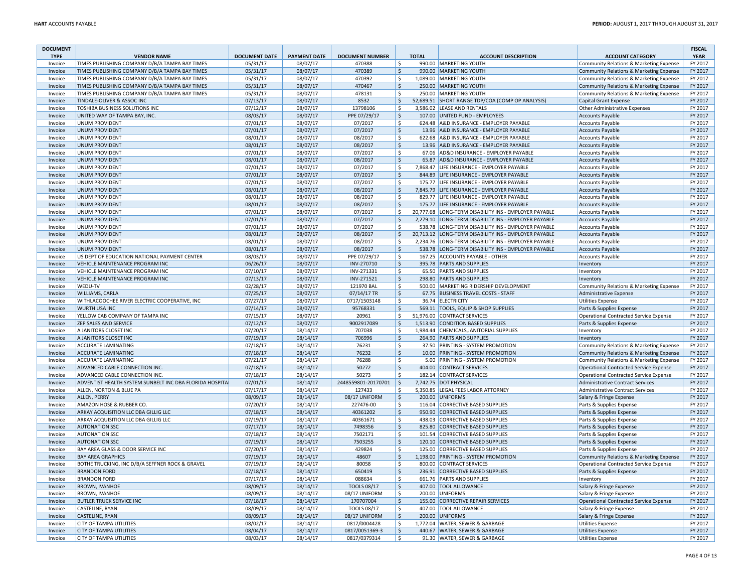| <b>DOCUMENT</b>    |                                                                                                  |                      |                      |                        |                          |              |                                                                                        |                                                                                    | <b>FISCAL</b>      |
|--------------------|--------------------------------------------------------------------------------------------------|----------------------|----------------------|------------------------|--------------------------|--------------|----------------------------------------------------------------------------------------|------------------------------------------------------------------------------------|--------------------|
| <b>TYPE</b>        | <b>VENDOR NAME</b>                                                                               | <b>DOCUMENT DATE</b> | <b>PAYMENT DATE</b>  | <b>DOCUMENT NUMBER</b> |                          | <b>TOTAL</b> | <b>ACCOUNT DESCRIPTION</b>                                                             | <b>ACCOUNT CATEGORY</b>                                                            | <b>YEAR</b>        |
| Invoice            | TIMES PUBLISHING COMPANY D/B/A TAMPA BAY TIMES                                                   | 05/31/17             | 08/07/17             | 470388                 | $\mathsf{\hat{S}}$       |              | 990.00 MARKETING YOUTH                                                                 | Community Relations & Marketing Expense                                            | FY 2017            |
| Invoice            | TIMES PUBLISHING COMPANY D/B/A TAMPA BAY TIMES<br>TIMES PUBLISHING COMPANY D/B/A TAMPA BAY TIMES | 05/31/17             | 08/07/17<br>08/07/17 | 470389<br>470392       | $\zeta$<br>\$            |              | 990.00 MARKETING YOUTH<br>1,089.00 MARKETING YOUTH                                     | Community Relations & Marketing Expense                                            | FY 2017<br>FY 2017 |
| Invoice<br>Invoice | TIMES PUBLISHING COMPANY D/B/A TAMPA BAY TIMES                                                   | 05/31/17<br>05/31/17 | 08/07/17             | 470467                 | $\zeta$                  |              | 250.00 MARKETING YOUTH                                                                 | Community Relations & Marketing Expense<br>Community Relations & Marketing Expense | FY 2017            |
| Invoice            | TIMES PUBLISHING COMPANY D/B/A TAMPA BAY TIMES                                                   | 05/31/17             | 08/07/17             | 478131                 | \$                       |              | 250.00 MARKETING YOUTH                                                                 | Community Relations & Marketing Expense                                            | FY 2017            |
| Invoice            | TINDALE-OLIVER & ASSOC INC                                                                       | 07/13/17             | 08/07/17             | 8532                   | \$                       |              | 52,689.51 SHORT RANGE TDP/COA (COMP OP ANALYSIS)                                       | Capital Grant Expense                                                              | FY 2017            |
| Invoice            | TOSHIBA BUSINESS SOLUTIONS INC                                                                   | 07/12/17             | 08/07/17             | 13798106               | \$                       |              | 3,586.02 LEASE AND RENTALS                                                             | Other Administrative Expenses                                                      | FY 2017            |
| Invoice            | UNITED WAY OF TAMPA BAY, INC.                                                                    | 08/03/17             | 08/07/17             | PPE 07/29/17           | \$                       |              | 107.00 UNITED FUND - EMPLOYEES                                                         | Accounts Payable                                                                   | FY 2017            |
| Invoice            | <b>UNUM PROVIDENT</b>                                                                            | 07/01/17             | 08/07/17             | 07/2017                | \$                       |              | 624.48 A&D INSURANCE - EMPLOYER PAYABLE                                                | Accounts Payable                                                                   | FY 2017            |
| Invoice            | <b>UNUM PROVIDENT</b>                                                                            | 07/01/17             | 08/07/17             | 07/2017                | $\zeta$                  |              | 13.96 A&D INSURANCE - EMPLOYER PAYABLE                                                 | <b>Accounts Payable</b>                                                            | FY 2017            |
| Invoice            | <b>UNUM PROVIDENT</b>                                                                            | 08/01/17             | 08/07/17             | 08/2017                | \$                       |              | 622.68 A&D INSURANCE - EMPLOYER PAYABLE                                                | Accounts Payable                                                                   | FY 2017            |
| Invoice            | <b>UNUM PROVIDENT</b>                                                                            | 08/01/17             | 08/07/17             | 08/2017                | \$                       |              | 13.96 A&D INSURANCE - EMPLOYER PAYABLE                                                 | Accounts Payable                                                                   | FY 2017            |
| Invoice            | <b>UNUM PROVIDENT</b>                                                                            | 07/01/17             | 08/07/17             | 07/2017                | \$                       | 67.06        | AD&D INSURANCE - EMPLOYER PAYABLE                                                      | Accounts Payable                                                                   | FY 2017            |
| Invoice            | <b>UNUM PROVIDENT</b>                                                                            | 08/01/17             | 08/07/17             | 08/2017                | $\zeta$                  | 65.87        | AD&D INSURANCE - EMPLOYER PAYABLE                                                      | Accounts Payable                                                                   | FY 2017            |
| Invoice            | <b>UNUM PROVIDENT</b>                                                                            | 07/01/17             | 08/07/17             | 07/2017                | $\mathsf{\hat{S}}$       |              | 7,868.47 LIFE INSURANCE - EMPLOYER PAYABLE                                             | Accounts Payable                                                                   | FY 2017            |
| Invoice            | <b>UNUM PROVIDENT</b>                                                                            | 07/01/17             | 08/07/17             | 07/2017                | $\zeta$                  |              | 844.89 LIFE INSURANCE - EMPLOYER PAYABLE                                               | Accounts Payable                                                                   | FY 2017            |
| Invoice            | <b>UNUM PROVIDENT</b>                                                                            | 07/01/17             | 08/07/17             | 07/2017                | \$                       |              | 175.77 LIFE INSURANCE - EMPLOYER PAYABLE                                               | Accounts Payable                                                                   | FY 2017<br>FY 2017 |
| Invoice<br>Invoice | <b>UNUM PROVIDENT</b><br><b>UNUM PROVIDENT</b>                                                   | 08/01/17<br>08/01/17 | 08/07/17<br>08/07/17 | 08/2017<br>08/2017     | $\zeta$<br>\$            |              | 7,845.79 LIFE INSURANCE - EMPLOYER PAYABLE<br>829.77 LIFE INSURANCE - EMPLOYER PAYABLE | <b>Accounts Payable</b><br>Accounts Payable                                        | FY 2017            |
| Invoice            | <b>UNUM PROVIDENT</b>                                                                            | 08/01/17             | 08/07/17             | 08/2017                | $\ddot{\varsigma}$       |              | 175.77 LIFE INSURANCE - EMPLOYER PAYABLE                                               | Accounts Payable                                                                   | FY 2017            |
| Invoice            | <b>UNUM PROVIDENT</b>                                                                            | 07/01/17             | 08/07/17             | 07/2017                | \$                       |              | 20,777.68 LONG-TERM DISABILITY INS - EMPLOYER PAYABLE                                  | Accounts Payable                                                                   | FY 2017            |
| Invoice            | <b>UNUM PROVIDENT</b>                                                                            | 07/01/17             | 08/07/17             | 07/2017                | $\zeta$                  |              | 2,279.10 LONG-TERM DISABILITY INS - EMPLOYER PAYABLE                                   | Accounts Payable                                                                   | FY 2017            |
| Invoice            | <b>UNUM PROVIDENT</b>                                                                            | 07/01/17             | 08/07/17             | 07/2017                | $\mathsf{\hat{S}}$       |              | 538.78 LONG-TERM DISABILITY INS - EMPLOYER PAYABLE                                     | Accounts Payable                                                                   | FY 2017            |
| Invoice            | <b>UNUM PROVIDENT</b>                                                                            | 08/01/17             | 08/07/17             | 08/2017                | \$                       |              | 20,713.12 LONG-TERM DISABILITY INS - EMPLOYER PAYABLE                                  | Accounts Payable                                                                   | FY 2017            |
| Invoice            | <b>UNUM PROVIDENT</b>                                                                            | 08/01/17             | 08/07/17             | 08/2017                | \$                       |              | 2,234.76 LONG-TERM DISABILITY INS - EMPLOYER PAYABLE                                   | Accounts Payable                                                                   | FY 2017            |
| Invoice            | <b>UNUM PROVIDENT</b>                                                                            | 08/01/17             | 08/07/17             | 08/2017                | $\zeta$                  | 538.78       | LONG-TERM DISABILITY INS - EMPLOYER PAYABLE                                            | Accounts Payable                                                                   | FY 2017            |
| Invoice            | US DEPT OF EDUCATION NATIONAL PAYMENT CENTER                                                     | 08/03/17             | 08/07/17             | PPE 07/29/17           | \$                       |              | 167.25 ACCOUNTS PAYABLE - OTHER                                                        | <b>Accounts Payable</b>                                                            | FY 2017            |
| Invoice            | VEHICLE MAINTENANCE PROGRAM INC                                                                  | 06/26/17             | 08/07/17             | INV-270710             | $\zeta$                  |              | 395.78 PARTS AND SUPPLIES                                                              | Inventory                                                                          | FY 2017            |
| Invoice            | VEHICLE MAINTENANCE PROGRAM INC                                                                  | 07/10/17             | 08/07/17             | INV-271331             | \$                       |              | 65.50 PARTS AND SUPPLIES                                                               | Inventory                                                                          | FY 2017            |
| Invoice            | VEHICLE MAINTENANCE PROGRAM INC                                                                  | 07/13/17             | 08/07/17             | INV-271521             | $\zeta$                  |              | 298.80 PARTS AND SUPPLIES                                                              | Inventory                                                                          | FY 2017            |
| Invoice            | WEDU-TV                                                                                          | 02/28/17             | 08/07/17             | 121970 BAL             | \$                       |              | 500.00 MARKETING RIDERSHIP DEVELOPMENT                                                 | Community Relations & Marketing Expense                                            | FY 2017            |
| Invoice            | WILLIAMS, CARLA                                                                                  | 07/25/17             | 08/07/17             | 07/14/17 TR            | \$                       |              | 67.75 BUSINESS TRAVEL COSTS - STAFF                                                    | Administrative Expense                                                             | FY 2017            |
| Invoice            | WITHLACOOCHEE RIVER ELECTRIC COOPERATIVE, INC                                                    | 07/27/17             | 08/07/17             | 0717/1503148           | \$                       |              | 36.74 ELECTRICITY                                                                      | <b>Utilities Expense</b>                                                           | FY 2017            |
| Invoice            | WURTH USA INC                                                                                    | 07/14/17             | 08/07/17             | 95768331               | $\zeta$                  |              | 569.11 TOOLS, EQUIP & SHOP SUPPLIES                                                    | Parts & Supplies Expense                                                           | FY 2017            |
| Invoice            | YELLOW CAB COMPANY OF TAMPA INC                                                                  | 07/15/17             | 08/07/17             | 20961                  | \$                       |              | 51,976.00 CONTRACT SERVICES                                                            | <b>Operational Contracted Service Expense</b>                                      | FY 2017            |
| Invoice<br>Invoice | ZEP SALES AND SERVICE<br>A JANITORS CLOSET INC                                                   | 07/12/17<br>07/20/17 | 08/07/17<br>08/14/17 | 9002917089<br>707038   | $\zeta$                  |              | 1,513.90 CONDITION BASED SUPPLIES<br>1,984.44 CHEMICALS, JANITORIAL SUPPLIES           | Parts & Supplies Expense                                                           | FY 2017<br>FY 2017 |
| Invoice            | A JANITORS CLOSET INC                                                                            | 07/19/17             | 08/14/17             | 706996                 | \$.<br>\$                |              | 264.90 PARTS AND SUPPLIES                                                              | Inventory<br>Inventory                                                             | FY 2017            |
| Invoice            | ACCURATE LAMINATING                                                                              | 07/18/17             | 08/14/17             | 76231                  | \$                       |              | 37.50 PRINTING - SYSTEM PROMOTION                                                      | Community Relations & Marketing Expense                                            | FY 2017            |
| Invoice            | <b>ACCURATE LAMINATING</b>                                                                       | 07/18/17             | 08/14/17             | 76232                  | $\zeta$                  |              | 10.00 PRINTING - SYSTEM PROMOTION                                                      | Community Relations & Marketing Expense                                            | FY 2017            |
| Invoice            | <b>ACCURATE LAMINATING</b>                                                                       | 07/21/17             | 08/14/17             | 76288                  | \$                       |              | 5.00 PRINTING - SYSTEM PROMOTION                                                       | Community Relations & Marketing Expense                                            | FY 2017            |
| Invoice            | ADVANCED CABLE CONNECTION INC.                                                                   | 07/18/17             | 08/14/17             | 50272                  | $\zeta$                  |              | 404.00 CONTRACT SERVICES                                                               | Operational Contracted Service Expense                                             | FY 2017            |
| Invoice            | ADVANCED CABLE CONNECTION INC                                                                    | 07/18/17             | 08/14/17             | 50273                  | \$                       |              | 182.14 CONTRACT SERVICES                                                               | Operational Contracted Service Expense                                             | FY 2017            |
| Invoice            | ADVENTIST HEALTH SYSTEM SUNBELT INC DBA FLORIDA HOSPITA                                          | 07/01/17             | 08/14/17             | 2448559801-20170701    | $\mathsf{S}$             |              | 7,742.75 DOT PHYSICAL                                                                  | <b>Administrative Contract Services</b>                                            | FY 2017            |
| Invoice            | ALLEN, NORTON & BLUE PA                                                                          | 07/17/17             | 08/14/17             | 127433                 | \$                       |              | 5,350.85 LEGAL FEES LABOR ATTORNEY                                                     | Administrative Contract Services                                                   | FY 2017            |
| Invoice            | ALLEN, PERRY                                                                                     | 08/09/17             | 08/14/17             | 08/17 UNIFORM          | $\mathsf{S}$             |              | 200.00 UNIFORMS                                                                        | Salary & Fringe Expense                                                            | FY 2017            |
| Invoice            | AMAZON HOSE & RUBBER CO.                                                                         | 07/20/17             | 08/14/17             | 227476-00              | \$                       |              | 116.04 CORRECTIVE BASED SUPPLIES                                                       | Parts & Supplies Expense                                                           | FY 2017            |
| Invoice            | ARKAY ACQUISITION LLC DBA GILLIG LLC                                                             | 07/18/17             | 08/14/17             | 40361202               | $\zeta$                  | 950.90       | <b>CORRECTIVE BASED SUPPLIES</b>                                                       | Parts & Supplies Expense                                                           | FY 2017            |
| Invoice            | ARKAY ACQUISITION LLC DBA GILLIG LLC                                                             | 07/19/17             | 08/14/17             | 40361671               | \$                       |              | 438.03 CORRECTIVE BASED SUPPLIES                                                       | Parts & Supplies Expense                                                           | FY 2017            |
| Invoice            | <b>AUTONATION SSC</b>                                                                            | 07/17/17             | 08/14/17             | 7498356                | $\mathsf{S}$             | 825.80       | <b>CORRECTIVE BASED SUPPLIES</b>                                                       | Parts & Supplies Expense                                                           | FY 2017            |
| Invoice            | <b>AUTONATION SSC</b>                                                                            | 07/18/17             | 08/14/17             | 7502171                | \$                       | 101.54       | CORRECTIVE BASED SUPPLIES                                                              | Parts & Supplies Expense                                                           | FY 2017            |
| Invoice            | <b>AUTONATION SSC</b>                                                                            | 07/19/17             | 08/14/17             | 7503255                | \$                       |              | 120.10 CORRECTIVE BASED SUPPLIES                                                       | Parts & Supplies Expense                                                           | FY 2017            |
| Invoice            | BAY AREA GLASS & DOOR SERVICE INC                                                                | 07/20/17             | 08/14/17             | 429824<br>48607        | \$                       |              | 125.00 CORRECTIVE BASED SUPPLIES<br>1,198.00 PRINTING - SYSTEM PROMOTION               | Parts & Supplies Expense                                                           | FY 2017            |
| Invoice            | <b>BAY AREA GRAPHICS</b><br>BOTHE TRUCKING, INC D/B/A SEFFNER ROCK & GRAVEL                      | 07/19/17<br>07/19/17 | 08/14/17<br>08/14/17 | 80058                  | $\ddot{\varsigma}$<br>\$ |              | 800.00 CONTRACT SERVICES                                                               | Community Relations & Marketing Expense                                            | FY 2017<br>FY 2017 |
| Invoice<br>Invoice | <b>BRANDON FORD</b>                                                                              | 07/18/17             | 08/14/17             | 650419                 | $\zeta$                  |              | 236.91 CORRECTIVE BASED SUPPLIES                                                       | Operational Contracted Service Expense<br>Parts & Supplies Expense                 | FY 2017            |
| Invoice            | <b>BRANDON FORD</b>                                                                              | 07/17/17             | 08/14/17             | 088634                 | \$                       |              | 661.76 PARTS AND SUPPLIES                                                              | Inventory                                                                          | FY 2017            |
| Invoice            | <b>BROWN, IVANHOE</b>                                                                            | 08/09/17             | 08/14/17             | <b>TOOLS 08/17</b>     | \$                       |              | 407.00 TOOL ALLOWANCE                                                                  | Salary & Fringe Expense                                                            | FY 2017            |
| Invoice            | <b>BROWN, IVANHOE</b>                                                                            | 08/09/17             | 08/14/17             | 08/17 UNIFORM          | \$                       | 200.00       | <b>UNIFORMS</b>                                                                        | Salary & Fringe Expense                                                            | FY 2017            |
| Invoice            | <b>BUTLER TRUCK SERVICE INC</b>                                                                  | 07/18/17             | 08/14/17             | 170707004              | $\zeta$                  |              | 155.00 CORRECTIVE REPAIR SERVICES                                                      | Operational Contracted Service Expense                                             | FY 2017            |
| Invoice            | CASTELINE, RYAN                                                                                  | 08/09/17             | 08/14/17             | TOOLS 08/17            | $\mathsf{\hat{S}}$       |              | 407.00 TOOL ALLOWANCE                                                                  | Salary & Fringe Expense                                                            | FY 2017            |
| Invoice            | <b>CASTELINE, RYAN</b>                                                                           | 08/09/17             | 08/14/17             | 08/17 UNIFORM          | $\zeta$                  |              | 200.00 UNIFORMS                                                                        | Salary & Fringe Expense                                                            | FY 2017            |
| Invoice            | CITY OF TAMPA UTILITIES                                                                          | 08/02/17             | 08/14/17             | 0817/0004428           | \$                       |              | 1,772.04 WATER, SEWER & GARBAGE                                                        | Utilities Expense                                                                  | FY 2017            |
| Invoice            | <b>CITY OF TAMPA UTILITIES</b>                                                                   | 08/04/17             | 08/14/17             | 0817/0051369-3         | $\zeta$                  |              | 440.67 WATER, SEWER & GARBAGE                                                          | <b>Utilities Expense</b>                                                           | FY 2017            |
| Invoice            | <b>CITY OF TAMPA UTILITIES</b>                                                                   | 08/03/17             | 08/14/17             | 0817/0379314           | \$                       |              | 91.30 WATER, SEWER & GARBAGE                                                           | <b>Utilities Expense</b>                                                           | FY 2017            |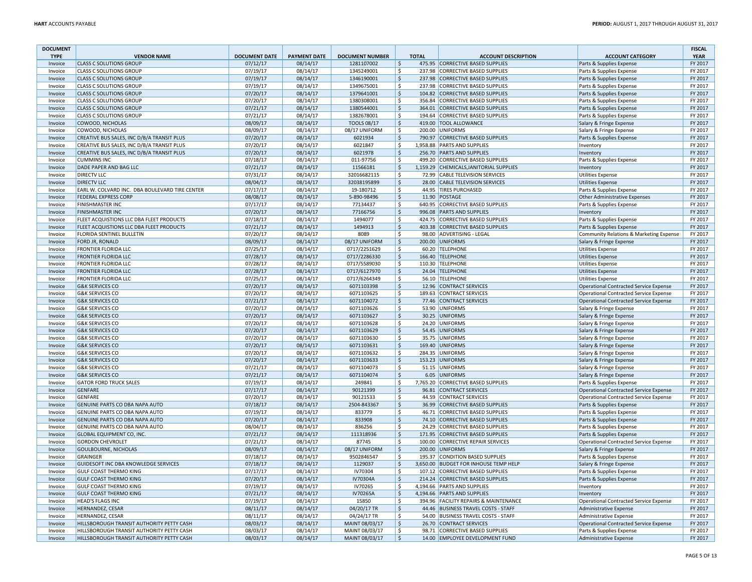| <b>DOCUMENT</b> |                                                |                      |                     |                        |         |              |                                         |                                               | <b>FISCAL</b> |
|-----------------|------------------------------------------------|----------------------|---------------------|------------------------|---------|--------------|-----------------------------------------|-----------------------------------------------|---------------|
| <b>TYPE</b>     | <b>VENDOR NAME</b>                             | <b>DOCUMENT DATE</b> | <b>PAYMENT DATE</b> | <b>DOCUMENT NUMBER</b> |         | <b>TOTAL</b> | <b>ACCOUNT DESCRIPTION</b>              | <b>ACCOUNT CATEGORY</b>                       | <b>YEAR</b>   |
| Invoice         | <b>CLASS C SOLUTIONS GROUP</b>                 | 07/12/17             | 08/14/17            | 1281107002             | \$      |              | 475.95 CORRECTIVE BASED SUPPLIES        | Parts & Supplies Expense                      | FY 2017       |
| Invoice         | <b>CLASS C SOLUTIONS GROUP</b>                 | 07/19/17             | 08/14/17            | 1345249001             | \$      |              | 237.98 CORRECTIVE BASED SUPPLIES        | Parts & Supplies Expense                      | FY 2017       |
| Invoice         | <b>CLASS C SOLUTIONS GROUP</b>                 | 07/19/17             | 08/14/17            | 1346190001             | \$      |              | 237.98 CORRECTIVE BASED SUPPLIES        | Parts & Supplies Expense                      | FY 2017       |
| Invoice         | <b>CLASS C SOLUTIONS GROUP</b>                 | 07/19/17             | 08/14/17            | 1349675001             | \$      | 237.98       | <b>CORRECTIVE BASED SUPPLIES</b>        | Parts & Supplies Expense                      | FY 2017       |
| Invoice         | <b>CLASS C SOLUTIONS GROUP</b>                 | 07/20/17             | 08/14/17            | 1379641001             | \$      | 104.82       | <b>CORRECTIVE BASED SUPPLIES</b>        | Parts & Supplies Expense                      | FY 2017       |
| Invoice         | <b>CLASS C SOLUTIONS GROUP</b>                 | 07/20/17             | 08/14/17            | 1380308001             | \$      | 356.84       | CORRECTIVE BASED SUPPLIES               | Parts & Supplies Expense                      | FY 2017       |
| Invoice         | <b>CLASS C SOLUTIONS GROUP</b>                 | 07/21/17             | 08/14/17            | 1380544001             | \$      | 364.01       | CORRECTIVE BASED SUPPLIES               | Parts & Supplies Expense                      | FY 2017       |
| Invoice         | <b>CLASS C SOLUTIONS GROUP</b>                 | 07/21/17             | 08/14/17            | 1382678001             | Ś.      |              | 194.64 CORRECTIVE BASED SUPPLIES        | Parts & Supplies Expense                      | FY 2017       |
| Invoice         | <b>COWOOD, NICHOLAS</b>                        | 08/09/17             | 08/14/17            | <b>TOOLS 08/17</b>     | \$      |              | 419.00 TOOL ALLOWANCE                   | Salary & Fringe Expense                       | FY 2017       |
| Invoice         | COWOOD, NICHOLAS                               | 08/09/17             | 08/14/17            | 08/17 UNIFORM          | \$      |              | 200.00 UNIFORMS                         | Salary & Fringe Expense                       | FY 2017       |
| Invoice         | CREATIVE BUS SALES, INC D/B/A TRANSIT PLUS     | 07/20/17             | 08/14/17            | 6021934                | \$      |              | 790.97 CORRECTIVE BASED SUPPLIES        | Parts & Supplies Expense                      | FY 2017       |
| Invoice         | CREATIVE BUS SALES, INC D/B/A TRANSIT PLUS     | 07/20/17             | 08/14/17            | 6021847                | \$      |              | 1,958.88 PARTS AND SUPPLIES             | Inventory                                     | FY 2017       |
| Invoice         | CREATIVE BUS SALES, INC D/B/A TRANSIT PLUS     | 07/20/17             | 08/14/17            | 6021978                | \$      |              | 256.70 PARTS AND SUPPLIES               | Inventory                                     | FY 2017       |
| Invoice         | <b>CUMMINS INC</b>                             | 07/18/17             | 08/14/17            | 011-97756              | \$      |              | 499.20 CORRECTIVE BASED SUPPLIES        | Parts & Supplies Expense                      | FY 2017       |
| Invoice         | DADE PAPER AND BAG LLC                         | 07/21/17             | 08/14/17            | 11566181               | \$      |              | 1,159.29 CHEMICALS, JANITORIAL SUPPLIES | Inventory                                     | FY 2017       |
| Invoice         | <b>DIRECTV LLC</b>                             | 07/31/17             | 08/14/17            | 32016682115            | \$      |              | 72.99 CABLE TELEVISION SERVICES         | <b>Utilities Expense</b>                      | FY 2017       |
| Invoice         | <b>DIRECTV LLC</b>                             | 08/04/17             | 08/14/17            | 32038195899            | \$      |              | 28.00 CABLE TELEVISION SERVICES         | <b>Utilities Expense</b>                      | FY 2017       |
| Invoice         | EARL W. COLVARD INC. DBA BOULEVARD TIRE CENTER | 07/17/17             | 08/14/17            | 19-180712              | \$      |              | 44.95 TIRES PURCHASED                   | Parts & Supplies Expense                      | FY 2017       |
| Invoice         | <b>FEDERAL EXPRESS CORP</b>                    | 08/08/17             | 08/14/17            | 5-890-98496            | \$      |              | 11.90 POSTAGE                           | Other Administrative Expenses                 | FY 2017       |
| Invoice         | <b>FINISHMASTER INC</b>                        | 07/17/17             | 08/14/17            | 77134437               | \$      |              | 640.95 CORRECTIVE BASED SUPPLIES        | Parts & Supplies Expense                      | FY 2017       |
| Invoice         | <b>FINISHMASTER INC</b>                        | 07/20/17             | 08/14/17            | 77166756               | \$      |              | 996.08 PARTS AND SUPPLIES               | Inventory                                     | FY 2017       |
| Invoice         | FLEET ACQUISTIONS LLC DBA FLEET PRODUCTS       | 07/18/17             | 08/14/17            | 1494077                | \$      |              | 424.75 CORRECTIVE BASED SUPPLIES        | Parts & Supplies Expense                      | FY 2017       |
| Invoice         | FLEET ACQUISTIONS LLC DBA FLEET PRODUCTS       | 07/21/17             | 08/14/17            | 1494913                | \$      |              | 403.38 CORRECTIVE BASED SUPPLIES        | Parts & Supplies Expense                      | FY 2017       |
| Invoice         | FLORIDA SENTINEL BULLETIN                      | 07/20/17             | 08/14/17            | 8089                   | \$      |              | 98.00 ADVERTISING - LEGAL               | Community Relations & Marketing Expense       | FY 2017       |
|                 |                                                |                      | 08/14/17            |                        | \$      |              | 200.00 UNIFORMS                         |                                               | FY 2017       |
| Invoice         | FORD JR, RONALD                                | 08/09/17             |                     | 08/17 UNIFORM          | \$      |              |                                         | Salary & Fringe Expense                       |               |
| Invoice         | <b>FRONTIER FLORIDA LLC</b>                    | 07/25/17             | 08/14/17            | 0717/2251629           |         |              | 60.20 TELEPHONE                         | <b>Utilities Expense</b>                      | FY 2017       |
| Invoice         | <b>FRONTIER FLORIDA LLC</b>                    | 07/28/17             | 08/14/17            | 0717/2286330           | \$      |              | 166.40 TELEPHONE                        | <b>Utilities Expense</b>                      | FY 2017       |
| Invoice         | <b>FRONTIER FLORIDA LLC</b>                    | 07/28/17             | 08/14/17            | 0717/5589030           | \$      |              | 110.30 TELEPHONE                        | <b>Utilities Expense</b>                      | FY 2017       |
| Invoice         | <b>FRONTIER FLORIDA LLC</b>                    | 07/28/17             | 08/14/17            | 0717/6127970           | \$      |              | 24.04 TELEPHONE                         | <b>Utilities Expense</b>                      | FY 2017       |
| Invoice         | <b>FRONTIER FLORIDA LLC</b>                    | 07/25/17             | 08/14/17            | 0717/6264349           | \$      |              | 56.10 TELEPHONE                         | <b>Utilities Expense</b>                      | FY 2017       |
| Invoice         | <b>G&amp;K SERVICES CO</b>                     | 07/20/17             | 08/14/17            | 6071103398             | \$      |              | 12.96 CONTRACT SERVICES                 | <b>Operational Contracted Service Expense</b> | FY 2017       |
| Invoice         | <b>G&amp;K SERVICES CO</b>                     | 07/20/17             | 08/14/17            | 6071103625             | \$      |              | 189.63 CONTRACT SERVICES                | Operational Contracted Service Expense        | FY 2017       |
| Invoice         | <b>G&amp;K SERVICES CO</b>                     | 07/21/17             | 08/14/17            | 6071104072             | \$      |              | 77.46 CONTRACT SERVICES                 | <b>Operational Contracted Service Expense</b> | FY 2017       |
| Invoice         | <b>G&amp;K SERVICES CO</b>                     | 07/20/17             | 08/14/17            | 6071103626             | \$      |              | 53.90 UNIFORMS                          | Salary & Fringe Expense                       | FY 2017       |
| Invoice         | <b>G&amp;K SERVICES CO</b>                     | 07/20/17             | 08/14/17            | 6071103627             | \$      |              | 30.25 UNIFORMS                          | Salary & Fringe Expense                       | FY 2017       |
| Invoice         | <b>G&amp;K SERVICES CO</b>                     | 07/20/17             | 08/14/17            | 6071103628             | \$      |              | 24.20 UNIFORMS                          | Salary & Fringe Expense                       | FY 2017       |
| Invoice         | <b>G&amp;K SERVICES CO</b>                     | 07/20/17             | 08/14/17            | 6071103629             | \$      |              | 54.45 UNIFORMS                          | Salary & Fringe Expense                       | FY 2017       |
| Invoice         | <b>G&amp;K SERVICES CO</b>                     | 07/20/17             | 08/14/17            | 6071103630             | \$      |              | 35.75 UNIFORMS                          | Salary & Fringe Expense                       | FY 2017       |
| Invoice         | <b>G&amp;K SERVICES CO</b>                     | 07/20/17             | 08/14/17            | 6071103631             | \$      |              | 169.40 UNIFORMS                         | Salary & Fringe Expense                       | FY 2017       |
| Invoice         | <b>G&amp;K SERVICES CO</b>                     | 07/20/17             | 08/14/17            | 6071103632             | \$      |              | 284.35 UNIFORMS                         | Salary & Fringe Expense                       | FY 2017       |
| Invoice         | <b>G&amp;K SERVICES CO</b>                     | 07/20/17             | 08/14/17            | 6071103633             | \$      |              | 153.23 UNIFORMS                         | Salary & Fringe Expense                       | FY 2017       |
| Invoice         | <b>G&amp;K SERVICES CO</b>                     | 07/21/17             | 08/14/17            | 6071104073             | \$      |              | 51.15 UNIFORMS                          | Salary & Fringe Expense                       | FY 2017       |
| Invoice         | <b>G&amp;K SERVICES CO</b>                     | 07/21/17             | 08/14/17            | 6071104074             | \$      |              | 6.05 UNIFORMS                           | Salary & Fringe Expense                       | FY 2017       |
| Invoice         | <b>GATOR FORD TRUCK SALES</b>                  | 07/19/17             | 08/14/17            | 249841                 | \$      |              | 7,765.20 CORRECTIVE BASED SUPPLIES      | Parts & Supplies Expense                      | FY 2017       |
| Invoice         | <b>GENFARE</b>                                 | 07/17/17             | 08/14/17            | 90121399               | \$      |              | 96.81 CONTRACT SERVICES                 | <b>Operational Contracted Service Expense</b> | FY 2017       |
| Invoice         | <b>GENFARE</b>                                 | 07/20/17             | 08/14/17            | 90121533               | \$      |              | 44.59 CONTRACT SERVICES                 | <b>Operational Contracted Service Expense</b> | FY 2017       |
| Invoice         | GENUINE PARTS CO DBA NAPA AUTO                 | 07/18/17             | 08/14/17            | 2504-843367            | \$      |              | 36.99 CORRECTIVE BASED SUPPLIES         | Parts & Supplies Expense                      | FY 2017       |
| Invoice         | GENUINE PARTS CO DBA NAPA AUTO                 | 07/19/17             | 08/14/17            | 833779                 | \$      |              | 46.71 CORRECTIVE BASED SUPPLIES         | Parts & Supplies Expense                      | FY 2017       |
| Invoice         | GENUINE PARTS CO DBA NAPA AUTO                 | 07/20/17             | 08/14/17            | 833908                 | \$      |              | 74.10 CORRECTIVE BASED SUPPLIES         | Parts & Supplies Expense                      | FY 2017       |
| Invoice         | GENUINE PARTS CO DBA NAPA AUTO                 | 08/04/17             | 08/14/17            | 836256                 | \$      |              | 24.29 CORRECTIVE BASED SUPPLIES         | Parts & Supplies Expense                      | FY 2017       |
|                 | <b>GLOBAL EQUIPMENT CO, INC</b>                | 07/21/17             | 08/14/17            | 111318936              | \$      |              |                                         |                                               | FY 2017       |
| Invoice         |                                                |                      |                     |                        | \$      |              | 171.95 CORRECTIVE BASED SUPPLIES        | Parts & Supplies Expense                      |               |
| Invoice         | <b>GORDON CHEVROLET</b>                        | 07/21/17             | 08/14/17            | 87745                  |         |              | 100.00 CORRECTIVE REPAIR SERVICES       | <b>Operational Contracted Service Expense</b> | FY 2017       |
| Invoice         | <b>GOULBOURNE, NICHOLAS</b>                    | 08/09/17             | 08/14/17            | 08/17 UNIFORM          | \$      |              | 200.00 UNIFORMS                         | Salary & Fringe Expense                       | FY 2017       |
| Invoice         | <b>GRAINGER</b>                                | 07/18/17             | 08/14/17            | 9502846547             | \$      |              | 195.37 CONDITION BASED SUPPLIES         | Parts & Supplies Expense                      | FY 2017       |
| Invoice         | GUIDESOFT INC DBA KNOWLEDGE SERVICES           | 07/18/17             | 08/14/17            | 1129037                | \$      |              | 3,650.00 BUDGET FOR INHOUSE TEMP HELP   | Salary & Fringe Expense                       | FY 2017       |
| Invoice         | <b>GULF COAST THERMO KING</b>                  | 07/17/17             | 08/14/17            | IV70304                | \$      |              | 107.12 CORRECTIVE BASED SUPPLIES        | Parts & Supplies Expense                      | FY 2017       |
| Invoice         | <b>GULF COAST THERMO KING</b>                  | 07/20/17             | 08/14/17            | IV70304A               | \$      |              | 214.24 CORRECTIVE BASED SUPPLIES        | Parts & Supplies Expense                      | FY 2017       |
| Invoice         | <b>GULF COAST THERMO KING</b>                  | 07/19/17             | 08/14/17            | IV70265                | \$      |              | 4,194.66 PARTS AND SUPPLIES             | Inventory                                     | FY 2017       |
| Invoice         | <b>GULF COAST THERMO KING</b>                  | 07/21/17             | 08/14/17            | IV70265A               | \$      |              | 4.194.66 PARTS AND SUPPLIES             | Inventory                                     | FY 2017       |
| Invoice         | <b>HEAD'S FLAGS INC</b>                        | 07/19/17             | 08/14/17            | 15850                  | Ś       |              | 394.96 FACILITY REPAIRS & MAINTENANCE   | <b>Operational Contracted Service Expense</b> | FY 2017       |
| Invoice         | <b>HERNANDEZ, CESAR</b>                        | 08/11/17             | 08/14/17            | 04/20/17 TR            | \$      |              | 44.46 BUSINESS TRAVEL COSTS - STAFF     | <b>Administrative Expense</b>                 | FY 2017       |
| Invoice         | <b>HERNANDEZ, CESAR</b>                        | 08/11/17             | 08/14/17            | 04/24/17 TR            | \$      |              | 54.00 BUSINESS TRAVEL COSTS - STAFF     | Administrative Expense                        | FY 2017       |
| Invoice         | HILLSBOROUGH TRANSIT AUTHORITY PETTY CASH      | 08/03/17             | 08/14/17            | MAINT 08/03/17         | \$      |              | 26.70 CONTRACT SERVICES                 | <b>Operational Contracted Service Expense</b> | FY 2017       |
| Invoice         | HILLSBOROUGH TRANSIT AUTHORITY PETTY CASH      | 08/03/17             | 08/14/17            | MAINT 08/03/17         | \$      |              | 98.71 CORRECTIVE BASED SUPPLIES         | Parts & Supplies Expense                      | FY 2017       |
| Invoice         | HILLSBOROUGH TRANSIT AUTHORITY PETTY CASH      | 08/03/17             | 08/14/17            | MAINT 08/03/17         | $\zeta$ |              | 14.00 EMPLOYEE DEVELOPMENT FUND         | Administrative Expense                        | FY 2017       |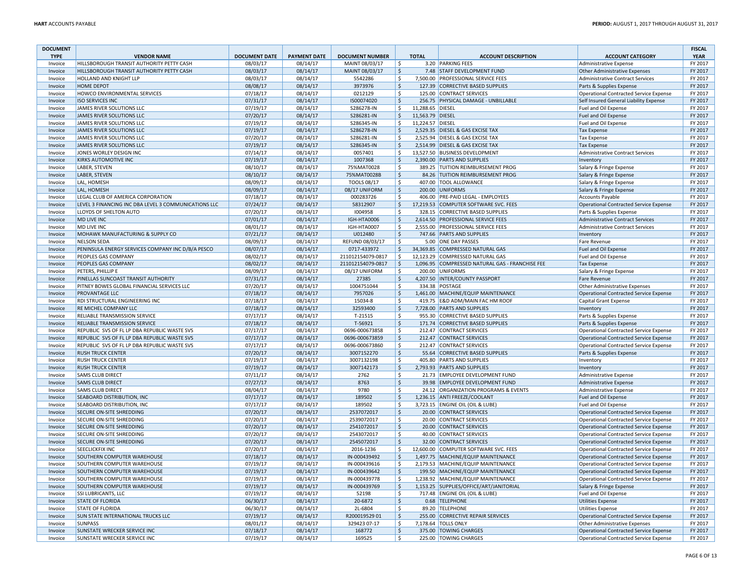| <b>DOCUMENT</b>    |                                                           |                      |                      |                         |                         |                  |                                                                    |                                                                                                | <b>FISCAL</b>      |
|--------------------|-----------------------------------------------------------|----------------------|----------------------|-------------------------|-------------------------|------------------|--------------------------------------------------------------------|------------------------------------------------------------------------------------------------|--------------------|
| <b>TYPE</b>        | <b>VENDOR NAME</b>                                        | <b>DOCUMENT DATE</b> | <b>PAYMENT DATE</b>  | <b>DOCUMENT NUMBER</b>  |                         | <b>TOTAL</b>     | <b>ACCOUNT DESCRIPTION</b>                                         | <b>ACCOUNT CATEGORY</b>                                                                        | <b>YEAR</b>        |
| Invoice            | HILLSBOROUGH TRANSIT AUTHORITY PETTY CASH                 | 08/03/17             | 08/14/17             | MAINT 08/03/17          | $\overline{\mathsf{s}}$ |                  | 3.20 PARKING FEES                                                  | <b>Administrative Expense</b>                                                                  | FY 2017            |
| Invoice            | HILLSBOROUGH TRANSIT AUTHORITY PETTY CASH                 | 08/03/17             | 08/14/17             | MAINT 08/03/17          | $\zeta$                 |                  | 7.48 STAFF DEVELOPMENT FUND                                        | <b>Other Administrative Expenses</b>                                                           | FY 2017            |
| Invoice            | HOLLAND AND KNIGHT LLP                                    | 08/03/17             | 08/14/17             | 5542286                 | \$                      |                  | 7,500.00 PROFESSIONAL SERVICE FEES                                 | <b>Administrative Contract Services</b>                                                        | FY 2017            |
| Invoice            | <b>HOME DEPOT</b>                                         | 08/08/17             | 08/14/17             | 3973976                 | \$                      |                  | 127.39 CORRECTIVE BASED SUPPLIES                                   | Parts & Supplies Expense                                                                       | FY 2017            |
| Invoice            | HOWCO ENVIRONMENTAL SERVICES                              | 07/18/17             | 08/14/17             | 0212129                 | \$                      |                  | 125.00 CONTRACT SERVICES                                           | <b>Operational Contracted Service Expense</b>                                                  | FY 2017            |
| Invoice            | <b>ISO SERVICES INC</b>                                   | 07/31/17             | 08/14/17             | IS00074020              | $\frac{1}{2}$           |                  | 256.75 PHYSICAL DAMAGE - UNBILLABLE                                | Self Insured General Liability Expense                                                         | FY 2017            |
| Invoice            | JAMES RIVER SOLUTIONS LLC                                 | 07/19/17             | 08/14/17             | S286278-IN              | \$                      | 11,288.65 DIESEL |                                                                    | Fuel and Oil Expense                                                                           | FY 2017            |
| Invoice            | JAMES RIVER SOLUTIONS LLC                                 | 07/20/17             | 08/14/17             | S286281-IN              | \$                      | 11,563.79 DIESEL |                                                                    | Fuel and Oil Expense                                                                           | FY 2017            |
| Invoice            | JAMES RIVER SOLUTIONS LLC                                 | 07/19/17             | 08/14/17             | S286345-IN              | \$                      | 11,224.57 DIESEL |                                                                    | Fuel and Oil Expense                                                                           | FY 2017            |
| Invoice            | <b>JAMES RIVER SOLUTIONS LLC</b>                          | 07/19/17             | 08/14/17             | S286278-IN              | $\frac{1}{2}$           |                  | 2.529.35 DIESEL & GAS EXCISE TAX                                   | <b>Tax Expense</b>                                                                             | FY 2017<br>FY 2017 |
| Invoice            | JAMES RIVER SOLUTIONS LLC                                 | 07/20/17             | 08/14/17             | S286281-IN              | \$                      |                  | 2,525.94 DIESEL & GAS EXCISE TAX                                   | <b>Tax Expense</b>                                                                             | FY 2017            |
| Invoice<br>Invoice | JAMES RIVER SOLUTIONS LLC<br>JONES WORLEY DESIGN INC      | 07/19/17<br>07/14/17 | 08/14/17<br>08/14/17 | S286345-IN<br>0057401   | \$<br>\$                |                  | 2,514.99 DIESEL & GAS EXCISE TAX<br>13,527.50 BUSINESS DEVELOPMENT | <b>Tax Expense</b><br><b>Administrative Contract Services</b>                                  | FY 2017            |
| Invoice            | <b>KIRKS AUTOMOTIVE INC</b>                               | 07/19/17             | 08/14/17             | 1007368                 | $\mathsf{S}$            |                  | 2,390.00 PARTS AND SUPPLIES                                        | Inventory                                                                                      | FY 2017            |
|                    | <b>LABER, STEVEN</b>                                      | 08/10/17             | 08/14/17             | 75%MAT0028              | \$                      |                  | 389.25 TUITION REIMBURSEMENT PROG                                  | Salary & Fringe Expense                                                                        | FY 2017            |
| Invoice<br>Invoice | <b>LABER, STEVEN</b>                                      | 08/10/17             | 08/14/17             | 75%MAT0028B             | $\zeta$                 |                  | 84.26 TUITION REIMBURSEMENT PROG                                   | Salary & Fringe Expense                                                                        | FY 2017            |
| Invoice            | LAL, HOMESH                                               | 08/09/17             | 08/14/17             | <b>TOOLS 08/17</b>      | \$                      |                  | 407.00 TOOL ALLOWANCE                                              | Salary & Fringe Expense                                                                        | FY 2017            |
| Invoice            | LAL, HOMESH                                               | 08/09/17             | 08/14/17             | 08/17 UNIFORM           | $\frac{1}{2}$           |                  | 200.00 UNIFORMS                                                    | Salary & Fringe Expense                                                                        | FY 2017            |
| Invoice            | LEGAL CLUB OF AMERICA CORPORATION                         | 07/18/17             | 08/14/17             | 000283726               | \$                      |                  | 406.00 PRE-PAID LEGAL - EMPLOYEES                                  | <b>Accounts Payable</b>                                                                        | FY 2017            |
| Invoice            | LEVEL 3 FINANCING INC DBA LEVEL 3 COMMUNICATIONS LLC      | 07/24/17             | 08/14/17             | 58312907                | \$                      |                  | 17,219.53 COMPUTER SOFTWARE SVC. FEES                              | <b>Operational Contracted Service Expense</b>                                                  | FY 2017            |
| Invoice            | LLOYDS OF SHELTON AUTO                                    | 07/20/17             | 08/14/17             | 1004958                 | \$                      |                  | 328.15 CORRECTIVE BASED SUPPLIES                                   | Parts & Supplies Expense                                                                       | FY 2017            |
| Invoice            | MD LIVE INC                                               | 07/01/17             | 08/14/17             | IGH-HTA0006             | $\frac{1}{2}$           |                  | 2,614.50 PROFESSIONAL SERVICE FEES                                 | <b>Administrative Contract Services</b>                                                        | FY 2017            |
| Invoice            | <b>MD LIVE INC</b>                                        | 08/01/17             | 08/14/17             | IGH-HTA0007             | $\mathsf{\hat{S}}$      |                  | 2.555.00 PROFESSIONAL SERVICE FEES                                 | <b>Administrative Contract Services</b>                                                        | FY 2017            |
| Invoice            | MOHAWK MANUFACTURING & SUPPLY CO                          | 07/21/17             | 08/14/17             | U012480                 | $\mathsf{S}$            |                  | 747.66 PARTS AND SUPPLIES                                          | Inventory                                                                                      | FY 2017            |
| Invoice            | <b>NELSON SEDA</b>                                        | 08/09/17             | 08/14/17             | REFUND 08/03/17         | Ŝ.                      |                  | 5.00 ONE DAY PASSES                                                | Fare Revenue                                                                                   | FY 2017            |
| Invoice            | PENINSULA ENERGY SERVICES COMPANY INC D/B/A PESCO         | 08/07/17             | 08/14/17             | 0717-433972             | \$                      |                  | 34,369.85 COMPRESSED NATURAL GAS                                   | Fuel and Oil Expense                                                                           | FY 2017            |
| Invoice            | PEOPLES GAS COMPANY                                       | 08/02/17             | 08/14/17             | 211012154079-0817       | \$                      |                  | 12,123.29 COMPRESSED NATURAL GAS                                   | Fuel and Oil Expense                                                                           | FY 2017            |
| Invoice            | PEOPLES GAS COMPANY                                       | 08/02/17             | 08/14/17             | 211012154079-0817       | \$                      |                  | 1,096.95 COMPRESSED NATURAL GAS - FRANCHISE FEE                    | <b>Tax Expense</b>                                                                             | FY 2017            |
| Invoice            | PETERS, PHILLIP E                                         | 08/09/17             | 08/14/17             | 08/17 UNIFORM           | \$                      |                  | 200.00 UNIFORMS                                                    | Salary & Fringe Expense                                                                        | FY 2017            |
| Invoice            | PINELLAS SUNCOAST TRANSIT AUTHORITY                       | 07/31/17             | 08/14/17             | 27385                   | $\frac{1}{2}$           |                  | 4,207.50 INTER/COUNTY PASSPORT                                     | <b>Fare Revenue</b>                                                                            | FY 2017            |
| Invoice            | PITNEY BOWES GLOBAL FINANCIAL SERVICES LLC                | 07/20/17             | 08/14/17             | 1004751044              | \$                      |                  | 334.38 POSTAGE                                                     | Other Administrative Expenses                                                                  | FY 2017            |
| Invoice            | <b>PROVANTAGE LLC</b>                                     | 07/18/17             | 08/14/17             | 7957026                 | $\frac{1}{2}$           |                  | 1,461.00 MACHINE/EQUIP MAINTENANCE                                 | <b>Operational Contracted Service Expense</b>                                                  | FY 2017            |
| Invoice            | RDI STRUCTURAL ENGINEERING INC                            | 07/18/17             | 08/14/17             | 15034-8                 | \$                      |                  | 419.75 E&D ADM/MAIN FAC HM ROOF                                    | Capital Grant Expense                                                                          | FY 2017            |
| Invoice            | RE MICHEL COMPANY LLC                                     | 07/18/17             | 08/14/17             | 32593400                | $\frac{1}{2}$           |                  | 7,728.00 PARTS AND SUPPLIES                                        | Inventory                                                                                      | FY 2017            |
| Invoice            | RELIABLE TRANSMISSION SERVICE                             | 07/17/17             | 08/14/17             | T-21515                 | \$                      |                  | 955.30 CORRECTIVE BASED SUPPLIES                                   | Parts & Supplies Expense                                                                       | FY 2017            |
| Invoice            | RELIABLE TRANSMISSION SERVICE                             | 07/18/17             | 08/14/17             | T-56921                 | \$                      |                  | 171.74 CORRECTIVE BASED SUPPLIES                                   | Parts & Supplies Expense                                                                       | FY 2017            |
| Invoice            | REPUBLIC SVS OF FL LP DBA REPUBLIC WASTE SVS              | 07/17/17             | 08/14/17             | 0696-000673858          | \$                      |                  | 212.47 CONTRACT SERVICES                                           | <b>Operational Contracted Service Expense</b>                                                  | FY 2017            |
| Invoice            | REPUBLIC SVS OF FL LP DBA REPUBLIC WASTE SVS              | 07/17/17             | 08/14/17             | 0696-000673859          | $\mathsf{S}$            |                  | 212.47 CONTRACT SERVICES                                           | <b>Operational Contracted Service Expense</b>                                                  | FY 2017            |
| Invoice            | REPUBLIC SVS OF FL LP DBA REPUBLIC WASTE SVS              | 07/17/17             | 08/14/17             | 0696-000673860          | \$                      |                  | 212.47 CONTRACT SERVICES                                           | <b>Operational Contracted Service Expense</b>                                                  | FY 2017            |
| Invoice            | <b>RUSH TRUCK CENTER</b>                                  | 07/20/17             | 08/14/17             | 3007152270              | $\frac{1}{2}$           |                  | 55.64 CORRECTIVE BASED SUPPLIES                                    | Parts & Supplies Expense                                                                       | FY 2017            |
| Invoice            | <b>RUSH TRUCK CENTER</b>                                  | 07/19/17             | 08/14/17             | 3007132198              | \$                      |                  | 405.80 PARTS AND SUPPLIES                                          | Inventory                                                                                      | FY 2017            |
| Invoice            | <b>RUSH TRUCK CENTER</b>                                  | 07/19/17             | 08/14/17             | 3007142173              | \$                      |                  | 2,793.93 PARTS AND SUPPLIES                                        | Inventory                                                                                      | FY 2017            |
| Invoice            | <b>SAMS CLUB DIRECT</b>                                   | 07/11/17             | 08/14/17             | 2762                    | \$                      |                  | 21.73 EMPLOYEE DEVELOPMENT FUND                                    | Administrative Expense                                                                         | FY 2017            |
| Invoice            | <b>SAMS CLUB DIRECT</b>                                   | 07/27/17             | 08/14/17             | 8763                    | $\mathsf{S}$            |                  | 39.98 EMPLOYEE DEVELOPMENT FUND                                    | Administrative Expense                                                                         | FY 2017            |
| Invoice            | <b>SAMS CLUB DIRECT</b>                                   | 08/04/17             | 08/14/17             | 9780                    | \$                      |                  | 24.12 ORGANIZATION PROGRAMS & EVENTS                               | Administrative Expense                                                                         | FY 2017            |
| Invoice            | SEABOARD DISTRIBUTION, INC                                | 07/17/17             | 08/14/17             | 189502                  | $\mathsf{S}$            |                  | 1,236.15 ANTI FREEZE/COOLANT                                       | Fuel and Oil Expense                                                                           | FY 2017            |
| Invoice            | SEABOARD DISTRIBUTION, INC                                | 07/17/17             | 08/14/17             | 189502                  | \$                      |                  | 3,723.15 ENGINE OIL (OIL & LUBE)                                   | Fuel and Oil Expense                                                                           | FY 2017            |
| Invoice            | SECURE ON-SITE SHREDDING                                  | 07/20/17             | 08/14/17             | 2537072017              | \$                      |                  | 20.00 CONTRACT SERVICES                                            | <b>Operational Contracted Service Expense</b>                                                  | FY 2017            |
| Invoice            | SECURE ON-SITE SHREDDING                                  | 07/20/17             | 08/14/17             | 2539072017              | \$                      |                  | 20.00 CONTRACT SERVICES                                            | <b>Operational Contracted Service Expense</b>                                                  | FY 2017            |
| Invoice            | <b>SECURE ON-SITE SHREDDING</b>                           | 07/20/17             | 08/14/17             | 2541072017              | $\mathsf{S}$            |                  | 20.00 CONTRACT SERVICES                                            | <b>Operational Contracted Service Expense</b>                                                  | FY 2017            |
| Invoice            | SECURE ON-SITE SHREDDING                                  | 07/20/17             | 08/14/17             | 2543072017              | \$<br>$\mathsf{S}$      |                  | 40.00 CONTRACT SERVICES                                            | <b>Operational Contracted Service Expense</b>                                                  | FY 2017<br>FY 2017 |
| Invoice            | <b>SECURE ON-SITE SHREDDING</b><br><b>SEECLICKFIX INC</b> | 07/20/17             | 08/14/17<br>08/14/17 | 2545072017<br>2016-1236 | \$                      |                  | 32.00 CONTRACT SERVICES<br>12,600.00 COMPUTER SOFTWARE SVC. FEES   | <b>Operational Contracted Service Expense</b>                                                  | FY 2017            |
| Invoice<br>Invoice | SOUTHERN COMPUTER WAREHOUSE                               | 07/20/17<br>07/18/17 | 08/14/17             | IN-000439492            | $\zeta$                 |                  | 1,497.75 MACHINE/EQUIP MAINTENANCE                                 | <b>Operational Contracted Service Expense</b><br><b>Operational Contracted Service Expense</b> | FY 2017            |
| Invoice            | SOUTHERN COMPUTER WAREHOUSE                               | 07/19/17             | 08/14/17             | IN-000439616            | \$                      |                  | 2,179.53 MACHINE/EQUIP MAINTENANCE                                 | <b>Operational Contracted Service Expense</b>                                                  | FY 2017            |
| Invoice            | SOUTHERN COMPUTER WAREHOUSE                               | 07/19/17             | 08/14/17             | IN-000439642            | $\frac{1}{2}$           |                  | 199.50 MACHINE/EQUIP MAINTENANCE                                   | <b>Operational Contracted Service Expense</b>                                                  | FY 2017            |
| Invoice            | SOUTHERN COMPUTER WAREHOUSE                               | 07/19/17             | 08/14/17             | IN-000439778            | \$                      |                  | 1,238.92 MACHINE/EQUIP MAINTENANCE                                 | <b>Operational Contracted Service Expense</b>                                                  | FY 2017            |
| Invoice            | SOUTHERN COMPUTER WAREHOUSE                               | 07/19/17             | 08/14/17             | IN-000439769            | $\frac{1}{2}$           |                  | 1,153.25 SUPPLIES/OFFICE/ART/JANITORIAL                            | Salary & Fringe Expense                                                                        | FY 2017            |
| Invoice            | <b>SSI LUBRICANTS, LLC</b>                                | 07/19/17             | 08/14/17             | 52198                   | \$                      |                  | 717.48 ENGINE OIL (OIL & LUBE)                                     | Fuel and Oil Expense                                                                           | FY 2017            |
| Invoice            | <b>STATE OF FLORIDA</b>                                   | 06/30/17             | 08/14/17             | 20-6872                 | $\frac{1}{2}$           |                  | 0.68 TELEPHONE                                                     | Utilities Expense                                                                              | FY 2017            |
| Invoice            | <b>STATE OF FLORIDA</b>                                   | 06/30/17             | 08/14/17             | 2L-6804                 | $\mathsf{\hat{S}}$      |                  | 89.20 TELEPHONE                                                    | <b>Utilities Expense</b>                                                                       | FY 2017            |
| Invoice            | <b>SUN STATE INTERNATIONAL TRUCKS LLC</b>                 | 07/19/17             | 08/14/17             | R20001952901            | $\mathsf{S}$            |                  | 255.00 CORRECTIVE REPAIR SERVICES                                  | <b>Operational Contracted Service Expense</b>                                                  | FY 2017            |
| Invoice            | <b>SUNPASS</b>                                            | 08/01/17             | 08/14/17             | 329423 07-17            | \$                      |                  | 7,178.64 TOLLS ONLY                                                | Other Administrative Expenses                                                                  | FY 2017            |
| Invoice            | SUNSTATE WRECKER SERVICE INC                              | 07/18/17             | 08/14/17             | 168772                  | $\mathsf{S}$            |                  | 375.00 TOWING CHARGES                                              | <b>Operational Contracted Service Expense</b>                                                  | FY 2017            |
| Invoice            | SUNSTATE WRECKER SERVICE INC                              | 07/19/17             | 08/14/17             | 169525                  | \$                      |                  | 225.00 TOWING CHARGES                                              | <b>Operational Contracted Service Expense</b>                                                  | FY 2017            |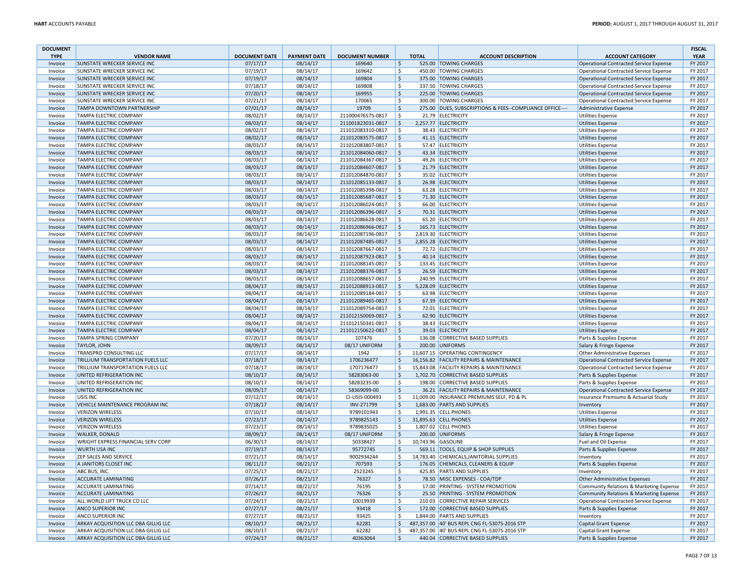| <b>DOCUMENT</b>    |                                                            |                      |                      |                          |                     |              |                                                          |                                               | <b>FISCAL</b>      |
|--------------------|------------------------------------------------------------|----------------------|----------------------|--------------------------|---------------------|--------------|----------------------------------------------------------|-----------------------------------------------|--------------------|
| <b>TYPE</b>        | <b>VENDOR NAME</b>                                         | <b>DOCUMENT DATE</b> | <b>PAYMENT DATE</b>  | <b>DOCUMENT NUMBER</b>   |                     | <b>TOTAL</b> | <b>ACCOUNT DESCRIPTION</b>                               | <b>ACCOUNT CATEGORY</b>                       | <b>YEAR</b>        |
| Invoice            | SUNSTATE WRECKER SERVICE INC                               | 07/17/17             | 08/14/17             | 169640                   | \$                  |              | 525.00 TOWING CHARGES                                    | <b>Operational Contracted Service Expense</b> | FY 2017            |
| Invoice            | <b>SUNSTATE WRECKER SERVICE INC</b>                        | 07/19/17             | 08/14/17             | 169642                   | \$                  |              | 450.00 TOWING CHARGES                                    | <b>Operational Contracted Service Expense</b> | FY 2017            |
| Invoice            | <b>SUNSTATE WRECKER SERVICE INC</b>                        | 07/19/17             | 08/14/17             | 169804                   | \$                  |              | 375.00 TOWING CHARGES                                    | <b>Operational Contracted Service Expense</b> | FY 2017            |
| Invoice            | <b>SUNSTATE WRECKER SERVICE INC</b>                        | 07/18/17             | 08/14/17             | 169808                   | \$                  |              | 337.50 TOWING CHARGES                                    | <b>Operational Contracted Service Expense</b> | FY 2017            |
| Invoice            | <b>SUNSTATE WRECKER SERVICE INC</b>                        | 07/20/17             | 08/14/17             | 169955                   | \$                  |              | 225.00 TOWING CHARGES                                    | <b>Operational Contracted Service Expense</b> | FY 2017            |
| Invoice            | SUNSTATE WRECKER SERVICE INC                               | 07/21/17             | 08/14/17             | 170065                   | \$                  |              | 300.00 TOWING CHARGES                                    | Operational Contracted Service Expense        | FY 2017            |
| Invoice            | <b>TAMPA DOWNTOWN PARTNERSHIP</b>                          | 07/01/17             | 08/14/17             | 19709                    | $\mathsf{S}$        |              | 275.00 DUES, SUBSCRIPTIONS & FEES--COMPLIANCE OFFICE---- | Administrative Expense                        | FY 2017            |
| Invoice            | <b>TAMPA ELECTRIC COMPANY</b>                              | 08/02/17             | 08/14/17             | 211000476575-0817        | \$                  |              | 21.79 ELECTRICITY                                        | <b>Utilities Expense</b>                      | FY 2017            |
| Invoice            | TAMPA ELECTRIC COMPANY                                     | 08/03/17             | 08/14/17             | 211001823031-0817        | \$                  |              | 2,257.77 ELECTRICITY                                     | <b>Utilities Expense</b>                      | FY 2017            |
| Invoice            | <b>TAMPA ELECTRIC COMPANY</b>                              | 08/02/17             | 08/14/17             | 211012083310-0817        | \$                  |              | 38.43 ELECTRICITY                                        | <b>Utilities Expense</b>                      | FY 2017            |
| Invoice            | <b>TAMPA ELECTRIC COMPANY</b>                              | 08/02/17             | 08/14/17             | 211012083575-0817        | \$                  |              | 41.15 ELECTRICITY                                        | <b>Utilities Expense</b>                      | FY 2017            |
| Invoice            | TAMPA ELECTRIC COMPANY                                     | 08/03/17             | 08/14/17             | 211012083807-0817        | \$                  |              | 57.47 ELECTRICITY                                        | <b>Utilities Expense</b>                      | FY 2017            |
| Invoice            | TAMPA ELECTRIC COMPANY                                     | 08/03/17             | 08/14/17             | 211012084060-0817        | \$                  |              | 43.34 ELECTRICITY                                        | <b>Utilities Expense</b>                      | FY 2017            |
| Invoice            | TAMPA ELECTRIC COMPANY                                     | 08/03/17             | 08/14/17             | 211012084367-0817        | \$                  |              | 49.26 ELECTRICITY                                        | <b>Utilities Expense</b>                      | FY 2017            |
| Invoice            | <b>TAMPA ELECTRIC COMPANY</b>                              | 08/03/17             | 08/14/17             | 211012084607-0817        | \$                  |              | 21.79 ELECTRICITY                                        | <b>Utilities Expense</b>                      | FY 2017            |
| Invoice            | TAMPA ELECTRIC COMPANY                                     | 08/03/17             | 08/14/17             | 211012084870-0817        | \$                  |              | 35.02 ELECTRICITY                                        | <b>Utilities Expense</b>                      | FY 2017            |
| Invoice            | <b>TAMPA ELECTRIC COMPANY</b>                              | 08/03/17             | 08/14/17             | 211012085133-0817        | \$                  |              | 26.98 ELECTRICITY                                        | <b>Utilities Expense</b>                      | FY 2017            |
| Invoice            | TAMPA ELECTRIC COMPANY                                     | 08/03/17             | 08/14/17             | 211012085398-0817        | \$                  |              | 63.28 ELECTRICITY                                        | <b>Utilities Expense</b>                      | FY 2017            |
| Invoice            | <b>TAMPA ELECTRIC COMPANY</b>                              | 08/03/17             | 08/14/17             | 211012085687-0817        | \$                  |              | 71.30 ELECTRICITY                                        | <b>Utilities Expense</b>                      | FY 2017            |
| Invoice            | TAMPA ELECTRIC COMPANY                                     | 08/03/17             | 08/14/17             | 211012086024-0817        | \$                  |              | 66.00 ELECTRICITY                                        | <b>Utilities Expense</b>                      | FY 2017            |
| Invoice            | TAMPA ELECTRIC COMPANY                                     | 08/03/17             | 08/14/17             | 211012086396-0817        | \$                  |              | 70.31 ELECTRICITY                                        | <b>Utilities Expense</b>                      | FY 2017            |
| Invoice            | TAMPA ELECTRIC COMPANY                                     | 08/03/17             | 08/14/17             | 211012086628-0817        | \$                  |              | 65.20 ELECTRICITY                                        | <b>Utilities Expense</b>                      | FY 2017            |
| Invoice            | <b>TAMPA ELECTRIC COMPANY</b>                              | 08/03/17             | 08/14/17             | 211012086966-0817        | \$                  |              | 165.73 ELECTRICITY                                       | <b>Utilities Expense</b>                      | FY 2017            |
| Invoice            | <b>TAMPA ELECTRIC COMPANY</b>                              | 08/03/17             | 08/14/17             | 211012087196-0817        | S.                  |              | 2,819.30 ELECTRICITY                                     | <b>Utilities Expense</b>                      | FY 2017            |
| Invoice            | <b>TAMPA ELECTRIC COMPANY</b>                              | 08/03/17             | 08/14/17             | 211012087485-0817        | $\mathsf{S}$        |              | 2,855.28 ELECTRICITY                                     | <b>Utilities Expense</b>                      | FY 2017            |
| Invoice            | <b>TAMPA ELECTRIC COMPANY</b>                              | 08/03/17             | 08/14/17             | 211012087667-0817        | \$                  |              | 72.72 ELECTRICITY                                        | <b>Utilities Expense</b>                      | FY 2017            |
| Invoice            | TAMPA ELECTRIC COMPANY                                     | 08/03/17             | 08/14/17             | 211012087923-0817        | $\frac{1}{2}$       |              | 40.14 ELECTRICITY                                        | <b>Utilities Expense</b>                      | FY 2017            |
| Invoice            | TAMPA ELECTRIC COMPANY                                     | 08/03/17             | 08/14/17             | 211012088145-0817        | \$                  |              | 133.45 ELECTRICITY                                       | <b>Utilities Expense</b>                      | FY 2017            |
| Invoice            | TAMPA ELECTRIC COMPANY                                     | 08/03/17             | 08/14/17             | 211012088376-0817        | $\mathsf{S}$        |              | 26.59 ELECTRICITY                                        | <b>Utilities Expense</b>                      | FY 2017            |
| Invoice            | TAMPA ELECTRIC COMPANY                                     | 08/03/17             | 08/14/17             | 211012088657-0817        | \$                  |              | 240.99 ELECTRICITY                                       | <b>Utilities Expense</b>                      | FY 2017            |
| Invoice            | TAMPA ELECTRIC COMPANY                                     | 08/04/17             | 08/14/17             | 211012088913-0817        | \$                  |              | 5,228.09 ELECTRICITY                                     | <b>Utilities Expense</b>                      | FY 2017            |
| Invoice            | <b>TAMPA ELECTRIC COMPANY</b>                              | 08/04/17             | 08/14/17             | 211012089184-0817        | \$                  |              | 63.98 ELECTRICITY                                        | <b>Utilities Expense</b>                      | FY 2017            |
| Invoice            | <b>TAMPA ELECTRIC COMPANY</b>                              | 08/04/17             | 08/14/17             | 211012089465-0817        | \$                  |              | 67.39 ELECTRICITY                                        | <b>Utilities Expense</b>                      | FY 2017            |
| Invoice            | <b>TAMPA ELECTRIC COMPANY</b>                              | 08/04/17             | 08/14/17             | 211012089754-0817        | \$                  |              | 72.01 ELECTRICITY                                        | <b>Utilities Expense</b>                      | FY 2017            |
| Invoice            | TAMPA ELECTRIC COMPANY                                     | 08/04/17             | 08/14/17             | 211012150069-0817        | \$                  |              | 62.90 ELECTRICITY                                        | <b>Utilities Expense</b>                      | FY 2017            |
| Invoice            | <b>TAMPA ELECTRIC COMPANY</b>                              | 08/04/17             | 08/14/17             | 211012150341-0817        | \$                  |              | 38.43 ELECTRICITY                                        | <b>Utilities Expense</b>                      | FY 2017            |
| Invoice            | <b>TAMPA ELECTRIC COMPANY</b>                              | 08/04/17             | 08/14/17             | 211012150622-0817        | \$                  |              | 39.03 ELECTRICITY                                        | <b>Utilities Expense</b>                      | FY 2017            |
| Invoice            | TAMPA SPRING COMPANY                                       | 07/20/17             | 08/14/17             | 107476                   | Ś                   |              | 136.08 CORRECTIVE BASED SUPPLIES                         | Parts & Supplies Expense                      | FY 2017            |
| Invoice            | TAYLOR, JOHN                                               | 08/09/17             | 08/14/17             | 08/17 UNIFORM            | \$                  |              | 200.00 UNIFORMS                                          | Salary & Fringe Expense                       | FY 2017            |
|                    | TRANSPRO CONSULTING LLC                                    | 07/17/17             | 08/14/17             | 1942                     | \$                  |              | 11,607.15 OPERATING CONTINGENCY                          |                                               | FY 2017            |
| Invoice<br>Invoice | TRILLIUM TRANSPORTATION FUELS LLC                          | 07/18/17             | 08/14/17             | 1706236477               | \$                  |              | 16,156.82 FACILITY REPAIRS & MAINTENANCE                 | Other Administrative Expenses                 | FY 2017            |
| Invoice            | <b>TRILLIUM TRANSPORTATION FUELS LLC</b>                   | 07/18/17             | 08/14/17             | 1707176477               | \$                  |              | 15,843.08 FACILITY REPAIRS & MAINTENANCE                 | <b>Operational Contracted Service Expense</b> | FY 2017            |
| Invoice            | UNITED REFRIGERATION INC                                   | 08/10/17             | 08/14/17             | 58283063-00              | $\frac{1}{2}$       |              | 1,702.70 CORRECTIVE BASED SUPPLIES                       | Operational Contracted Service Expense        | FY 2017            |
| Invoice            | UNITED REFRIGERATION INC                                   | 08/10/17             | 08/14/17             | 58283235-00              | \$                  |              | 198.00 CORRECTIVE BASED SUPPLIES                         | Parts & Supplies Expense                      | FY 2017            |
|                    | UNITED REFRIGERATION INC                                   |                      | 08/14/17             | 58369099-00              | \$                  |              | 36.21 FACILITY REPAIRS & MAINTENANCE                     | Parts & Supplies Expense                      | FY 2017            |
| Invoice            | USIS INC                                                   | 08/09/17             |                      |                          |                     |              |                                                          | <b>Operational Contracted Service Expense</b> |                    |
| Invoice            |                                                            | 07/12/17             | 08/14/17             | CI-USIS-000493           | \$                  |              | 11,009.00 INSURANCE PREMIUMS SELF, PD & PL               | Insurance Premiums & Actuarial Study          | FY 2017            |
| Invoice            | VEHICLE MAINTENANCE PROGRAM INC<br><b>VERIZON WIRELESS</b> | 07/18/17             | 08/14/17<br>08/14/17 | INV-271799<br>9789101943 | $\frac{1}{2}$<br>\$ |              | 1,683.00 PARTS AND SUPPLIES<br>1,991.35 CELL PHONES      | Inventory                                     | FY 2017<br>FY 2017 |
| Invoice            |                                                            | 07/10/17             |                      |                          |                     |              |                                                          | <b>Utilities Expense</b>                      |                    |
| Invoice            | <b>VERIZON WIRELESS</b>                                    | 07/23/17             | 08/14/17             | 9789825143               | \$                  |              | 31,895.63 CELL PHONES                                    | <b>Utilities Expense</b>                      | FY 2017            |
| Invoice            | <b>VERIZON WIRELESS</b>                                    | 07/23/17             | 08/14/17             | 9789835025               | \$                  |              | 1,807.02 CELL PHONES                                     | <b>Utilities Expense</b>                      | FY 2017            |
| Invoice            | <b>WALKER, DONALD</b>                                      | 08/09/17             | 08/14/17             | 08/17 UNIFORM            | $\mathsf{S}$        |              | 200.00 UNIFORMS                                          | Salary & Fringe Expense                       | FY 2017            |
| Invoice            | WRIGHT EXPRESS FINANCIAL SERV CORP                         | 06/30/17             | 08/14/17             | 50338427                 | \$                  |              | 10,743.96 GASOLINE                                       | Fuel and Oil Expense                          | FY 2017            |
| Invoice            | <b>WURTH USA INC</b>                                       | 07/19/17             | 08/14/17             | 95772745                 | $\frac{1}{2}$       |              | 569.11 TOOLS, EQUIP & SHOP SUPPLIES                      | Parts & Supplies Expense                      | FY 2017            |
| Invoice            | <b>ZEP SALES AND SERVICE</b>                               | 07/21/17             | 08/14/17             | 9002934244               | \$                  |              | 14,783.40 CHEMICALS, JANITORIAL SUPPLIES                 | Inventory                                     | FY 2017            |
| Invoice            | A JANITORS CLOSET INC                                      | 08/11/17             | 08/21/17             | 707593                   | $\frac{1}{2}$       |              | 176.05 CHEMICALS, CLEANERS & EQUIP                       | Parts & Supplies Expense                      | FY 2017            |
| Invoice            | ABC BUS, INC.                                              | 07/25/17             | 08/21/17             | 2523245                  | \$                  |              | 425.85 PARTS AND SUPPLIES                                | Inventon                                      | FY 2017            |
| Invoice            | <b>ACCURATE LAMINATING</b>                                 | 07/26/17             | 08/21/17             | 76327                    | \$                  |              | 78.50 MISC EXPENSES - COA/TDP                            | Other Administrative Expenses                 | FY 2017            |
| Invoice            | <b>ACCURATE LAMINATING</b>                                 | 07/14/17             | 08/21/17             | 76195                    | \$                  |              | 17.00 PRINTING - SYSTEM PROMOTION                        | Community Relations & Marketing Expense       | FY 2017            |
| Invoice            | <b>ACCURATE LAMINATING</b>                                 | 07/26/17             | 08/21/17             | 76326                    | \$                  |              | 25.50 PRINTING - SYSTEM PROMOTION                        | Community Relations & Marketing Expense       | FY 2017            |
| Invoice            | ALL WORLD LIFT TRUCK CO LLC                                | 07/24/17             | 08/21/17             | 10019939                 | Ś                   |              | 210.03 CORRECTIVE REPAIR SERVICES                        | <b>Operational Contracted Service Expense</b> | FY 2017            |
| Invoice            | <b>ANCO SUPERIOR INC</b>                                   | 07/27/17             | 08/21/17             | 93418                    | $\mathsf{S}$        |              | 172.00 CORRECTIVE BASED SUPPLIES                         | Parts & Supplies Expense                      | FY 2017            |
| Invoice            | <b>ANCO SUPERIOR INC</b>                                   | 07/27/17             | 08/21/17             | 93425                    | Ś.                  |              | 1,844.00 PARTS AND SUPPLIES                              | Inventory                                     | FY 2017            |
| Invoice            | ARKAY ACQUISITION LLC DBA GILLIG LLC                       | 08/10/17             | 08/21/17             | 62281                    | \$                  |              | 487,357.00 40' BUS REPL CNG FL-5307S-2016 STP            | Capital Grant Expense                         | FY 2017            |
| Invoice            | ARKAY ACQUISITION LLC DBA GILLIG LLC                       | 08/10/17             | 08/21/17             | 62282                    | Ś                   |              | 487,357.00 40' BUS REPL CNG FL-5307S-2016 STP            | Capital Grant Expense                         | FY 2017            |
| Invoice            | ARKAY ACQUISITION LLC DBA GILLIG LLC                       | 07/24/17             | 08/21/17             | 40363064                 | $\mathsf{S}$        |              | 440.04 CORRECTIVE BASED SUPPLIES                         | Parts & Supplies Expense                      | FY 2017            |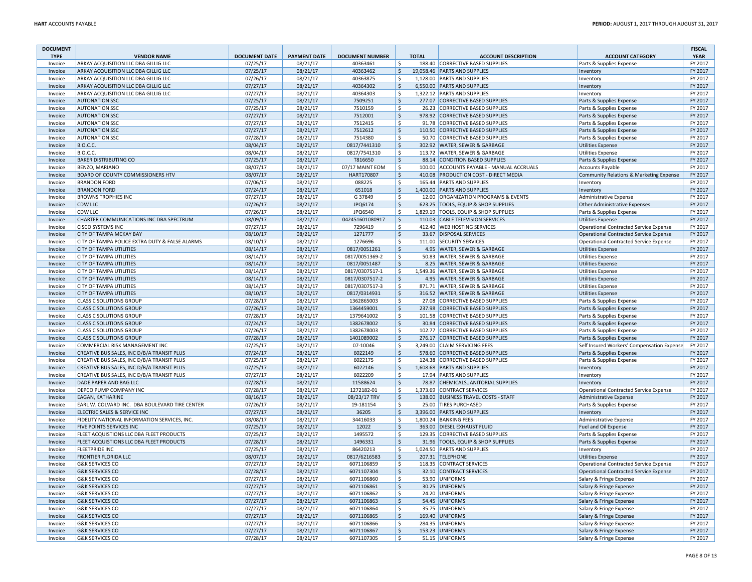| <b>DOCUMENT</b>    |                                                                      |                      |                      |                        |                    |              |                                                                     |                                                                  | <b>FISCAL</b>      |
|--------------------|----------------------------------------------------------------------|----------------------|----------------------|------------------------|--------------------|--------------|---------------------------------------------------------------------|------------------------------------------------------------------|--------------------|
| <b>TYPE</b>        | <b>VENDOR NAME</b>                                                   | <b>DOCUMENT DATE</b> | <b>PAYMENT DATE</b>  | <b>DOCUMENT NUMBER</b> |                    | <b>TOTAL</b> | <b>ACCOUNT DESCRIPTION</b>                                          | <b>ACCOUNT CATEGORY</b>                                          | <b>YEAR</b>        |
| Invoice            | <b>ARKAY ACQUISITION LLC DBA GILLIG LLC</b>                          | 07/25/17             | 08/21/17             | 40363461               | Ŝ.                 |              | 188.40 CORRECTIVE BASED SUPPLIES                                    | Parts & Supplies Expense                                         | FY 2017            |
| Invoice            | ARKAY ACQUISITION LLC DBA GILLIG LLC                                 | 07/25/17             | 08/21/17             | 40363462               | $\zeta$            |              | 19,058.46 PARTS AND SUPPLIES                                        | Inventory                                                        | FY 2017            |
| Invoice            | ARKAY ACQUISITION LLC DBA GILLIG LLC                                 | 07/26/17             | 08/21/17             | 40363875               | Ŝ.                 |              | 1.128.00 PARTS AND SUPPLIES                                         | Inventory                                                        | FY 2017            |
| Invoice            | ARKAY ACQUISITION LLC DBA GILLIG LLC                                 | 07/27/17             | 08/21/17             | 40364302               | $\mathsf{S}$       |              | 6,550.00 PARTS AND SUPPLIES                                         | Inventory                                                        | FY 2017            |
| Invoice            | ARKAY ACQUISITION LLC DBA GILLIG LLC                                 | 07/27/17             | 08/21/17             | 40364303               | Ś.                 |              | 1.322.12 PARTS AND SUPPLIES                                         | Inventory                                                        | FY 2017            |
| Invoice            | <b>AUTONATION SSC</b>                                                | 07/25/17             | 08/21/17             | 7509251                | $\zeta$<br>Ś       |              | 277.07 CORRECTIVE BASED SUPPLIES                                    | Parts & Supplies Expense                                         | FY 2017            |
| Invoice            | <b>AUTONATION SSC</b>                                                | 07/25/17             | 08/21/17             | 7510159                | $\mathsf{S}$       |              | 26.23 CORRECTIVE BASED SUPPLIES                                     | Parts & Supplies Expense                                         | FY 2017<br>FY 2017 |
| Invoice            | <b>AUTONATION SSC</b><br><b>AUTONATION SSC</b>                       | 07/27/17             | 08/21/17             | 7512001<br>7512415     | Ś                  |              | 978.92 CORRECTIVE BASED SUPPLIES<br>91.78 CORRECTIVE BASED SUPPLIES | Parts & Supplies Expense                                         | FY 2017            |
| Invoice            | <b>AUTONATION SSC</b>                                                | 07/27/17<br>07/27/17 | 08/21/17<br>08/21/17 | 7512612                | \$                 |              | 110.50 CORRECTIVE BASED SUPPLIES                                    | Parts & Supplies Expense                                         | FY 2017            |
| Invoice<br>Invoice | <b>AUTONATION SSC</b>                                                | 07/28/17             | 08/21/17             | 7514380                | \$                 |              | 50.70 CORRECTIVE BASED SUPPLIES                                     | Parts & Supplies Expense<br>Parts & Supplies Expense             | FY 2017            |
| Invoice            | <b>B.O.C.C.</b>                                                      | 08/04/17             | 08/21/17             | 0817/7441310           | \$                 |              | 302.92 WATER, SEWER & GARBAGE                                       | <b>Utilities Expense</b>                                         | FY 2017            |
| Invoice            | <b>B.O.C.C.</b>                                                      | 08/04/17             | 08/21/17             | 0817/7541310           | \$                 |              | 113.72 WATER, SEWER & GARBAGE                                       | <b>Utilities Expense</b>                                         | FY 2017            |
| Invoice            | <b>BAKER DISTRIBUTING CO</b>                                         | 07/25/17             | 08/21/17             | T816650                | \$                 |              | 88.14 CONDITION BASED SUPPLIES                                      | Parts & Supplies Expense                                         | FY 2017            |
| Invoice            | <b>BENZO, MARIANO</b>                                                | 08/07/17             | 08/21/17             | 07/17 MAINT EOM        | \$                 |              | 100.00 ACCOUNTS PAYABLE - MANUAL ACCRUALS                           | <b>Accounts Payable</b>                                          | FY 2017            |
| Invoice            | <b>BOARD OF COUNTY COMMISSIONERS HTV</b>                             | 08/07/17             | 08/21/17             | HART170807             | \$                 |              | 410.08 PRODUCTION COST - DIRECT MEDIA                               | Community Relations & Marketing Expense                          | FY 2017            |
| Invoice            | <b>BRANDON FORD</b>                                                  | 07/06/17             | 08/21/17             | 088225                 | \$                 |              | 165.44 PARTS AND SUPPLIES                                           | Inventory                                                        | FY 2017            |
| Invoice            | <b>BRANDON FORD</b>                                                  | 07/24/17             | 08/21/17             | 651018                 | \$                 |              | 1,400.00 PARTS AND SUPPLIES                                         | Inventory                                                        | FY 2017            |
| Invoice            | <b>BROWNS TROPHIES INC</b>                                           | 07/27/17             | 08/21/17             | G 37849                | \$                 |              | 12.00 ORGANIZATION PROGRAMS & EVENTS                                | Administrative Expense                                           | FY 2017            |
| Invoice            | <b>CDW LLC</b>                                                       | 07/26/17             | 08/21/17             | JPQ6174                | \$                 |              | 623.25 TOOLS, EQUIP & SHOP SUPPLIES                                 | Other Administrative Expenses                                    | FY 2017            |
| Invoice            | <b>CDW LLC</b>                                                       | 07/26/17             | 08/21/17             | JPQ6540                | \$                 |              | 1,829.19 TOOLS, EQUIP & SHOP SUPPLIES                               | Parts & Supplies Expense                                         | FY 2017            |
| Invoice            | CHARTER COMMUNICATIONS INC DBA SPECTRUM                              | 08/09/17             | 08/21/17             | 042451601080917        | $\zeta$            |              | 110.03 CABLE TELEVISION SERVICES                                    | <b>Utilities Expense</b>                                         | FY 2017            |
| Invoice            | <b>CISCO SYSTEMS INC</b>                                             | 07/27/17             | 08/21/17             | 7296419                | Ś                  |              | 412.40 WEB HOSTING SERVICES                                         | <b>Operational Contracted Service Expense</b>                    | FY 2017            |
| Invoice            | <b>CITY OF TAMPA MCKAY BAY</b>                                       | 08/10/17             | 08/21/17             | 1271777                | \$                 |              | 33.67 DISPOSAL SERVICES                                             | <b>Operational Contracted Service Expense</b>                    | FY 2017            |
| Invoice            | CITY OF TAMPA POLICE EXTRA DUTY & FALSE ALARMS                       | 08/10/17             | 08/21/17             | 1276696                | Ŝ.                 |              | 111.00 SECURITY SERVICES                                            | <b>Operational Contracted Service Expense</b>                    | FY 2017            |
| Invoice            | <b>CITY OF TAMPA UTILITIES</b>                                       | 08/14/17             | 08/21/17             | 0817/0051261           | \$                 |              | 4.95 WATER, SEWER & GARBAGE                                         | <b>Utilities Expense</b>                                         | FY 2017            |
| Invoice            | <b>CITY OF TAMPA UTILITIES</b>                                       | 08/14/17             | 08/21/17             | 0817/0051369-2         | \$                 |              | 50.83 WATER, SEWER & GARBAGE                                        | <b>Utilities Expense</b>                                         | FY 2017            |
| Invoice            | <b>CITY OF TAMPA UTILITIES</b>                                       | 08/14/17             | 08/21/17             | 0817/0051487           | \$                 |              | 8.25 WATER, SEWER & GARBAGE                                         | <b>Utilities Expense</b>                                         | FY 2017            |
| Invoice            | <b>CITY OF TAMPA UTILITIES</b>                                       | 08/14/17             | 08/21/17             | 0817/0307517-1         | \$                 |              | 1,549.36 WATER, SEWER & GARBAGE                                     | <b>Utilities Expense</b>                                         | FY 2017            |
| Invoice            | <b>CITY OF TAMPA UTILITIES</b>                                       | 08/14/17             | 08/21/17             | 0817/0307517-2         | \$                 |              | 4.95 WATER, SEWER & GARBAGE                                         | <b>Utilities Expense</b>                                         | FY 2017            |
| Invoice            | <b>CITY OF TAMPA UTILITIES</b>                                       | 08/14/17             | 08/21/17             | 0817/0307517-3         | \$                 |              | 871.71 WATER, SEWER & GARBAGE                                       | <b>Utilities Expense</b>                                         | FY 2017            |
| Invoice            | <b>CITY OF TAMPA UTILITIES</b>                                       | 08/10/17             | 08/21/17             | 0817/0314931           | \$                 |              | 316.52 WATER, SEWER & GARBAGE                                       | <b>Utilities Expense</b>                                         | FY 2017            |
| Invoice            | <b>CLASS C SOLUTIONS GROUP</b>                                       | 07/28/17             | 08/21/17             | 1362865003             | \$                 |              | 27.08 CORRECTIVE BASED SUPPLIES                                     | Parts & Supplies Expense                                         | FY 2017            |
| Invoice            | <b>CLASS C SOLUTIONS GROUP</b>                                       | 07/26/17             | 08/21/17             | 1364459001             | $\zeta$            |              | 237.98 CORRECTIVE BASED SUPPLIES                                    | Parts & Supplies Expense                                         | FY 2017            |
| Invoice            | <b>CLASS C SOLUTIONS GROUP</b>                                       | 07/28/17             | 08/21/17             | 1379641002             | \$                 |              | 101.58 CORRECTIVE BASED SUPPLIES                                    | Parts & Supplies Expense                                         | FY 2017            |
| Invoice            | <b>CLASS C SOLUTIONS GROUP</b>                                       | 07/24/17             | 08/21/17             | 1382678002             | \$                 |              | 30.84 CORRECTIVE BASED SUPPLIES                                     | Parts & Supplies Expense                                         | FY 2017            |
| Invoice            | <b>CLASS C SOLUTIONS GROUP</b>                                       | 07/26/17             | 08/21/17             | 1382678003             | \$                 |              | 102.77 CORRECTIVE BASED SUPPLIES                                    | Parts & Supplies Expense                                         | FY 2017            |
| Invoice            | <b>CLASS C SOLUTIONS GROUP</b>                                       | 07/28/17             | 08/21/17             | 1401089002             | \$                 |              | 276.17 CORRECTIVE BASED SUPPLIES                                    | Parts & Supplies Expense                                         | FY 2017            |
| Invoice            | COMMERCIAL RISK MANAGEMENT INC                                       | 07/25/17             | 08/21/17             | 07-10046               | \$                 |              | 3,249.00 CLAIM SERVICING FEES                                       | Self Insured Workers' Compensation Expense                       | FY 2017            |
| Invoice            | CREATIVE BUS SALES, INC D/B/A TRANSIT PLUS                           | 07/24/17             | 08/21/17             | 6022149                | $\dot{\mathsf{S}}$ |              | 578.60 CORRECTIVE BASED SUPPLIES                                    | Parts & Supplies Expense                                         | FY 2017            |
| Invoice            | CREATIVE BUS SALES, INC D/B/A TRANSIT PLUS                           | 07/25/17             | 08/21/17             | 6022175                | Ŝ.                 |              | 124.38 CORRECTIVE BASED SUPPLIES                                    | Parts & Supplies Expense                                         | FY 2017            |
| Invoice            | CREATIVE BUS SALES, INC D/B/A TRANSIT PLUS                           | 07/25/17             | 08/21/17             | 6022146                | \$                 |              | 1,608.68 PARTS AND SUPPLIES                                         | Inventory                                                        | FY 2017            |
| Invoice<br>Invoice | CREATIVE BUS SALES, INC D/B/A TRANSIT PLUS<br>DADE PAPER AND BAG LLC | 07/27/17             | 08/21/17             | 6022209                | Ś                  |              | 17.94 PARTS AND SUPPLIES                                            | Inventory                                                        | FY 2017<br>FY 2017 |
| Invoice            | <b>DEPCO PUMP COMPANY INC</b>                                        | 07/28/17<br>07/28/17 | 08/21/17<br>08/21/17 | 11588624<br>1272182-01 | \$<br>\$           |              | 78.87 CHEMICALS, JANITORIAL SUPPLIES<br>1,373.69 CONTRACT SERVICES  | Inventory                                                        | FY 2017            |
| Invoice            | <b>EAGAN, KATHARINE</b>                                              | 08/16/17             | 08/21/17             | 08/23/17 TRV           | \$                 |              | 138.00 BUSINESS TRAVEL COSTS - STAFF                                | Operational Contracted Service Expense<br>Administrative Expense | FY 2017            |
| Invoice            | EARL W. COLVARD INC. DBA BOULEVARD TIRE CENTER                       | 07/26/17             | 08/21/17             | 19-181154              | \$                 |              | 25.00 TIRES PURCHASED                                               | Parts & Supplies Expense                                         | FY 2017            |
| Invoice            | ELECTRIC SALES & SERVICE INC                                         | 07/27/17             | 08/21/17             | 36205                  | \$                 |              | 3,396.00 PARTS AND SUPPLIES                                         | Inventory                                                        | FY 2017            |
| Invoice            | FIDELITY NATIONAL INFORMATION SERVICES, INC.                         | 08/08/17             | 08/21/17             | 34416033               | Ŝ.                 |              | 1,800.24 BANKING FEES                                               | Administrative Expense                                           | FY 2017            |
| Invoice            | <b>FIVE POINTS SERVICES INC</b>                                      | 07/25/17             | 08/21/17             | 12022                  | Ś                  |              | 363.00 DIESEL EXHAUST FLUID                                         | Fuel and Oil Expense                                             | FY 2017            |
| Invoice            | FLEET ACQUISTIONS LLC DBA FLEET PRODUCTS                             | 07/25/17             | 08/21/17             | 1495572                | Ś                  |              | 129.35 CORRECTIVE BASED SUPPLIES                                    | Parts & Supplies Expense                                         | FY 2017            |
| Invoice            | FLEET ACQUISTIONS LLC DBA FLEET PRODUCTS                             | 07/28/17             | 08/21/17             | 1496331                | \$                 | 31.96        | TOOLS, EQUIP & SHOP SUPPLIES                                        | Parts & Supplies Expense                                         | FY 2017            |
| Invoice            | <b>FLEETPRIDE INC</b>                                                | 07/25/17             | 08/21/17             | 86420213               | \$                 |              | 1,024.50 PARTS AND SUPPLIES                                         | Inventory                                                        | FY 2017            |
| Invoice            | <b>FRONTIER FLORIDA LLC</b>                                          | 08/07/17             | 08/21/17             | 0817/6216583           | $\zeta$            |              | 207.31 TELEPHONE                                                    | <b>Utilities Expense</b>                                         | FY 2017            |
| Invoice            | <b>G&amp;K SERVICES CO</b>                                           | 07/27/17             | 08/21/17             | 6071106859             | \$                 |              | 118.35 CONTRACT SERVICES                                            | <b>Operational Contracted Service Expense</b>                    | FY 2017            |
| Invoice            | <b>G&amp;K SERVICES CO</b>                                           | 07/28/17             | 08/21/17             | 6071107304             | $\zeta$            |              | 32.10 CONTRACT SERVICES                                             | <b>Operational Contracted Service Expense</b>                    | FY 2017            |
| Invoice            | <b>G&amp;K SERVICES CO</b>                                           | 07/27/17             | 08/21/17             | 6071106860             | Ŝ.                 |              | 53.90 UNIFORMS                                                      | Salary & Fringe Expense                                          | FY 2017            |
| Invoice            | <b>G&amp;K SERVICES CO</b>                                           | 07/27/17             | 08/21/17             | 6071106861             | \$                 |              | 30.25 UNIFORMS                                                      | Salary & Fringe Expense                                          | FY 2017            |
| Invoice            | <b>G&amp;K SERVICES CO</b>                                           | 07/27/17             | 08/21/17             | 6071106862             | Ŝ.                 |              | 24.20 UNIFORMS                                                      | Salary & Fringe Expense                                          | FY 2017            |
| Invoice            | <b>G&amp;K SERVICES CO</b>                                           | 07/27/17             | 08/21/17             | 6071106863             | $\dot{\mathsf{S}}$ |              | 54.45 UNIFORMS                                                      | Salary & Fringe Expense                                          | FY 2017            |
| Invoice            | <b>G&amp;K SERVICES CO</b>                                           | 07/27/17             | 08/21/17             | 6071106864             | Ś                  |              | 35.75 UNIFORMS                                                      | Salary & Fringe Expense                                          | FY 2017            |
| Invoice            | <b>G&amp;K SERVICES CO</b>                                           | 07/27/17             | 08/21/17             | 6071106865             | \$                 |              | 169.40 UNIFORMS                                                     | Salary & Fringe Expense                                          | FY 2017            |
| Invoice            | <b>G&amp;K SERVICES CO</b>                                           | 07/27/17             | 08/21/17             | 6071106866             | \$                 |              | 284.35 UNIFORMS                                                     | Salary & Fringe Expense                                          | FY 2017            |
| Invoice            | <b>G&amp;K SERVICES CO</b>                                           | 07/27/17             | 08/21/17             | 6071106867             | $\mathsf{S}$       |              | 153.23 UNIFORMS                                                     | Salary & Fringe Expense                                          | FY 2017            |
| Invoice            | <b>G&amp;K SERVICES CO</b>                                           | 07/28/17             | 08/21/17             | 6071107305             | Ś                  |              | 51.15 UNIFORMS                                                      | Salary & Fringe Expense                                          | FY 2017            |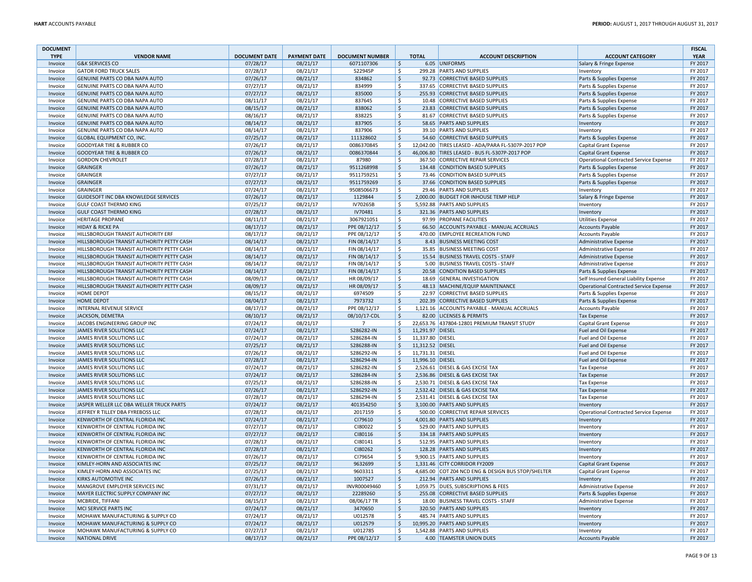| <b>DOCUMENT</b>    |                                             |                      |                     |                        |                    |                  |                                                     |                                               | <b>FISCAL</b> |
|--------------------|---------------------------------------------|----------------------|---------------------|------------------------|--------------------|------------------|-----------------------------------------------------|-----------------------------------------------|---------------|
| <b>TYPE</b>        | <b>VENDOR NAME</b>                          | <b>DOCUMENT DATE</b> | <b>PAYMENT DATE</b> | <b>DOCUMENT NUMBER</b> |                    | <b>TOTAL</b>     | <b>ACCOUNT DESCRIPTION</b>                          | <b>ACCOUNT CATEGORY</b>                       | <b>YEAR</b>   |
| Invoice            | <b>G&amp;K SERVICES CO</b>                  | 07/28/17             | 08/21/17            | 6071107306             | Ś                  |                  | 6.05 UNIFORMS                                       | Salary & Fringe Expense                       | FY 2017       |
| Invoice            | <b>GATOR FORD TRUCK SALES</b>               | 07/28/17             | 08/21/17            | 522945P                | \$                 |                  | 299.28 PARTS AND SUPPLIES                           | Inventory                                     | FY 2017       |
| Invoice            | GENUINE PARTS CO DBA NAPA AUTO              | 07/26/17             | 08/21/17            | 834862                 | $\zeta$            |                  | 92.73 CORRECTIVE BASED SUPPLIES                     | Parts & Supplies Expense                      | FY 2017       |
| Invoice            | GENUINE PARTS CO DBA NAPA AUTO              | 07/27/17             | 08/21/17            | 834999                 | \$                 |                  | 337.65 CORRECTIVE BASED SUPPLIES                    | Parts & Supplies Expense                      | FY 2017       |
| Invoice            | GENUINE PARTS CO DBA NAPA AUTO              | 07/27/17             | 08/21/17            | 835000                 | $\dot{\mathsf{S}}$ |                  | 255.93 CORRECTIVE BASED SUPPLIES                    | Parts & Supplies Expense                      | FY 2017       |
| Invoice            | GENUINE PARTS CO DBA NAPA AUTO              | 08/11/17             | 08/21/17            | 837645                 | \$                 |                  | 10.48 CORRECTIVE BASED SUPPLIES                     | Parts & Supplies Expense                      | FY 2017       |
| Invoice            | <b>GENUINE PARTS CO DBA NAPA AUTO</b>       | 08/15/17             | 08/21/17            | 838062                 | \$                 |                  | 23.83 CORRECTIVE BASED SUPPLIES                     | Parts & Supplies Expense                      | FY 2017       |
| Invoice            | GENUINE PARTS CO DBA NAPA AUTO              | 08/16/17             | 08/21/17            | 838225                 | \$                 |                  | 81.67 CORRECTIVE BASED SUPPLIES                     | Parts & Supplies Expense                      | FY 2017       |
| Invoice            | GENUINE PARTS CO DBA NAPA AUTO              | 08/14/17             | 08/21/17            | 837905                 | \$                 |                  | 58.65 PARTS AND SUPPLIES                            | Inventory                                     | FY 2017       |
| Invoice            | GENUINE PARTS CO DBA NAPA AUTO              | 08/14/17             | 08/21/17            | 837906                 | \$                 |                  | 39.10 PARTS AND SUPPLIES                            | Inventory                                     | FY 2017       |
| Invoice            | <b>GLOBAL EQUIPMENT CO, INC.</b>            | 07/25/17             | 08/21/17            | 111328602              | \$                 |                  | 54.60 CORRECTIVE BASED SUPPLIES                     | Parts & Supplies Expense                      | FY 2017       |
| Invoice            | <b>GOODYEAR TIRE &amp; RUBBER CO</b>        | 07/26/17             | 08/21/17            | 0086370845             | \$                 |                  | 12,042.00 TIRES LEASED - ADA/PARA FL-5307P-2017 POP | Capital Grant Expense                         | FY 2017       |
| Invoice            | <b>GOODYEAR TIRE &amp; RUBBER CO</b>        | 07/26/17             | 08/21/17            | 0086370844             | Ŝ.                 |                  | 46,006.80 TIRES LEASED - BUS FL-5307P-2017 POP      | Capital Grant Expense                         | FY 2017       |
| Invoice            | <b>GORDON CHEVROLET</b>                     | 07/28/17             | 08/21/17            | 87980                  | Ŝ.                 |                  | 367.50 CORRECTIVE REPAIR SERVICES                   | Operational Contracted Service Expense        | FY 2017       |
| Invoice            | <b>GRAINGER</b>                             | 07/26/17             | 08/21/17            | 9511268998             | \$                 |                  | 134.48 CONDITION BASED SUPPLIES                     | Parts & Supplies Expense                      | FY 2017       |
| Invoice            | GRAINGER                                    | 07/27/17             | 08/21/17            | 9511759251             | Ŝ.                 |                  | 73.46 CONDITION BASED SUPPLIES                      | Parts & Supplies Expense                      | FY 2017       |
| Invoice            | GRAINGER                                    | 07/27/17             | 08/21/17            | 9511759269             | $\dot{\mathsf{S}}$ |                  | 37.66 CONDITION BASED SUPPLIES                      | Parts & Supplies Expense                      | FY 2017       |
| Invoice            | <b>GRAINGER</b>                             | 07/24/17             | 08/21/17            | 9508506673             | \$                 |                  | 29.46 PARTS AND SUPPLIES                            | Inventory                                     | FY 2017       |
| Invoice            | GUIDESOFT INC DBA KNOWLEDGE SERVICES        | 07/26/17             | 08/21/17            | 1129844                | $\zeta$            |                  | 2,000.00 BUDGET FOR INHOUSE TEMP HELP               | Salary & Fringe Expense                       | FY 2017       |
| Invoice            | <b>GULF COAST THERMO KING</b>               | 07/25/17             | 08/21/17            | IV70265B               | \$                 |                  | 5,592.88 PARTS AND SUPPLIES                         | Inventory                                     | FY 2017       |
| Invoice            | <b>GULF COAST THERMO KING</b>               | 07/28/17             | 08/21/17            | IV70481                | $\zeta$            |                  | 321.36 PARTS AND SUPPLIES                           | Inventory                                     | FY 2017       |
| Invoice            | <b>HERITAGE PROPANE</b>                     | 08/11/17             | 08/21/17            | 3067921051             | \$                 |                  | 97.99 PROPANE FACILITIES                            | <b>Utilities Expense</b>                      | FY 2017       |
| Invoice            | <b>HIDAY &amp; RICKE PA</b>                 | 08/17/17             | 08/21/17            | PPE 08/12/17           | \$                 |                  | 66.50 ACCOUNTS PAYABLE - MANUAL ACCRUALS            | <b>Accounts Payable</b>                       | FY 2017       |
| Invoice            | <b>HILLSBOROUGH TRANSIT AUTHORITY ERF</b>   | 08/17/17             | 08/21/17            | PPE 08/12/17           | \$                 |                  | 470.00 EMPLOYEE RECREATION FUND                     | <b>Accounts Payable</b>                       | FY 2017       |
| Invoice            | HILLSBOROUGH TRANSIT AUTHORITY PETTY CASH   | 08/14/17             | 08/21/17            | FIN 08/14/17           | \$                 |                  | 8.43 BUSINESS MEETING COST                          | Administrative Expense                        | FY 2017       |
| Invoice            | HILLSBOROUGH TRANSIT AUTHORITY PETTY CASH   | 08/14/17             | 08/21/17            | FIN 08/14/17           | \$                 |                  | 35.85 BUSINESS MEETING COST                         | Administrative Expense                        | FY 2017       |
| Invoice            | HILLSBOROUGH TRANSIT AUTHORITY PETTY CASH   | 08/14/17             | 08/21/17            | FIN 08/14/17           | \$                 |                  | 15.54 BUSINESS TRAVEL COSTS - STAFF                 | Administrative Expense                        | FY 2017       |
| Invoice            | HILLSBOROUGH TRANSIT AUTHORITY PETTY CASH   | 08/14/17             | 08/21/17            | FIN 08/14/17           | \$                 |                  | 5.00 BUSINESS TRAVEL COSTS - STAFF                  | Administrative Expense                        | FY 2017       |
| Invoice            | HILLSBOROUGH TRANSIT AUTHORITY PETTY CASH   | 08/14/17             | 08/21/17            | FIN 08/14/17           | \$                 |                  | 20.58 CONDITION BASED SUPPLIES                      | Parts & Supplies Expense                      | FY 2017       |
| Invoice            | HILLSBOROUGH TRANSIT AUTHORITY PETTY CASH   | 08/09/17             | 08/21/17            | HR 08/09/17            | \$                 |                  | 18.69 GENERAL INVESTIGATION                         | Self Insured General Liability Expense        | FY 2017       |
| Invoice            | HILLSBOROUGH TRANSIT AUTHORITY PETTY CASH   | 08/09/17             | 08/21/17            | HR 08/09/17            | \$                 |                  | 48.13 MACHINE/EQUIP MAINTENANCE                     | <b>Operational Contracted Service Expense</b> | FY 2017       |
| Invoice            | <b>HOME DEPOT</b>                           | 08/15/17             | 08/21/17            | 6974509                | Ś                  |                  | 22.97 CORRECTIVE BASED SUPPLIES                     | Parts & Supplies Expense                      | FY 2017       |
| Invoice            | <b>HOME DEPOT</b>                           | 08/04/17             | 08/21/17            | 7973732                | \$                 |                  | 202.39 CORRECTIVE BASED SUPPLIES                    | Parts & Supplies Expense                      | FY 2017       |
| Invoice            | INTERNAL REVENUE SERVICE                    | 08/17/17             | 08/21/17            | PPE 08/12/17           | <b>S</b>           |                  | 1,121.16 ACCOUNTS PAYABLE - MANUAL ACCRUALS         | <b>Accounts Payable</b>                       | FY 2017       |
| Invoice            | JACKSON, DEMETRA                            | 08/10/17             | 08/21/17            | 08/10/17-CDL           | $\dot{\mathsf{S}}$ |                  | 82.00 LICENSES & PERMITS                            | <b>Tax Expense</b>                            | FY 2017       |
|                    | JACOBS ENGINEERING GROUP INC                | 07/24/17             | 08/21/17            | $\overline{7}$         | \$                 |                  | 22,653.76 437804-12801 PREMIUM TRANSIT STUDY        |                                               | FY 2017       |
| Invoice<br>Invoice | JAMES RIVER SOLUTIONS LLC                   | 07/24/17             | 08/21/17            | S286282-IN             | $\zeta$            | 11,291.97 DIESEL |                                                     | Capital Grant Expense<br>Fuel and Oil Expense | FY 2017       |
|                    | JAMES RIVER SOLUTIONS LLC                   |                      | 08/21/17            |                        | \$                 | 11,337.80 DIESEL |                                                     |                                               | FY 2017       |
| Invoice            |                                             | 07/24/17             |                     | S286284-IN             |                    |                  |                                                     | Fuel and Oil Expense                          |               |
| Invoice            | JAMES RIVER SOLUTIONS LLC                   | 07/25/17             | 08/21/17            | S286288-IN             | \$                 | 11,312.52 DIESEL |                                                     | Fuel and Oil Expense                          | FY 2017       |
| Invoice            | JAMES RIVER SOLUTIONS LLC                   | 07/26/17             | 08/21/17            | S286292-IN             | \$                 | 11,731.31 DIESEL |                                                     | Fuel and Oil Expense                          | FY 2017       |
| Invoice            | JAMES RIVER SOLUTIONS LLC                   | 07/28/17             | 08/21/17            | S286294-IN             | \$<br><b>S</b>     | 11,996.10 DIESEL |                                                     | Fuel and Oil Expense                          | FY 2017       |
| Invoice            | JAMES RIVER SOLUTIONS LLC                   | 07/24/17             | 08/21/17            | S286282-IN             |                    |                  | 2,526.61 DIESEL & GAS EXCISE TAX                    | <b>Tax Expense</b>                            | FY 2017       |
| Invoice            | JAMES RIVER SOLUTIONS LLC                   | 07/24/17             | 08/21/17            | S286284-IN             | Ŝ.                 |                  | 2,536.86 DIESEL & GAS EXCISE TAX                    | <b>Tax Expense</b>                            | FY 2017       |
| Invoice            | JAMES RIVER SOLUTIONS LLC                   | 07/25/17             | 08/21/17            | S286288-IN             | <b>S</b>           |                  | 2.530.71 DIESEL & GAS EXCISE TAX                    | <b>Tax Expense</b>                            | FY 2017       |
| Invoice            | JAMES RIVER SOLUTIONS LLC                   | 07/26/17             | 08/21/17            | S286292-IN             | $\zeta$            |                  | 2,532.42 DIESEL & GAS EXCISE TAX                    | <b>Tax Expense</b>                            | FY 2017       |
| Invoice            | JAMES RIVER SOLUTIONS LLC                   | 07/28/17             | 08/21/17            | S286294-IN             | \$                 |                  | 2.531.41 DIESEL & GAS EXCISE TAX                    | <b>Tax Expense</b>                            | FY 2017       |
| Invoice            | JASPER WELLER LLC DBA WELLER TRUCK PARTS    | 07/24/17             | 08/21/17            | 401354250              | $\zeta$            |                  | 3,100.00 PARTS AND SUPPLIES                         | Inventory                                     | FY 2017       |
| Invoice            | JEFFREY R TILLEY DBA FYREBOSS LLC           | 07/28/17             | 08/21/17            | 2017159                | \$                 |                  | 500.00 CORRECTIVE REPAIR SERVICES                   | Operational Contracted Service Expense        | FY 2017       |
| Invoice            | KENWORTH OF CENTRAL FLORIDA INC             | 07/24/17             | 08/21/17            | CI79610                | \$                 |                  | 4,001.80 PARTS AND SUPPLIES                         | Inventory                                     | FY 2017       |
| Invoice            | KENWORTH OF CENTRAL FLORIDA INC             | 07/27/17             | 08/21/17            | CI80022                | Ś                  |                  | 529.00 PARTS AND SUPPLIES                           | Inventon                                      | FY 2017       |
| Invoice            | KENWORTH OF CENTRAL FLORIDA INC             | 07/27/17             | 08/21/17            | CI80116                | $\dot{\mathsf{S}}$ |                  | 334.18 PARTS AND SUPPLIES                           | Inventon                                      | FY 2017       |
| Invoice            | KENWORTH OF CENTRAL FLORIDA INC             | 07/28/17             | 08/21/17            | CI80141                | \$                 |                  | 512.95 PARTS AND SUPPLIES                           | Inventory                                     | FY 2017       |
| Invoice            | KENWORTH OF CENTRAL FLORIDA INC             | 07/28/17             | 08/21/17            | CI80262                | \$                 |                  | 128.28 PARTS AND SUPPLIES                           | Inventory                                     | FY 2017       |
| Invoice            | KENWORTH OF CENTRAL FLORIDA INC             | 07/26/17             | 08/21/17            | CI79654                | \$                 |                  | 9,900.15 PARTS AND SUPPLIES                         | Inventory                                     | FY 2017       |
| Invoice            | KIMLEY-HORN AND ASSOCIATES INC              | 07/25/17             | 08/21/17            | 9632699                | \$                 |                  | 1,331.46 CITY CORRIDOR FY2009                       | Capital Grant Expense                         | FY 2017       |
| Invoice            | KIMLEY-HORN AND ASSOCIATES INC              | 07/25/17             | 08/21/17            | 9603311                | \$                 |                  | 4,685.00 COT Z04 NCD ENG & DESIGN BUS STOP/SHELTER  | Capital Grant Expense                         | FY 2017       |
| Invoice            | <b>KIRKS AUTOMOTIVE INC</b>                 | 07/26/17             | 08/21/17            | 1007527                | \$                 |                  | 212.94 PARTS AND SUPPLIES                           | Inventory                                     | FY 2017       |
| Invoice            | MANGROVE EMPLOYER SERVICES INC              | 07/31/17             | 08/21/17            | INVR00049460           | Ŝ.                 |                  | 1,059.75 DUES, SUBSCRIPTIONS & FEES                 | Administrative Expense                        | FY 2017       |
| Invoice            | MAYER ELECTRIC SUPPLY COMPANY INC           | 07/27/17             | 08/21/17            | 22289260               | Ŝ.                 |                  | 255.08 CORRECTIVE BASED SUPPLIES                    | Parts & Supplies Expense                      | FY 2017       |
| Invoice            | MCBRIDE, TIFFANI                            | 08/15/17             | 08/21/17            | 08/06/17 TR            | Ś                  |                  | 18.00 BUSINESS TRAVEL COSTS - STAFF                 | Administrative Expense                        | FY 2017       |
| Invoice            | MCI SERVICE PARTS INC                       | 07/24/17             | 08/21/17            | 3470650                | $\dot{\mathsf{S}}$ |                  | 320.50 PARTS AND SUPPLIES                           | Inventory                                     | FY 2017       |
| Invoice            | <b>MOHAWK MANUFACTURING &amp; SUPPLY CO</b> | 07/24/17             | 08/21/17            | U012578                | Ś                  |                  | 485.74 PARTS AND SUPPLIES                           | Inventory                                     | FY 2017       |
| Invoice            | MOHAWK MANUFACTURING & SUPPLY CO            | 07/24/17             | 08/21/17            | U012579                | \$                 |                  | 10,995.20 PARTS AND SUPPLIES                        | Inventory                                     | FY 2017       |
| Invoice            | MOHAWK MANUFACTURING & SUPPLY CO            | 07/27/17             | 08/21/17            | U012785                | Ś                  |                  | 1,542.88 PARTS AND SUPPLIES                         | Inventory                                     | FY 2017       |
| Invoice            | <b>NATIONAL DRIVE</b>                       | 08/17/17             | 08/21/17            | PPE 08/12/17           | $\zeta$            |                  | 4.00 TEAMSTER UNION DUES                            | <b>Accounts Payable</b>                       | FY 2017       |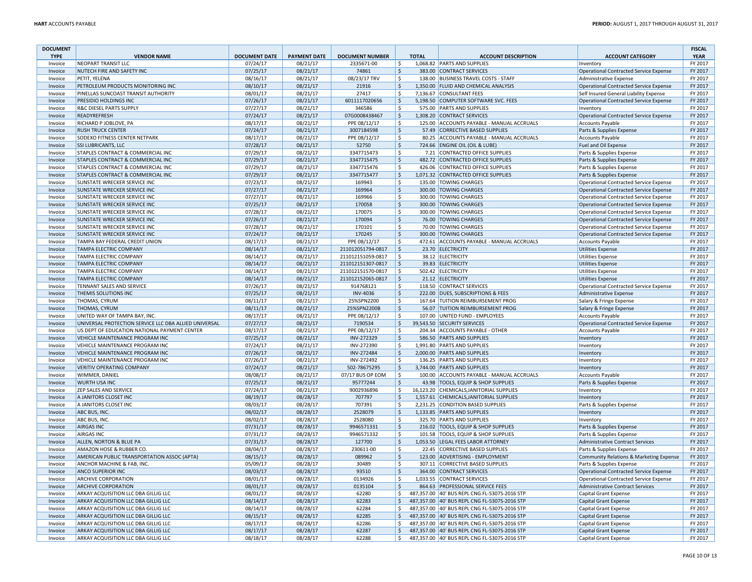| <b>DOCUMENT</b> |                                                       |                      |                     |                        |               |              |                                               |                                               | <b>FISCAL</b> |
|-----------------|-------------------------------------------------------|----------------------|---------------------|------------------------|---------------|--------------|-----------------------------------------------|-----------------------------------------------|---------------|
| <b>TYPE</b>     | <b>VENDOR NAME</b>                                    | <b>DOCUMENT DATE</b> | <b>PAYMENT DATE</b> | <b>DOCUMENT NUMBER</b> |               | <b>TOTAL</b> | <b>ACCOUNT DESCRIPTION</b>                    | <b>ACCOUNT CATEGORY</b>                       | <b>YEAR</b>   |
| Invoice         | NEOPART TRANSIT LLC                                   | 07/24/17             | 08/21/17            | 2335671-00             | Ś             |              | 1,068.82 PARTS AND SUPPLIES                   | Inventory                                     | FY 2017       |
| Invoice         | NUTECH FIRE AND SAFETY INC                            | 07/25/17             | 08/21/17            | 74861                  | $\frac{1}{2}$ |              | 383.00 CONTRACT SERVICES                      | <b>Operational Contracted Service Expense</b> | FY 2017       |
| Invoice         | PETIT, YELENA                                         | 08/16/17             | 08/21/17            | 08/23/17 TRV           | \$            |              | 138.00 BUSINESS TRAVEL COSTS - STAFF          | <b>Administrative Expense</b>                 | FY 2017       |
| Invoice         | PETROLEUM PRODUCTS MONITORING INC                     | 08/10/17             | 08/21/17            | 21916                  | $\mathsf{S}$  |              | 1,350.00 FLUID AND CHEMICAL ANALYSIS          | <b>Operational Contracted Service Expense</b> | FY 2017       |
| Invoice         | PINELLAS SUNCOAST TRANSIT AUTHORITY                   | 08/01/17             | 08/21/17            | 27417                  | \$            |              | 7,136.67 CONSULTANT FEES                      | Self Insured General Liability Expense        | FY 2017       |
| Invoice         | PRESIDIO HOLDINGS INC                                 | 07/26/17             | 08/21/17            | 6011117020656          | \$            |              | 5,198.50 COMPUTER SOFTWARE SVC. FEES          | <b>Operational Contracted Service Expense</b> | FY 2017       |
| Invoice         | R&C DIESEL PARTS SUPPLY                               | 07/27/17             | 08/21/17            | 346586                 | \$            |              | 575.00 PARTS AND SUPPLIES                     | Inventory                                     | FY 2017       |
| Invoice         | READYREFRESH                                          | 07/24/17             | 08/21/17            | 07G0008438467          | \$            |              | 1,308.20 CONTRACT SERVICES                    | <b>Operational Contracted Service Expense</b> | FY 2017       |
| Invoice         | RICHARD P JOBLOVE, PA                                 | 08/17/17             | 08/21/17            | PPE 08/12/17           | Ś             |              | 125.00 ACCOUNTS PAYABLE - MANUAL ACCRUALS     | <b>Accounts Payable</b>                       | FY 2017       |
| Invoice         | <b>RUSH TRUCK CENTER</b>                              | 07/24/17             | 08/21/17            | 3007184598             | \$            |              | 57.49 CORRECTIVE BASED SUPPLIES               | Parts & Supplies Expense                      | FY 2017       |
| Invoice         | <b>SODEXO FITNESS CENTER NETPARK</b>                  | 08/17/17             | 08/21/17            | PPE 08/12/17           | \$            |              | 80.25 ACCOUNTS PAYABLE - MANUAL ACCRUALS      | <b>Accounts Payable</b>                       | FY 2017       |
| Invoice         | <b>SSI LUBRICANTS, LLC</b>                            | 07/28/17             | 08/21/17            | 52750                  | \$            |              | 724.66 ENGINE OIL (OIL & LUBE)                | Fuel and Oil Expense                          | FY 2017       |
| Invoice         | STAPLES CONTRACT & COMMERCIAL INC                     | 07/29/17             | 08/21/17            | 3347715473             | \$            |              | 7.21 CONTRACTED OFFICE SUPPLIES               | Parts & Supplies Expense                      | FY 2017       |
| Invoice         | <b>STAPLES CONTRACT &amp; COMMERCIAL INC</b>          | 07/29/17             | 08/21/17            | 3347715475             | \$            |              | 482.72 CONTRACTED OFFICE SUPPLIES             | Parts & Supplies Expense                      | FY 2017       |
| Invoice         | STAPLES CONTRACT & COMMERCIAL INC                     | 07/29/17             | 08/21/17            | 3347715476             | \$            |              | 426.06 CONTRACTED OFFICE SUPPLIES             | Parts & Supplies Expense                      | FY 2017       |
| Invoice         | STAPLES CONTRACT & COMMERCIAL INC                     | 07/29/17             | 08/21/17            | 3347715477             | \$            |              | 1,071.32 CONTRACTED OFFICE SUPPLIES           | Parts & Supplies Expense                      | FY 2017       |
| Invoice         | SUNSTATE WRECKER SERVICE INC                          | 07/23/17             | 08/21/17            | 169943                 | \$            | 135.00       | <b>TOWING CHARGES</b>                         | <b>Operational Contracted Service Expense</b> | FY 2017       |
| Invoice         | SUNSTATE WRECKER SERVICE INC                          | 07/27/17             | 08/21/17            | 169964                 | \$            | 300.00       | <b>TOWING CHARGES</b>                         | <b>Operational Contracted Service Expense</b> | FY 2017       |
| Invoice         | SUNSTATE WRECKER SERVICE INC                          | 07/27/17             | 08/21/17            | 169966                 | \$            |              | 300.00 TOWING CHARGES                         | Operational Contracted Service Expense        | FY 2017       |
| Invoice         | <b>SUNSTATE WRECKER SERVICE INC</b>                   | 07/25/17             | 08/21/17            | 170058                 | $\zeta$       |              | 300.00 TOWING CHARGES                         | <b>Operational Contracted Service Expense</b> | FY 2017       |
| Invoice         | SUNSTATE WRECKER SERVICE INC                          | 07/28/17             | 08/21/17            | 170075                 | \$            | 300.00       | <b>TOWING CHARGES</b>                         | <b>Operational Contracted Service Expense</b> | FY 2017       |
| Invoice         | SUNSTATE WRECKER SERVICE INC                          | 07/26/17             | 08/21/17            | 170094                 | \$            | 76.00        | <b>TOWING CHARGES</b>                         | <b>Operational Contracted Service Expense</b> | FY 2017       |
| Invoice         | SUNSTATE WRECKER SERVICE INC                          | 07/28/17             | 08/21/17            | 170101                 | \$            | 70.00        | <b>TOWING CHARGES</b>                         | <b>Operational Contracted Service Expense</b> | FY 2017       |
| Invoice         | <b>SUNSTATE WRECKER SERVICE INC</b>                   | 07/24/17             | 08/21/17            | 170245                 | \$            | 300.00       | <b>TOWING CHARGES</b>                         | <b>Operational Contracted Service Expense</b> | FY 2017       |
| Invoice         | TAMPA BAY FEDERAL CREDIT UNION                        | 08/17/17             | 08/21/17            | PPE 08/12/17           | \$            | 472.61       | ACCOUNTS PAYABLE - MANUAL ACCRUALS            | <b>Accounts Payable</b>                       | FY 2017       |
| Invoice         | TAMPA ELECTRIC COMPANY                                | 08/14/17             | 08/21/17            | 211012051794-0817      | \$            |              | 23.70 ELECTRICITY                             | <b>Utilities Expense</b>                      | FY 2017       |
| Invoice         | TAMPA ELECTRIC COMPANY                                | 08/14/17             | 08/21/17            | 211012151059-0817      | \$            |              | 38.12 ELECTRICITY                             | <b>Utilities Expense</b>                      | FY 2017       |
| Invoice         | <b>TAMPA ELECTRIC COMPANY</b>                         | 08/14/17             | 08/21/17            | 211012151307-0817      | \$            |              | 39.83 ELECTRICITY                             | <b>Utilities Expense</b>                      | FY 2017       |
| Invoice         | <b>TAMPA ELECTRIC COMPANY</b>                         | 08/14/17             | 08/21/17            | 211012151570-0817      | Ŝ.            |              | 502.42 ELECTRICITY                            | <b>Utilities Expense</b>                      | FY 2017       |
| Invoice         | TAMPA ELECTRIC COMPANY                                | 08/14/17             | 08/21/17            | 211012152065-0817      | Ś             |              | 21.12 ELECTRICITY                             | <b>Utilities Expense</b>                      | FY 2017       |
| Invoice         | TENNANT SALES AND SERVICE                             | 07/26/17             | 08/21/17            | 914768121              | \$            |              | 118.50 CONTRACT SERVICES                      | <b>Operational Contracted Service Expense</b> | FY 2017       |
| Invoice         | <b>THEMIS SOLUTIONS INC</b>                           | 07/25/17             | 08/21/17            | <b>INV-4036</b>        | \$            |              | 222.00 DUES, SUBSCRIPTIONS & FEES             | Administrative Expense                        | FY 2017       |
| Invoice         | <b>THOMAS, CYRUM</b>                                  | 08/11/17             | 08/21/17            | 25%SPN2200             | \$            | 167.64       | <b>TUITION REIMBURSEMENT PROG</b>             | Salary & Fringe Expense                       | FY 2017       |
| Invoice         | <b>THOMAS, CYRUM</b>                                  | 08/11/17             | 08/21/17            | 25%SPN2200B            | \$            |              | 56.07 TUITION REIMBURSEMENT PROG              | Salary & Fringe Expense                       | FY 2017       |
| Invoice         | UNITED WAY OF TAMPA BAY, INC.                         | 08/17/17             | 08/21/17            | PPE 08/12/17           | \$            |              | 107.00 UNITED FUND - EMPLOYEES                | <b>Accounts Payable</b>                       | FY 2017       |
| Invoice         | UNIVERSAL PROTECTION SERVICE LLC DBA ALLIED UNIVERSAL | 07/27/17             | 08/21/17            | 7190534                | \$            |              | 39,543.50 SECURITY SERVICES                   | <b>Operational Contracted Service Expense</b> | FY 2017       |
| Invoice         | US DEPT OF EDUCATION NATIONAL PAYMENT CENTER          | 08/17/17             | 08/21/17            | PPE 08/12/17           | \$            |              | 204.34 ACCOUNTS PAYABLE - OTHER               | <b>Accounts Payable</b>                       | FY 2017       |
| Invoice         | VEHICLE MAINTENANCE PROGRAM INC                       | 07/25/17             | 08/21/17            | INV-272329             | \$            |              | 586.50 PARTS AND SUPPLIES                     | Inventory                                     | FY 2017       |
| Invoice         | VEHICLE MAINTENANCE PROGRAM INC                       | 07/24/17             | 08/21/17            | INV-272390             | \$            |              | 1,991.80 PARTS AND SUPPLIES                   | Inventory                                     | FY 2017       |
| Invoice         | VEHICLE MAINTENANCE PROGRAM INC                       | 07/26/17             | 08/21/17            | INV-272484             | \$            |              | 2,000.00 PARTS AND SUPPLIES                   | Inventory                                     | FY 2017       |
| Invoice         | VEHICLE MAINTENANCE PROGRAM INC                       | 07/26/17             | 08/21/17            | INV-272492             | \$            |              | 136.25 PARTS AND SUPPLIES                     | Inventon                                      | FY 2017       |
| Invoice         | <b>VERITIV OPERATING COMPANY</b>                      | 07/24/17             | 08/21/17            | 502-78675295           | \$            |              | 3,744.00 PARTS AND SUPPLIES                   | Inventory                                     | FY 2017       |
| Invoice         | WIMMER, DANIEL                                        | 08/08/17             | 08/21/17            | 07/17 BUS OP EOM       | \$            |              | 100.00 ACCOUNTS PAYABLE - MANUAL ACCRUALS     | <b>Accounts Payable</b>                       | FY 2017       |
| Invoice         | <b>WURTH USA INC</b>                                  | 07/25/17             | 08/21/17            | 95777244               | \$            |              | 43.98 TOOLS. EQUIP & SHOP SUPPLIES            | Parts & Supplies Expense                      | FY 2017       |
| Invoice         | <b>ZEP SALES AND SERVICE</b>                          | 07/24/17             | 08/21/17            | 9002936896             | \$            |              | 16,123.20 CHEMICALS, JANITORIAL SUPPLIES      | Inventory                                     | FY 2017       |
| Invoice         | A JANITORS CLOSET INC                                 | 08/19/17             | 08/28/17            | 707797                 | \$            |              | 1.557.61 CHEMICALS.JANITORIAL SUPPLIES        | Inventory                                     | FY 2017       |
| Invoice         | A JANITORS CLOSET INC                                 | 08/03/17             | 08/28/17            | 707391                 | \$            |              | 2,231.25 CONDITION BASED SUPPLIES             | Parts & Supplies Expense                      | FY 2017       |
| Invoice         | ABC BUS, INC.                                         | 08/02/17             | 08/28/17            | 2528079                | \$            |              | 1,133.85 PARTS AND SUPPLIES                   | Inventory                                     | FY 2017       |
| Invoice         | ABC BUS, INC.                                         | 08/02/17             | 08/28/17            | 2528080                | \$            |              | 325.70 PARTS AND SUPPLIES                     | Inventory                                     | FY 2017       |
| Invoice         | <b>AIRGAS INC</b>                                     | 07/31/17             | 08/28/17            | 9946571331             | \$            | 216.02       | TOOLS, EQUIP & SHOP SUPPLIES                  | Parts & Supplies Expense                      | FY 2017       |
| Invoice         | <b>AIRGAS INC</b>                                     | 07/31/17             | 08/28/17            | 9946571332             | \$            | 101.58       | TOOLS, EQUIP & SHOP SUPPLIES                  | Parts & Supplies Expense                      | FY 2017       |
| Invoice         | ALLEN, NORTON & BLUE PA                               | 07/31/17             | 08/28/17            | 127700                 | \$            |              | 1,053.50 LEGAL FEES LABOR ATTORNEY            | <b>Administrative Contract Services</b>       | FY 2017       |
| Invoice         | AMAZON HOSE & RUBBER CO.                              | 08/04/17             | 08/28/17            | 230611-00              | \$            |              | 22.45 CORRECTIVE BASED SUPPLIES               | Parts & Supplies Expense                      | FY 2017       |
| Invoice         | AMERICAN PUBLIC TRANSPORTATION ASSOC (APTA)           | 08/15/17             | 08/28/17            | 089962                 | $\zeta$       |              | 123.00 ADVERTISING - EMPLOYMENT               | Community Relations & Marketing Expense       | FY 2017       |
| Invoice         | ANCHOR MACHINE & FAB, INC.                            | 05/09/17             | 08/28/17            | 30489                  | \$            |              | 307.11 CORRECTIVE BASED SUPPLIES              | Parts & Supplies Expense                      | FY 2017       |
| Invoice         | ANCO SUPERIOR INC                                     | 08/03/17             | 08/28/17            | 93510                  | \$            |              | 364.00 CONTRACT SERVICES                      | <b>Operational Contracted Service Expense</b> | FY 2017       |
| Invoice         | ARCHIVE CORPORATION                                   | 08/01/17             | 08/28/17            | 0134926                | \$            |              | 1,033.55 CONTRACT SERVICES                    | <b>Operational Contracted Service Expense</b> | FY 2017       |
| Invoice         | ARCHIVE CORPORATION                                   | 08/01/17             | 08/28/17            | 0135104                | \$            |              | 864.63 PROFESSIONAL SERVICE FEES              | Administrative Contract Services              | FY 2017       |
| Invoice         | ARKAY ACQUISITION LLC DBA GILLIG LLC                  | 08/01/17             | 08/28/17            | 62280                  | Ŝ.            |              | 487,357.00 40' BUS REPL CNG FL-5307S-2016 STP | Capital Grant Expense                         | FY 2017       |
| Invoice         | ARKAY ACQUISITION LLC DBA GILLIG LLC                  | 08/14/17             | 08/28/17            | 62283                  | Ś.            |              | 487,357.00 40' BUS REPL CNG FL-5307S-2016 STP | Capital Grant Expense                         | FY 2017       |
| Invoice         | ARKAY ACQUISITION LLC DBA GILLIG LLC                  | 08/14/17             | 08/28/17            | 62284                  | Š.            |              | 487.357.00 40' BUS REPL CNG FL-5307S-2016 STP | <b>Capital Grant Expense</b>                  | FY 2017       |
| Invoice         | ARKAY ACQUISITION LLC DBA GILLIG LLC                  | 08/15/17             | 08/28/17            | 62285                  | S.            |              | 487,357.00 40' BUS REPL CNG FL-5307S-2016 STP | Capital Grant Expense                         | FY 2017       |
| Invoice         | ARKAY ACQUISITION LLC DBA GILLIG LLC                  | 08/17/17             | 08/28/17            | 62286                  | Ś.            |              | 487,357.00 40' BUS REPL CNG FL-5307S-2016 STP | Capital Grant Expense                         | FY 2017       |
| Invoice         | ARKAY ACQUISITION LLC DBA GILLIG LLC                  | 08/17/17             | 08/28/17            | 62287                  | Ś             |              | 487,357.00 40' BUS REPL CNG FL-5307S-2016 STP | <b>Capital Grant Expense</b>                  | FY 2017       |
| Invoice         | ARKAY ACQUISITION LLC DBA GILLIG LLC                  | 08/18/17             | 08/28/17            | 62288                  | Ś             |              | 487,357.00 40' BUS REPL CNG FL-5307S-2016 STP | Capital Grant Expense                         | FY 2017       |
|                 |                                                       |                      |                     |                        |               |              |                                               |                                               |               |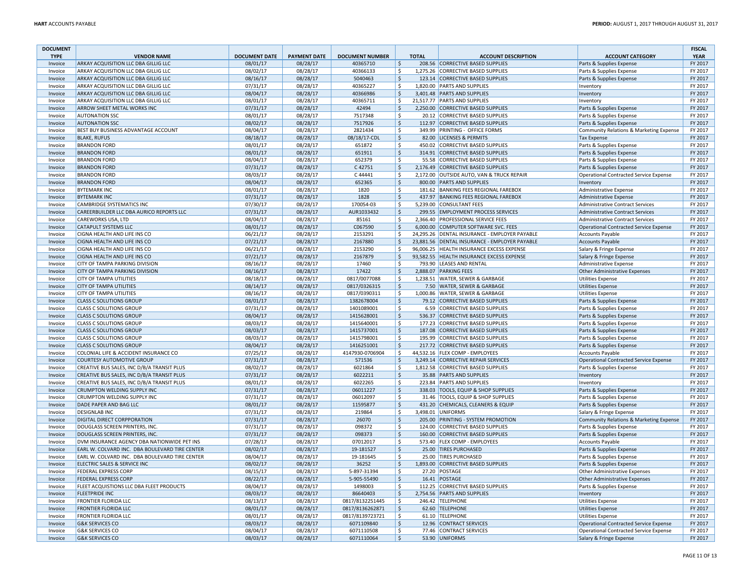| <b>DOCUMENT</b>    |                                                |                      |                     |                        |                    |              |                                               |                                               | <b>FISCAL</b> |
|--------------------|------------------------------------------------|----------------------|---------------------|------------------------|--------------------|--------------|-----------------------------------------------|-----------------------------------------------|---------------|
| <b>TYPE</b>        | <b>VENDOR NAME</b>                             | <b>DOCUMENT DATE</b> | <b>PAYMENT DATE</b> | <b>DOCUMENT NUMBER</b> |                    | <b>TOTAL</b> | <b>ACCOUNT DESCRIPTION</b>                    | <b>ACCOUNT CATEGORY</b>                       | <b>YEAR</b>   |
| Invoice            | <b>ARKAY ACQUISITION LLC DBA GILLIG LLC</b>    | 08/01/17             | 08/28/17            | 40365710               | \$                 |              | 208.56 CORRECTIVE BASED SUPPLIES              | Parts & Supplies Expense                      | FY 2017       |
| Invoice            | ARKAY ACQUISITION LLC DBA GILLIG LLC           | 08/02/17             | 08/28/17            | 40366133               | \$                 |              | 1,275.26 CORRECTIVE BASED SUPPLIES            | Parts & Supplies Expense                      | FY 2017       |
| Invoice            | ARKAY ACQUISITION LLC DBA GILLIG LLC           | 08/16/17             | 08/28/17            | 5040463                | \$                 |              | 123.14 CORRECTIVE BASED SUPPLIES              | Parts & Supplies Expense                      | FY 2017       |
| Invoice            | ARKAY ACQUISITION LLC DBA GILLIG LLC           | 07/31/17             | 08/28/17            | 40365227               | \$                 |              | 1,820.00 PARTS AND SUPPLIES                   | Inventory                                     | FY 2017       |
| Invoice            | ARKAY ACQUISITION LLC DBA GILLIG LLC           | 08/04/17             | 08/28/17            | 40366986               | $\mathsf{\$}$      |              | 3.401.48 PARTS AND SUPPLIES                   | Inventory                                     | FY 2017       |
| Invoice            | ARKAY ACQUISITION LLC DBA GILLIG LLC           | 08/01/17             | 08/28/17            | 40365711               | \$                 |              | 21,517.77 PARTS AND SUPPLIES                  | Inventory                                     | FY 2017       |
| Invoice            | ARROW SHEET METAL WORKS INC                    | 07/31/17             | 08/28/17            | 42494                  | \$                 |              | 2,250.00 CORRECTIVE BASED SUPPLIES            | Parts & Supplies Expense                      | FY 2017       |
| Invoice            | <b>AUTONATION SSC</b>                          | 08/01/17             | 08/28/17            | 7517348                | Ś                  |              | 20.12 CORRECTIVE BASED SUPPLIES               | Parts & Supplies Expense                      | FY 2017       |
| Invoice            | <b>AUTONATION SSC</b>                          | 08/02/17             | 08/28/17            | 7517926                | $\mathsf{\$}$      |              | 112.97 CORRECTIVE BASED SUPPLIES              | Parts & Supplies Expense                      | FY 2017       |
| Invoice            | BEST BUY BUSINESS ADVANTAGE ACCOUNT            | 08/04/17             | 08/28/17            | 2821434                | \$                 |              | 349.99 PRINTING - OFFICE FORMS                | Community Relations & Marketing Expense       | FY 2017       |
| Invoice            | <b>BLAKE, RUFUS</b>                            | 08/18/17             | 08/28/17            | 08/18/17-CDL           | $\ddot{\varsigma}$ |              | 82.00 LICENSES & PERMITS                      | <b>Tax Expense</b>                            | FY 2017       |
| Invoice            | <b>BRANDON FORD</b>                            | 08/01/17             | 08/28/17            | 651872                 | \$                 |              | 450.02 CORRECTIVE BASED SUPPLIES              | Parts & Supplies Expense                      | FY 2017       |
| Invoice            | <b>BRANDON FORD</b>                            | 08/01/17             | 08/28/17            | 651911                 | $\zeta$            |              | 314.91 CORRECTIVE BASED SUPPLIES              | Parts & Supplies Expense                      | FY 2017       |
| Invoice            | <b>BRANDON FORD</b>                            | 08/04/17             | 08/28/17            | 652379                 | \$                 |              | 55.58 CORRECTIVE BASED SUPPLIES               | Parts & Supplies Expense                      | FY 2017       |
| Invoice            | <b>BRANDON FORD</b>                            | 07/31/17             | 08/28/17            | C 42751                | \$                 |              | 2,176.49 CORRECTIVE BASED SUPPLIES            | Parts & Supplies Expense                      | FY 2017       |
| Invoice            | <b>BRANDON FORD</b>                            | 08/03/17             | 08/28/17            | C44441                 | \$                 |              | 2,172.00 OUTSIDE AUTO, VAN & TRUCK REPAIR     | <b>Operational Contracted Service Expense</b> | FY 2017       |
| Invoice            | <b>BRANDON FORD</b>                            | 08/04/17             | 08/28/17            | 652365                 | $\zeta$            |              | 800.00 PARTS AND SUPPLIES                     | Inventory                                     | FY 2017       |
| Invoice            | <b>BYTEMARK INC</b>                            | 08/01/17             | 08/28/17            | 1820                   | \$                 |              | 181.62 BANKING FEES REGIONAL FAREBOX          | Administrative Expense                        | FY 2017       |
| Invoice            | <b>BYTEMARK INC</b>                            | 07/31/17             | 08/28/17            | 1828                   | $\zeta$            |              | 437.97 BANKING FEES REGIONAL FAREBOX          | <b>Administrative Expense</b>                 | FY 2017       |
| Invoice            | <b>CAMBRIDGE SYSTEMATICS INC</b>               | 07/30/17             | 08/28/17            | 170054-03              | \$                 |              | 5,239.00 CONSULTANT FEES                      | <b>Administrative Contract Services</b>       | FY 2017       |
| Invoice            | CAREERBUILDER LLC DBA AURICO REPORTS LLC       | 07/31/17             | 08/28/17            | AUR1033432             | $\mathsf{\$}$      |              | 299.55 EMPLOYMENT PROCESS SERVICES            | Administrative Contract Services              | FY 2017       |
| Invoice            | <b>CAREWORKS USA, LTD</b>                      | 08/04/17             | 08/28/17            | 85161                  | \$                 |              | 2,366.40 PROFESSIONAL SERVICE FEES            | <b>Administrative Contract Services</b>       | FY 2017       |
| Invoice            | <b>CATAPULT SYSTEMS LLC</b>                    | 08/01/17             | 08/28/17            | C067590                | $\mathsf{\$}$      |              | 6,000.00 COMPUTER SOFTWARE SVC. FEES          |                                               | FY 2017       |
|                    |                                                |                      |                     |                        |                    |              |                                               | Operational Contracted Service Expense        |               |
| Invoice            | CIGNA HEALTH AND LIFE INS CO                   | 06/21/17             | 08/28/17            | 2153291                | \$                 |              | 24,295.26 DENTAL INSURANCE - EMPLOYER PAYABLE | <b>Accounts Payable</b>                       | FY 2017       |
| Invoice            | CIGNA HEALTH AND LIFE INS CO                   | 07/21/17             | 08/28/17            | 2167880                | $\mathsf{\$}$      |              | 23,881.56 DENTAL INSURANCE - EMPLOYER PAYABLE | <b>Accounts Payable</b>                       | FY 2017       |
| Invoice            | CIGNA HEALTH AND LIFE INS CO                   | 06/21/17             | 08/28/17            | 2153290                | \$                 |              | 96,006.25 HEALTH INSURANCE EXCESS EXPENSE     | Salary & Fringe Expense                       | FY 2017       |
| Invoice            | CIGNA HEALTH AND LIFE INS CO                   | 07/21/17             | 08/28/17            | 2167879                | \$                 |              | 93,582.55 HEALTH INSURANCE EXCESS EXPENSE     | Salary & Fringe Expense                       | FY 2017       |
| Invoice            | <b>CITY OF TAMPA PARKING DIVISION</b>          | 08/16/17             | 08/28/17            | 17460                  | \$                 |              | 793.90 LEASES AND RENTAL                      | Administrative Expense                        | FY 2017       |
| Invoice            | <b>CITY OF TAMPA PARKING DIVISION</b>          | 08/16/17             | 08/28/17            | 17422                  | \$                 |              | 2,888.07 PARKING FEES                         | Other Administrative Expenses                 | FY 2017       |
| Invoice            | <b>CITY OF TAMPA UTILITIES</b>                 | 08/18/17             | 08/28/17            | 0817/0077088           | \$                 |              | 1,238.51 WATER, SEWER & GARBAGE               | <b>Utilities Expense</b>                      | FY 2017       |
| Invoice            | <b>CITY OF TAMPA UTILITIES</b>                 | 08/14/17             | 08/28/17            | 0817/0326315           | $\zeta$            |              | 7.50 WATER, SEWER & GARBAGE                   | <b>Utilities Expense</b>                      | FY 2017       |
| Invoice            | <b>CITY OF TAMPA UTILITIES</b>                 | 08/16/17             | 08/28/17            | 0817/0390311           | \$                 |              | 1,000.86 WATER, SEWER & GARBAGE               | <b>Utilities Expense</b>                      | FY 2017       |
| Invoice            | <b>CLASS C SOLUTIONS GROUP</b>                 | 08/01/17             | 08/28/17            | 1382678004             | $\zeta$            |              | 79.12 CORRECTIVE BASED SUPPLIES               | Parts & Supplies Expense                      | FY 2017       |
| Invoice            | <b>CLASS C SOLUTIONS GROUP</b>                 | 07/31/17             | 08/28/17            | 1401089001             | \$                 |              | 6.59 CORRECTIVE BASED SUPPLIES                | Parts & Supplies Expense                      | FY 2017       |
| Invoice            | <b>CLASS C SOLUTIONS GROUP</b>                 | 08/04/17             | 08/28/17            | 1415628001             | $\zeta$            |              | 536.37 CORRECTIVE BASED SUPPLIES              | Parts & Supplies Expense                      | FY 2017       |
| Invoice            | <b>CLASS C SOLUTIONS GROUP</b>                 | 08/03/17             | 08/28/17            | 1415640001             | \$                 |              | 177.23 CORRECTIVE BASED SUPPLIES              | Parts & Supplies Expense                      | FY 2017       |
| Invoice            | <b>CLASS C SOLUTIONS GROUP</b>                 | 08/03/17             | 08/28/17            | 1415737001             | $\ddot{\varsigma}$ |              | 187.08 CORRECTIVE BASED SUPPLIES              | Parts & Supplies Expense                      | FY 2017       |
| Invoice            | <b>CLASS C SOLUTIONS GROUP</b>                 | 08/03/17             | 08/28/17            | 1415798001             | \$                 |              | 195.99 CORRECTIVE BASED SUPPLIES              | Parts & Supplies Expense                      | FY 2017       |
| Invoice            | <b>CLASS C SOLUTIONS GROUP</b>                 | 08/04/17             | 08/28/17            | 1416251001             | $\frac{1}{2}$      |              | 217.72 CORRECTIVE BASED SUPPLIES              | Parts & Supplies Expense                      | FY 2017       |
| Invoice            | COLONIAL LIFE & ACCIDENT INSURANCE CO          | 07/25/17             | 08/28/17            | 4147930-0706904        | \$                 |              | 44,532.16 FLEX COMP - EMPLOYEES               | <b>Accounts Payable</b>                       | FY 2017       |
| Invoice            | <b>COURTESY AUTOMOTIVE GROUP</b>               | 07/31/17             | 08/28/17            | 571536                 | \$                 |              | 3,249.14 CORRECTIVE REPAIR SERVICES           | <b>Operational Contracted Service Expense</b> | FY 2017       |
| Invoice            | CREATIVE BUS SALES, INC D/B/A TRANSIT PLUS     | 08/02/17             | 08/28/17            | 6021864                | \$                 |              | 1,812.58 CORRECTIVE BASED SUPPLIES            | Parts & Supplies Expense                      | FY 2017       |
| Invoice            | CREATIVE BUS SALES, INC D/B/A TRANSIT PLUS     | 07/31/17             | 08/28/17            | 6022211                | \$                 |              | 35.88 PARTS AND SUPPLIES                      | Inventory                                     | FY 2017       |
| Invoice            | CREATIVE BUS SALES. INC D/B/A TRANSIT PLUS     | 08/01/17             | 08/28/17            | 6022265                | \$                 |              | 223.84 PARTS AND SUPPLIES                     | Inventory                                     | FY 2017       |
| Invoice            | <b>CRUMPTON WELDING SUPPLY INC</b>             | 07/31/17             | 08/28/17            | 06011227               | \$                 |              | 338.03 TOOLS, EQUIP & SHOP SUPPLIES           | Parts & Supplies Expense                      | FY 2017       |
| Invoice            | <b>CRUMPTON WELDING SUPPLY INC</b>             | 07/31/17             | 08/28/17            | 06012097               | \$                 |              | 31.46 TOOLS, EQUIP & SHOP SUPPLIES            | Parts & Supplies Expense                      | FY 2017       |
| Invoice            | DADE PAPER AND BAG LLC                         | 08/01/17             | 08/28/17            | 11595877               | $\frac{1}{2}$      |              | 431.20 CHEMICALS, CLEANERS & EQUIP            | Parts & Supplies Expense                      | FY 2017       |
| Invoice            | <b>DESIGNLAB INC</b>                           | 07/31/17             | 08/28/17            | 219864                 | \$                 |              | 3,498.01 UNIFORMS                             | Salary & Fringe Expense                       | FY 2017       |
| Invoice            | <b>DIGITAL DIRECT CORPPORATION</b>             | 07/31/17             | 08/28/17            | 26070                  | $\zeta$            |              | 205.00 PRINTING - SYSTEM PROMOTION            | Community Relations & Marketing Expense       | FY 2017       |
| Invoice            | DOUGLASS SCREEN PRINTERS, INC                  | 07/31/17             | 08/28/17            | 098372                 | \$                 |              | 124.00 CORRECTIVE BASED SUPPLIES              | Parts & Supplies Expense                      | FY 2017       |
|                    | DOUGLASS SCREEN PRINTERS, INC.                 | 07/31/17             | 08/28/17            | 098373                 | $\zeta$            |              | 160.00 CORRECTIVE BASED SUPPLIES              |                                               | FY 2017       |
| Invoice<br>Invoice |                                                |                      |                     |                        | \$                 |              |                                               | Parts & Supplies Expense                      | FY 2017       |
|                    | DVM INSURANCE AGENCY DBA NATIONWIDE PET INS    | 07/28/17             | 08/28/17            | 07012017               |                    |              | 573.40 FLEX COMP - EMPLOYEES                  | <b>Accounts Payable</b>                       |               |
| Invoice            | EARL W. COLVARD INC. DBA BOULEVARD TIRE CENTER | 08/02/17             | 08/28/17            | 19-181527              | $\zeta$            |              | 25.00 TIRES PURCHASED                         | Parts & Supplies Expense                      | FY 2017       |
| Invoice            | EARL W. COLVARD INC. DBA BOULEVARD TIRE CENTER | 08/04/17             | 08/28/17            | 19-181645              | \$                 |              | 25.00 TIRES PURCHASED                         | Parts & Supplies Expense                      | FY 2017       |
| Invoice            | ELECTRIC SALES & SERVICE INC                   | 08/02/17             | 08/28/17            | 36252                  | \$                 |              | 1,893.00 CORRECTIVE BASED SUPPLIES            | Parts & Supplies Expense                      | FY 2017       |
| Invoice            | <b>FEDERAL EXPRESS CORF</b>                    | 08/15/17             | 08/28/17            | 5-897-31394            | \$                 |              | 27.20 POSTAGE                                 | Other Administrative Expenses                 | FY 2017       |
| Invoice            | <b>FEDERAL EXPRESS CORP</b>                    | 08/22/17             | 08/28/17            | 5-905-55490            | \$                 |              | 16.41 POSTAGE                                 | Other Administrative Expenses                 | FY 2017       |
| Invoice            | FLEET ACQUISTIONS LLC DBA FLEET PRODUCTS       | 08/04/17             | 08/28/17            | 1498003                | \$                 |              | 112.25 CORRECTIVE BASED SUPPLIES              | Parts & Supplies Expense                      | FY 2017       |
| Invoice            | <b>FLEETPRIDE INC</b>                          | 08/03/17             | 08/28/17            | 86640403               | \$                 |              | 2.754.56 PARTS AND SUPPLIES                   | Inventory                                     | FY 2017       |
| Invoice            | <b>FRONTIER FLORIDA LLC</b>                    | 08/13/17             | 08/28/17            | 0817/8132251445        | \$                 |              | 246.42 TELEPHONE                              | <b>Utilities Expense</b>                      | FY 2017       |
| Invoice            | <b>FRONTIER FLORIDA LLC</b>                    | 08/01/17             | 08/28/17            | 0817/8136262871        | \$                 |              | 62.60 TELEPHONE                               | <b>Utilities Expense</b>                      | FY 2017       |
| Invoice            | <b>FRONTIER FLORIDA LLC</b>                    | 08/01/17             | 08/28/17            | 0817/8139723721        | \$                 |              | 61.10 TELEPHONE                               | <b>Utilities Expense</b>                      | FY 2017       |
| Invoice            | <b>G&amp;K SERVICES CO</b>                     | 08/03/17             | 08/28/17            | 6071109840             | \$                 |              | 12.96 CONTRACT SERVICES                       | Operational Contracted Service Expense        | FY 2017       |
| Invoice            | <b>G&amp;K SERVICES CO</b>                     | 08/04/17             | 08/28/17            | 6071110508             | \$                 |              | 77.46 CONTRACT SERVICES                       | <b>Operational Contracted Service Expense</b> | FY 2017       |
| Invoice            | <b>G&amp;K SERVICES CO</b>                     | 08/03/17             | 08/28/17            | 6071110064             | $\zeta$            |              | 53.90 UNIFORMS                                | Salary & Fringe Expense                       | FY 2017       |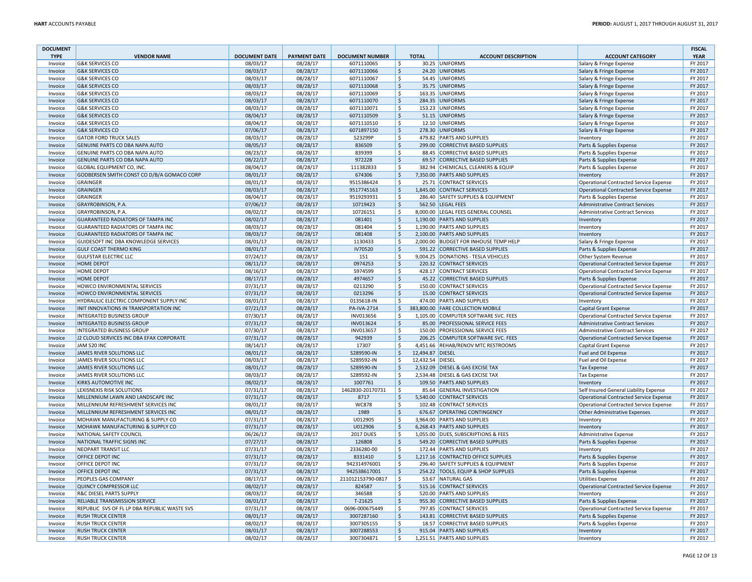| <b>DOCUMENT</b> |                                              |                      |                     |                        |                    |                  |                                       |                                               | <b>FISCAL</b> |
|-----------------|----------------------------------------------|----------------------|---------------------|------------------------|--------------------|------------------|---------------------------------------|-----------------------------------------------|---------------|
| <b>TYPE</b>     | <b>VENDOR NAME</b>                           | <b>DOCUMENT DATE</b> | <b>PAYMENT DATE</b> | <b>DOCUMENT NUMBER</b> |                    | <b>TOTAL</b>     | <b>ACCOUNT DESCRIPTION</b>            | <b>ACCOUNT CATEGORY</b>                       | <b>YEAR</b>   |
| Invoice         | <b>G&amp;K SERVICES CO</b>                   | 08/03/17             | 08/28/17            | 6071110065             | Ś                  |                  | 30.25 UNIFORMS                        | Salary & Fringe Expense                       | FY 2017       |
| Invoice         | <b>G&amp;K SERVICES CO</b>                   | 08/03/17             | 08/28/17            | 6071110066             | \$                 |                  | 24.20 UNIFORMS                        | Salary & Fringe Expense                       | FY 2017       |
| Invoice         | <b>G&amp;K SERVICES CO</b>                   | 08/03/17             | 08/28/17            | 6071110067             | \$                 |                  | 54.45 UNIFORMS                        | Salary & Fringe Expense                       | FY 2017       |
| Invoice         | <b>G&amp;K SERVICES CO</b>                   | 08/03/17             | 08/28/17            | 6071110068             | $\mathsf{S}$       |                  | 35.75 UNIFORMS                        | Salary & Fringe Expense                       | FY 2017       |
| Invoice         | G&K SERVICES CO                              | 08/03/17             | 08/28/17            | 6071110069             | \$                 |                  | 163.35 UNIFORMS                       | Salary & Fringe Expense                       | FY 2017       |
| Invoice         | <b>G&amp;K SERVICES CO</b>                   | 08/03/17             | 08/28/17            | 6071110070             | $\zeta$            |                  | 284.35 UNIFORMS                       | Salary & Fringe Expense                       | FY 2017       |
| Invoice         | <b>G&amp;K SERVICES CO</b>                   | 08/03/17             | 08/28/17            | 6071110071             | \$                 |                  | 153.23 UNIFORMS                       | Salary & Fringe Expense                       | FY 2017       |
| Invoice         | <b>G&amp;K SERVICES CO</b>                   | 08/04/17             | 08/28/17            | 6071110509             | \$                 |                  | 51.15 UNIFORMS                        | Salary & Fringe Expense                       | FY 2017       |
| Invoice         | <b>G&amp;K SERVICES CO</b>                   | 08/04/17             | 08/28/17            | 6071110510             | \$                 |                  | 12.10 UNIFORMS                        | Salary & Fringe Expense                       | FY 2017       |
| Invoice         | <b>G&amp;K SERVICES CO</b>                   | 07/06/17             | 08/28/17            | 6071897150             | \$                 |                  | 278.30 UNIFORMS                       | Salary & Fringe Expense                       | FY 2017       |
| Invoice         | <b>GATOR FORD TRUCK SALES</b>                | 08/03/17             | 08/28/17            | 523299P                | \$                 |                  | 479.82 PARTS AND SUPPLIES             | Inventory                                     | FY 2017       |
| Invoice         | GENUINE PARTS CO DBA NAPA AUTO               | 08/05/17             | 08/28/17            | 836509                 | $\zeta$            |                  | 299.00 CORRECTIVE BASED SUPPLIES      | Parts & Supplies Expense                      | FY 2017       |
| Invoice         | GENUINE PARTS CO DBA NAPA AUTO               | 08/23/17             | 08/28/17            | 839399                 | Ś                  |                  | 88.45 CORRECTIVE BASED SUPPLIES       | Parts & Supplies Expense                      | FY 2017       |
| Invoice         | GENUINE PARTS CO DBA NAPA AUTO               | 08/22/17             | 08/28/17            | 972228                 | \$                 |                  | 69.57 CORRECTIVE BASED SUPPLIES       | Parts & Supplies Expense                      | FY 2017       |
| Invoice         | GLOBAL EQUIPMENT CO, INC.                    | 08/04/17             | 08/28/17            | 111382833              | Ŝ.                 |                  | 382.94 CHEMICALS, CLEANERS & EQUIP    | Parts & Supplies Expense                      | FY 2017       |
| Invoice         | GODBERSEN SMITH CONST CO D/B/A GOMACO CORP   | 08/01/17             | 08/28/17            | 674306                 | Ś                  |                  | 7,350.00 PARTS AND SUPPLIES           | Inventory                                     | FY 2017       |
| Invoice         | <b>GRAINGER</b>                              | 08/01/17             | 08/28/17            | 9515386424             | Ś                  |                  | 25.71 CONTRACT SERVICES               | Operational Contracted Service Expense        | FY 2017       |
| Invoice         | <b>GRAINGER</b>                              | 08/03/17             | 08/28/17            | 9517745163             | \$                 |                  | 1,845.00 CONTRACT SERVICES            | <b>Operational Contracted Service Expense</b> | FY 2017       |
| Invoice         | <b>GRAINGER</b>                              | 08/04/17             | 08/28/17            | 9519293931             | \$                 |                  | 286.40 SAFETY SUPPLIES & EQUIPMENT    | Parts & Supplies Expense                      | FY 2017       |
| Invoice         | GRAYROBINSON, P.A.                           | 07/06/17             | 08/28/17            | 10719423               | $\mathsf{S}$       |                  | 562.50 LEGAL FEES                     | <b>Administrative Contract Services</b>       | FY 2017       |
| Invoice         | GRAYROBINSON, P.A.                           | 08/02/17             | 08/28/17            | 10726151               | \$                 |                  | 8,000.00 LEGAL FEES GENERAL COUNSEL   | Administrative Contract Services              | FY 2017       |
| Invoice         | <b>GUARANTEED RADIATORS OF TAMPA INC</b>     | 08/02/17             | 08/28/17            | 081401                 | $\zeta$            |                  | 1,190.00 PARTS AND SUPPLIES           | Inventory                                     | FY 2017       |
| Invoice         | <b>GUARANTEED RADIATORS OF TAMPA INC</b>     | 08/03/17             | 08/28/17            | 081404                 | Ś                  |                  | 1,190.00 PARTS AND SUPPLIES           | Inventory                                     | FY 2017       |
| Invoice         | <b>GUARANTEED RADIATORS OF TAMPA INC</b>     | 08/03/17             | 08/28/17            | 081408                 | \$                 |                  | 2,100.00 PARTS AND SUPPLIES           | Inventory                                     | FY 2017       |
| Invoice         | GUIDESOFT INC DBA KNOWLEDGE SERVICES         | 08/01/17             | 08/28/17            | 1130433                | Ś                  |                  | 2,000.00 BUDGET FOR INHOUSE TEMP HELP | Salary & Fringe Expense                       | FY 2017       |
| Invoice         | <b>GULF COAST THERMO KING</b>                | 08/01/17             | 08/28/17            | IV70520                | $\zeta$            |                  | 591.22 CORRECTIVE BASED SUPPLIES      | Parts & Supplies Expense                      | FY 2017       |
| Invoice         | <b>GULFSTAR ELECTRIC LLC</b>                 | 07/24/17             | 08/28/17            | 151                    | \$                 |                  | 9,004.25 DONATIONS - TESLA VEHICLES   | Other System Revenue                          | FY 2017       |
| Invoice         | <b>HOME DEPOT</b>                            | 08/11/17             | 08/28/17            | 0974253                | \$                 |                  | 220.32 CONTRACT SERVICES              | <b>Operational Contracted Service Expense</b> | FY 2017       |
| Invoice         | HOME DEPOT                                   | 08/16/17             | 08/28/17            | 5974599                | \$                 |                  | 428.17 CONTRACT SERVICES              | <b>Operational Contracted Service Expense</b> | FY 2017       |
| Invoice         | HOME DEPOT                                   | 08/17/17             | 08/28/17            | 4974657                | $\dot{\mathsf{S}}$ |                  | 45.22 CORRECTIVE BASED SUPPLIES       | Parts & Supplies Expense                      | FY 2017       |
| Invoice         | HOWCO ENVIRONMENTAL SERVICES                 | 07/31/17             | 08/28/17            | 0213290                | \$                 |                  | 150.00 CONTRACT SERVICES              | Operational Contracted Service Expense        | FY 2017       |
| Invoice         | HOWCO ENVIRONMENTAL SERVICES                 | 07/31/17             | 08/28/17            | 0213296                | \$                 |                  | 15.00 CONTRACT SERVICES               | Operational Contracted Service Expense        | FY 2017       |
| Invoice         | HYDRAULIC ELECTRIC COMPONENT SUPPLY INC      | 08/01/17             | 08/28/17            | 0135618-IN             | \$                 |                  | 474.00 PARTS AND SUPPLIES             | Inventory                                     | FY 2017       |
| Invoice         | INIT INNOVATIONS IN TRANSPORTATION INC       | 07/21/17             | 08/28/17            | PA-IVA-2714            | \$                 |                  | 383,800.00 FARE COLLECTION MOBILE     | Capital Grant Expense                         | FY 2017       |
| Invoice         | INTEGRATED BUSINESS GROUP                    | 07/30/17             | 08/28/17            | INV013656              | Ś                  |                  | 1,105.00 COMPUTER SOFTWARE SVC. FEES  | <b>Operational Contracted Service Expense</b> | FY 2017       |
| Invoice         | <b>INTEGRATED BUSINESS GROUP</b>             | 07/31/17             | 08/28/17            | INV013624              | $\zeta$            |                  | 85.00 PROFESSIONAL SERVICE FEES       | Administrative Contract Services              | FY 2017       |
| Invoice         | INTEGRATED BUSINESS GROUP                    | 07/30/17             | 08/28/17            | INV013657              | \$                 |                  | 150.00 PROFESSIONAL SERVICE FEES      | Administrative Contract Services              | FY 2017       |
| Invoice         | J2 CLOUD SERVICES INC DBA EFAX CORPORATE     | 07/31/17             | 08/28/17            | 942939                 | \$                 |                  | 206.25 COMPUTER SOFTWARE SVC. FEES    | <b>Operational Contracted Service Expense</b> | FY 2017       |
| Invoice         | JAM 520 INC                                  | 08/14/17             | 08/28/17            | 17307                  | \$                 |                  | 4,451.66 REHAB/RENOV MTC RESTROOMS    | <b>Capital Grant Expense</b>                  | FY 2017       |
| Invoice         | JAMES RIVER SOLUTIONS LLC                    | 08/01/17             | 08/28/17            | S289590-IN             | \$                 | 12,494.87 DIESEL |                                       | Fuel and Oil Expense                          | FY 2017       |
| Invoice         | JAMES RIVER SOLUTIONS LLC                    | 08/03/17             | 08/28/17            | S289592-IN             | Ŝ.                 | 12,432.54 DIESEL |                                       | Fuel and Oil Expense                          | FY 2017       |
| Invoice         | JAMES RIVER SOLUTIONS LLC                    | 08/01/17             | 08/28/17            | S289590-IN             | \$                 |                  | 2,532.09 DIESEL & GAS EXCISE TAX      | <b>Tax Expense</b>                            | FY 2017       |
| Invoice         | JAMES RIVER SOLUTIONS LLC                    | 08/03/17             | 08/28/17            | S289592-IN             | Ŝ.                 |                  | 2,534.48 DIESEL & GAS EXCISE TAX      | <b>Tax Expense</b>                            | FY 2017       |
| Invoice         | KIRKS AUTOMOTIVE INC                         | 08/02/17             | 08/28/17            | 1007761                | \$                 |                  | 109.50 PARTS AND SUPPLIES             | Inventory                                     | FY 2017       |
| Invoice         | LEXISNEXIS RISK SOLUTIONS                    | 07/31/17             | 08/28/17            | 1462830-20170731       | Ś                  |                  | 85.64 GENERAL INVESTIGATION           | Self Insured General Liability Expense        | FY 2017       |
| Invoice         | MILLENNIUM LAWN AND LANDSCAPE INC            | 07/31/17             | 08/28/17            | 8717                   | \$                 |                  | 5.540.00 CONTRACT SERVICES            | <b>Operational Contracted Service Expense</b> | FY 2017       |
| Invoice         | MILLENNIUM REFRESHMENT SERVICES INC          | 08/01/17             | 08/28/17            | <b>WC878</b>           | Ś                  |                  | 102.48 CONTRACT SERVICES              | <b>Operational Contracted Service Expense</b> | FY 2017       |
| Invoice         | MILLENNIUM REFRESHMENT SERVICES INC          | 08/01/17             | 08/28/17            | 1989                   | $\mathsf{S}$       |                  | 676.67 OPERATING CONTINGENCY          | Other Administrative Expenses                 | FY 2017       |
| Invoice         | MOHAWK MANUFACTURING & SUPPLY CO             | 07/31/17             | 08/28/17            | U012905                | Ś                  |                  | 3,964.00 PARTS AND SUPPLIES           | Inventory                                     | FY 2017       |
| Invoice         | MOHAWK MANUFACTURING & SUPPLY CO             | 07/31/17             | 08/28/17            | U012906                | Ś                  |                  | 6,268.43 PARTS AND SUPPLIES           | Inventory                                     | FY 2017       |
| Invoice         | NATIONAL SAFETY COUNCIL                      | 06/26/17             | 08/28/17            | <b>2017 DUES</b>       | Ś                  |                  | 1,055.00 DUES, SUBSCRIPTIONS & FEES   | <b>Administrative Expense</b>                 | FY 2017       |
| Invoice         | NATIONAL TRAFFIC SIGNS INC                   | 07/27/17             | 08/28/17            | 126808                 | $\zeta$            |                  | 549.20 CORRECTIVE BASED SUPPLIES      | Parts & Supplies Expense                      | FY 2017       |
| Invoice         | NEOPART TRANSIT LLC                          | 07/31/17             | 08/28/17            | 2336280-00             | \$                 |                  | 172.44 PARTS AND SUPPLIES             | Inventory                                     | FY 2017       |
| Invoice         | OFFICE DEPOT INC                             | 07/31/17             | 08/28/17            | 8331410                | \$                 |                  | 1,217.16 CONTRACTED OFFICE SUPPLIES   | Parts & Supplies Expense                      | FY 2017       |
| Invoice         | OFFICE DEPOT INC                             | 07/31/17             | 08/28/17            | 942314976001           | \$                 |                  | 296.40 SAFETY SUPPLIES & EQUIPMENT    | Parts & Supplies Expense                      | FY 2017       |
| Invoice         | OFFICE DEPOT INC                             | 07/31/17             | 08/28/17            | 942538617001           | $\ddot{\varsigma}$ |                  | 254.22 TOOLS, EQUIP & SHOP SUPPLIES   | Parts & Supplies Expense                      | FY 2017       |
| Invoice         | PEOPLES GAS COMPANY                          | 08/17/17             | 08/28/17            | 211012153790-0817      | \$                 |                  | 53.67 NATURAL GAS                     | <b>Utilities Expense</b>                      | FY 2017       |
| Invoice         | <b>QUINCY COMPRESSOR LLC</b>                 | 08/02/17             | 08/28/17            | 824587                 | \$                 |                  | 515.16 CONTRACT SERVICES              | <b>Operational Contracted Service Expense</b> | FY 2017       |
| Invoice         | R&C DIESEL PARTS SUPPLY                      | 08/03/17             | 08/28/17            | 346588                 | Ŝ.                 |                  | 520.00 PARTS AND SUPPLIES             | Inventory                                     | FY 2017       |
| Invoice         | RELIABLE TRANSMISSION SERVICE                | 08/01/17             | 08/28/17            | T-21625                | $\dot{\mathsf{S}}$ |                  | 955.30 CORRECTIVE BASED SUPPLIES      | Parts & Supplies Expense                      | FY 2017       |
| Invoice         | REPUBLIC SVS OF FL LP DBA REPUBLIC WASTE SVS | 07/31/17             | 08/28/17            | 0696-000675449         | \$                 |                  | 797.85 CONTRACT SERVICES              | <b>Operational Contracted Service Expense</b> | FY 2017       |
| Invoice         | <b>RUSH TRUCK CENTER</b>                     | 08/01/17             | 08/28/17            | 3007287160             | \$                 |                  | 143.81 CORRECTIVE BASED SUPPLIES      | Parts & Supplies Expense                      | FY 2017       |
| Invoice         | RUSH TRUCK CENTER                            | 08/02/17             | 08/28/17            | 3007305155             | \$                 |                  | 18.57 CORRECTIVE BASED SUPPLIES       | Parts & Supplies Expense                      | FY 2017       |
| Invoice         | <b>RUSH TRUCK CENTER</b>                     | 08/01/17             | 08/28/17            | 3007288553             | $\mathsf{S}$       |                  | 915.04 PARTS AND SUPPLIES             | Inventory                                     | FY 2017       |
| Invoice         | <b>RUSH TRUCK CENTER</b>                     | 08/02/17             | 08/28/17            | 3007304871             | Ś                  |                  | 1,251.51 PARTS AND SUPPLIES           | Inventory                                     | FY 2017       |